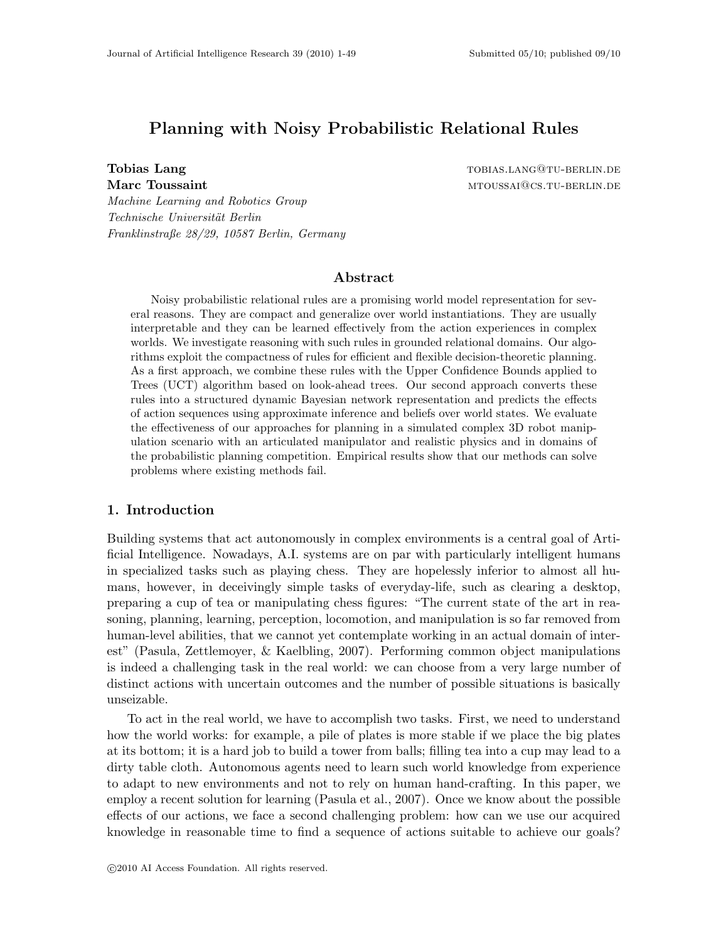# Planning with Noisy Probabilistic Relational Rules

Tobias Lang tobias and the set of the set of the set of the set of the set of the set of the set of the set of the set of the set of the set of the set of the set of the set of the set of the set of the set of the set of t Marc Toussaint measured by the method of the method of the method of the method of the method of the method of  $\text{M}$ 

Technische Universität Berlin Franklinstraße 28/29, 10587 Berlin, Germany

Machine Learning and Robotics Group

# Abstract

Noisy probabilistic relational rules are a promising world model representation for several reasons. They are compact and generalize over world instantiations. They are usually interpretable and they can be learned effectively from the action experiences in complex worlds. We investigate reasoning with such rules in grounded relational domains. Our algorithms exploit the compactness of rules for efficient and flexible decision-theoretic planning. As a first approach, we combine these rules with the Upper Confidence Bounds applied to Trees (UCT) algorithm based on look-ahead trees. Our second approach converts these rules into a structured dynamic Bayesian network representation and predicts the effects of action sequences using approximate inference and beliefs over world states. We evaluate the effectiveness of our approaches for planning in a simulated complex 3D robot manipulation scenario with an articulated manipulator and realistic physics and in domains of the probabilistic planning competition. Empirical results show that our methods can solve problems where existing methods fail.

# 1. Introduction

Building systems that act autonomously in complex environments is a central goal of Artificial Intelligence. Nowadays, A.I. systems are on par with particularly intelligent humans in specialized tasks such as playing chess. They are hopelessly inferior to almost all humans, however, in deceivingly simple tasks of everyday-life, such as clearing a desktop, preparing a cup of tea or manipulating chess figures: "The current state of the art in reasoning, planning, learning, perception, locomotion, and manipulation is so far removed from human-level abilities, that we cannot yet contemplate working in an actual domain of interest" (Pasula, Zettlemoyer, & Kaelbling, 2007). Performing common object manipulations is indeed a challenging task in the real world: we can choose from a very large number of distinct actions with uncertain outcomes and the number of possible situations is basically unseizable.

To act in the real world, we have to accomplish two tasks. First, we need to understand how the world works: for example, a pile of plates is more stable if we place the big plates at its bottom; it is a hard job to build a tower from balls; filling tea into a cup may lead to a dirty table cloth. Autonomous agents need to learn such world knowledge from experience to adapt to new environments and not to rely on human hand-crafting. In this paper, we employ a recent solution for learning (Pasula et al., 2007). Once we know about the possible effects of our actions, we face a second challenging problem: how can we use our acquired knowledge in reasonable time to find a sequence of actions suitable to achieve our goals?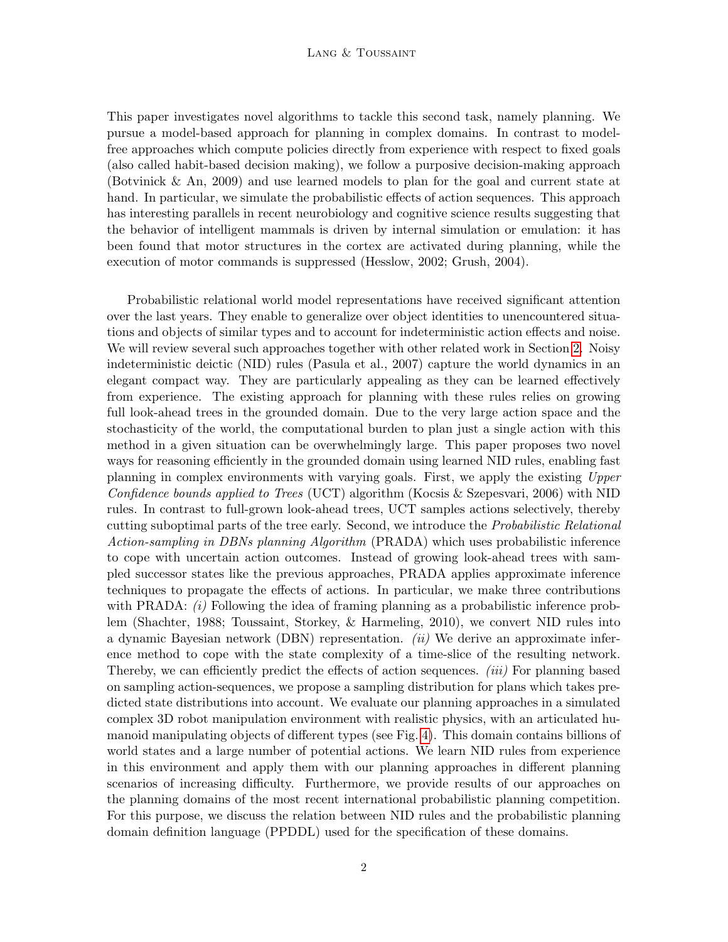This paper investigates novel algorithms to tackle this second task, namely planning. We pursue a model-based approach for planning in complex domains. In contrast to modelfree approaches which compute policies directly from experience with respect to fixed goals (also called habit-based decision making), we follow a purposive decision-making approach (Botvinick & An, 2009) and use learned models to plan for the goal and current state at hand. In particular, we simulate the probabilistic effects of action sequences. This approach has interesting parallels in recent neurobiology and cognitive science results suggesting that the behavior of intelligent mammals is driven by internal simulation or emulation: it has been found that motor structures in the cortex are activated during planning, while the execution of motor commands is suppressed (Hesslow, 2002; Grush, 2004).

Probabilistic relational world model representations have received significant attention over the last years. They enable to generalize over object identities to unencountered situations and objects of similar types and to account for indeterministic action effects and noise. We will review several such approaches together with other related work in Section [2.](#page-2-0) Noisy indeterministic deictic (NID) rules (Pasula et al., 2007) capture the world dynamics in an elegant compact way. They are particularly appealing as they can be learned effectively from experience. The existing approach for planning with these rules relies on growing full look-ahead trees in the grounded domain. Due to the very large action space and the stochasticity of the world, the computational burden to plan just a single action with this method in a given situation can be overwhelmingly large. This paper proposes two novel ways for reasoning efficiently in the grounded domain using learned NID rules, enabling fast planning in complex environments with varying goals. First, we apply the existing Upper Confidence bounds applied to Trees (UCT) algorithm (Kocsis & Szepesvari, 2006) with NID rules. In contrast to full-grown look-ahead trees, UCT samples actions selectively, thereby cutting suboptimal parts of the tree early. Second, we introduce the Probabilistic Relational Action-sampling in DBNs planning Algorithm (PRADA) which uses probabilistic inference to cope with uncertain action outcomes. Instead of growing look-ahead trees with sampled successor states like the previous approaches, PRADA applies approximate inference techniques to propagate the effects of actions. In particular, we make three contributions with PRADA:  $(i)$  Following the idea of framing planning as a probabilistic inference problem (Shachter, 1988; Toussaint, Storkey, & Harmeling, 2010), we convert NID rules into a dynamic Bayesian network (DBN) representation. *(ii)* We derive an approximate inference method to cope with the state complexity of a time-slice of the resulting network. Thereby, we can efficiently predict the effects of action sequences. *(iii)* For planning based on sampling action-sequences, we propose a sampling distribution for plans which takes predicted state distributions into account. We evaluate our planning approaches in a simulated complex 3D robot manipulation environment with realistic physics, with an articulated humanoid manipulating objects of different types (see Fig. [4\)](#page-27-0). This domain contains billions of world states and a large number of potential actions. We learn NID rules from experience in this environment and apply them with our planning approaches in different planning scenarios of increasing difficulty. Furthermore, we provide results of our approaches on the planning domains of the most recent international probabilistic planning competition. For this purpose, we discuss the relation between NID rules and the probabilistic planning domain definition language (PPDDL) used for the specification of these domains.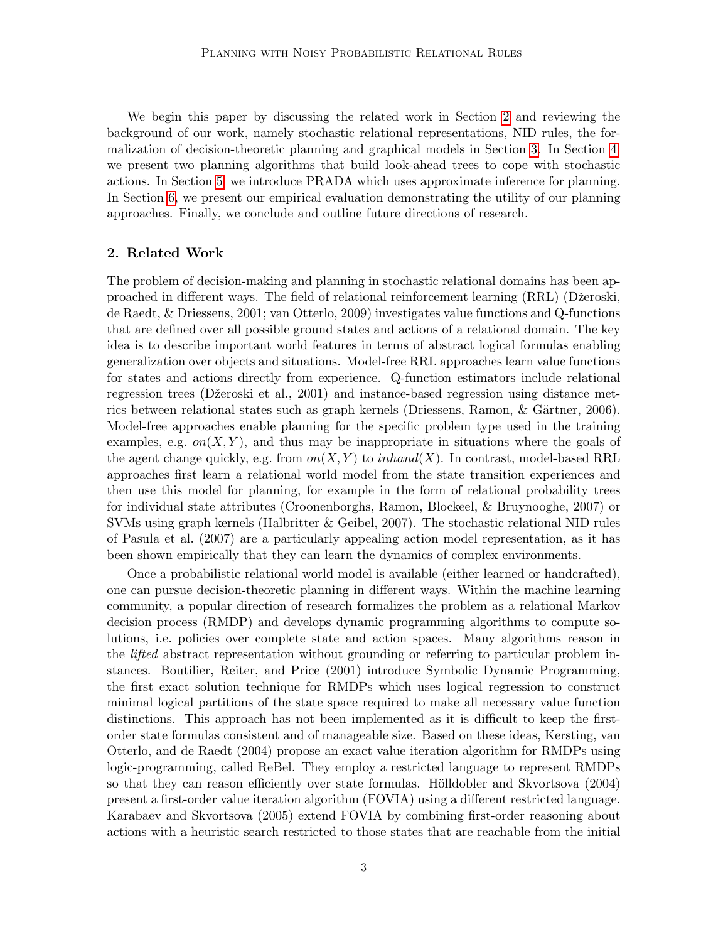We begin this paper by discussing the related work in Section [2](#page-2-0) and reviewing the background of our work, namely stochastic relational representations, NID rules, the formalization of decision-theoretic planning and graphical models in Section [3.](#page-5-0) In Section [4,](#page-11-0) we present two planning algorithms that build look-ahead trees to cope with stochastic actions. In Section [5,](#page-13-0) we introduce PRADA which uses approximate inference for planning. In Section [6,](#page-26-0) we present our empirical evaluation demonstrating the utility of our planning approaches. Finally, we conclude and outline future directions of research.

## <span id="page-2-0"></span>2. Related Work

The problem of decision-making and planning in stochastic relational domains has been approached in different ways. The field of relational reinforcement learning (RRL) (Dˇzeroski, de Raedt, & Driessens, 2001; van Otterlo, 2009) investigates value functions and Q-functions that are defined over all possible ground states and actions of a relational domain. The key idea is to describe important world features in terms of abstract logical formulas enabling generalization over objects and situations. Model-free RRL approaches learn value functions for states and actions directly from experience. Q-function estimators include relational regression trees (Džeroski et al., 2001) and instance-based regression using distance metrics between relational states such as graph kernels (Driessens, Ramon, & Gärtner, 2006). Model-free approaches enable planning for the specific problem type used in the training examples, e.g.  $on(X, Y)$ , and thus may be inappropriate in situations where the goals of the agent change quickly, e.g. from  $on(X, Y)$  to inhand  $(X)$ . In contrast, model-based RRL approaches first learn a relational world model from the state transition experiences and then use this model for planning, for example in the form of relational probability trees for individual state attributes (Croonenborghs, Ramon, Blockeel, & Bruynooghe, 2007) or SVMs using graph kernels (Halbritter & Geibel, 2007). The stochastic relational NID rules of Pasula et al. (2007) are a particularly appealing action model representation, as it has been shown empirically that they can learn the dynamics of complex environments.

Once a probabilistic relational world model is available (either learned or handcrafted), one can pursue decision-theoretic planning in different ways. Within the machine learning community, a popular direction of research formalizes the problem as a relational Markov decision process (RMDP) and develops dynamic programming algorithms to compute solutions, i.e. policies over complete state and action spaces. Many algorithms reason in the *lifted* abstract representation without grounding or referring to particular problem instances. Boutilier, Reiter, and Price (2001) introduce Symbolic Dynamic Programming, the first exact solution technique for RMDPs which uses logical regression to construct minimal logical partitions of the state space required to make all necessary value function distinctions. This approach has not been implemented as it is difficult to keep the firstorder state formulas consistent and of manageable size. Based on these ideas, Kersting, van Otterlo, and de Raedt (2004) propose an exact value iteration algorithm for RMDPs using logic-programming, called ReBel. They employ a restricted language to represent RMDPs so that they can reason efficiently over state formulas. Hölldobler and Skvortsova (2004) present a first-order value iteration algorithm (FOVIA) using a different restricted language. Karabaev and Skvortsova (2005) extend FOVIA by combining first-order reasoning about actions with a heuristic search restricted to those states that are reachable from the initial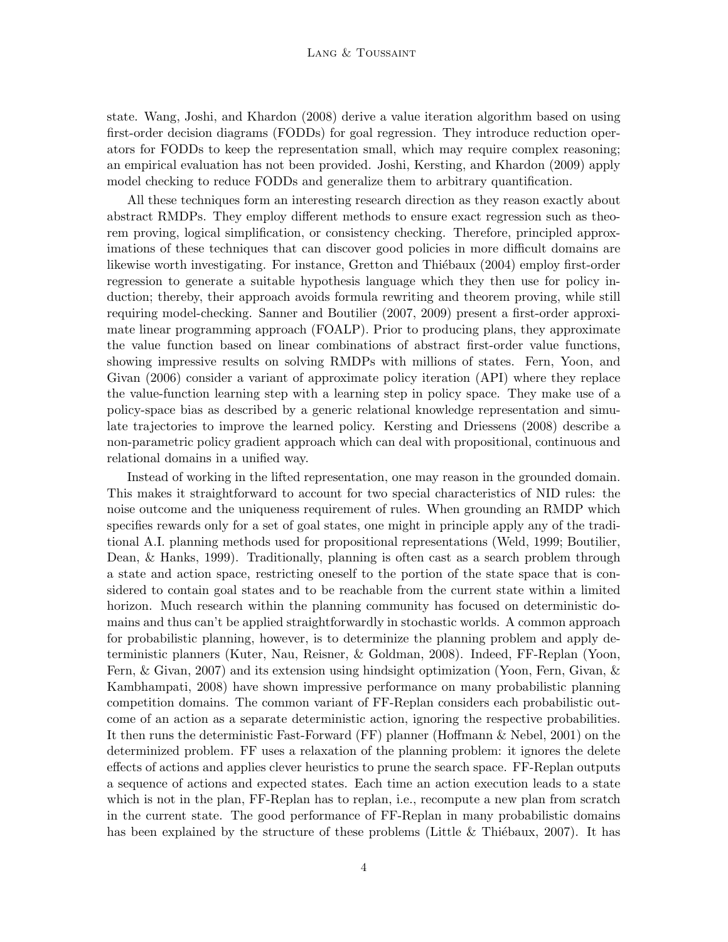state. Wang, Joshi, and Khardon (2008) derive a value iteration algorithm based on using first-order decision diagrams (FODDs) for goal regression. They introduce reduction operators for FODDs to keep the representation small, which may require complex reasoning; an empirical evaluation has not been provided. Joshi, Kersting, and Khardon (2009) apply model checking to reduce FODDs and generalize them to arbitrary quantification.

All these techniques form an interesting research direction as they reason exactly about abstract RMDPs. They employ different methods to ensure exact regression such as theorem proving, logical simplification, or consistency checking. Therefore, principled approximations of these techniques that can discover good policies in more difficult domains are likewise worth investigating. For instance, Gretton and Thiébaux (2004) employ first-order regression to generate a suitable hypothesis language which they then use for policy induction; thereby, their approach avoids formula rewriting and theorem proving, while still requiring model-checking. Sanner and Boutilier (2007, 2009) present a first-order approximate linear programming approach (FOALP). Prior to producing plans, they approximate the value function based on linear combinations of abstract first-order value functions, showing impressive results on solving RMDPs with millions of states. Fern, Yoon, and Givan (2006) consider a variant of approximate policy iteration (API) where they replace the value-function learning step with a learning step in policy space. They make use of a policy-space bias as described by a generic relational knowledge representation and simulate trajectories to improve the learned policy. Kersting and Driessens (2008) describe a non-parametric policy gradient approach which can deal with propositional, continuous and relational domains in a unified way.

Instead of working in the lifted representation, one may reason in the grounded domain. This makes it straightforward to account for two special characteristics of NID rules: the noise outcome and the uniqueness requirement of rules. When grounding an RMDP which specifies rewards only for a set of goal states, one might in principle apply any of the traditional A.I. planning methods used for propositional representations (Weld, 1999; Boutilier, Dean, & Hanks, 1999). Traditionally, planning is often cast as a search problem through a state and action space, restricting oneself to the portion of the state space that is considered to contain goal states and to be reachable from the current state within a limited horizon. Much research within the planning community has focused on deterministic domains and thus can't be applied straightforwardly in stochastic worlds. A common approach for probabilistic planning, however, is to determinize the planning problem and apply deterministic planners (Kuter, Nau, Reisner, & Goldman, 2008). Indeed, FF-Replan (Yoon, Fern, & Givan, 2007) and its extension using hindsight optimization (Yoon, Fern, Givan, & Kambhampati, 2008) have shown impressive performance on many probabilistic planning competition domains. The common variant of FF-Replan considers each probabilistic outcome of an action as a separate deterministic action, ignoring the respective probabilities. It then runs the deterministic Fast-Forward (FF) planner (Hoffmann & Nebel, 2001) on the determinized problem. FF uses a relaxation of the planning problem: it ignores the delete effects of actions and applies clever heuristics to prune the search space. FF-Replan outputs a sequence of actions and expected states. Each time an action execution leads to a state which is not in the plan, FF-Replan has to replan, i.e., recompute a new plan from scratch in the current state. The good performance of FF-Replan in many probabilistic domains has been explained by the structure of these problems (Little  $\&$  Thiébaux, 2007). It has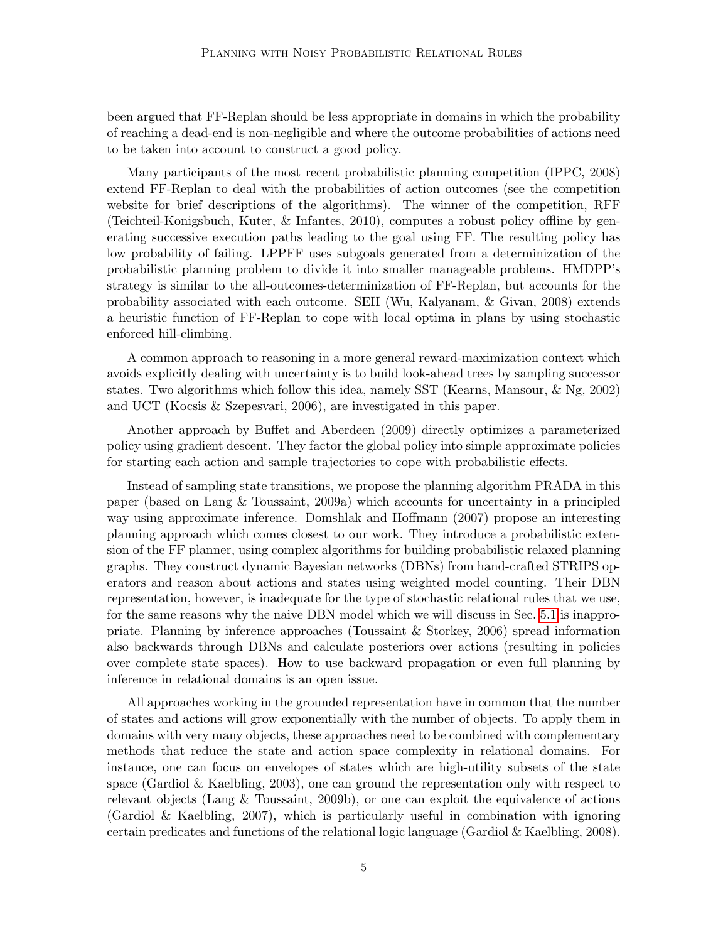been argued that FF-Replan should be less appropriate in domains in which the probability of reaching a dead-end is non-negligible and where the outcome probabilities of actions need to be taken into account to construct a good policy.

Many participants of the most recent probabilistic planning competition (IPPC, 2008) extend FF-Replan to deal with the probabilities of action outcomes (see the competition website for brief descriptions of the algorithms). The winner of the competition, RFF (Teichteil-Konigsbuch, Kuter, & Infantes, 2010), computes a robust policy offline by generating successive execution paths leading to the goal using FF. The resulting policy has low probability of failing. LPPFF uses subgoals generated from a determinization of the probabilistic planning problem to divide it into smaller manageable problems. HMDPP's strategy is similar to the all-outcomes-determinization of FF-Replan, but accounts for the probability associated with each outcome. SEH (Wu, Kalyanam, & Givan, 2008) extends a heuristic function of FF-Replan to cope with local optima in plans by using stochastic enforced hill-climbing.

A common approach to reasoning in a more general reward-maximization context which avoids explicitly dealing with uncertainty is to build look-ahead trees by sampling successor states. Two algorithms which follow this idea, namely SST (Kearns, Mansour, & Ng, 2002) and UCT (Kocsis & Szepesvari, 2006), are investigated in this paper.

Another approach by Buffet and Aberdeen (2009) directly optimizes a parameterized policy using gradient descent. They factor the global policy into simple approximate policies for starting each action and sample trajectories to cope with probabilistic effects.

Instead of sampling state transitions, we propose the planning algorithm PRADA in this paper (based on Lang & Toussaint, 2009a) which accounts for uncertainty in a principled way using approximate inference. Domshlak and Hoffmann (2007) propose an interesting planning approach which comes closest to our work. They introduce a probabilistic extension of the FF planner, using complex algorithms for building probabilistic relaxed planning graphs. They construct dynamic Bayesian networks (DBNs) from hand-crafted STRIPS operators and reason about actions and states using weighted model counting. Their DBN representation, however, is inadequate for the type of stochastic relational rules that we use, for the same reasons why the naive DBN model which we will discuss in Sec. [5.1](#page-14-0) is inappropriate. Planning by inference approaches (Toussaint & Storkey, 2006) spread information also backwards through DBNs and calculate posteriors over actions (resulting in policies over complete state spaces). How to use backward propagation or even full planning by inference in relational domains is an open issue.

All approaches working in the grounded representation have in common that the number of states and actions will grow exponentially with the number of objects. To apply them in domains with very many objects, these approaches need to be combined with complementary methods that reduce the state and action space complexity in relational domains. For instance, one can focus on envelopes of states which are high-utility subsets of the state space (Gardiol & Kaelbling, 2003), one can ground the representation only with respect to relevant objects (Lang & Toussaint, 2009b), or one can exploit the equivalence of actions (Gardiol & Kaelbling, 2007), which is particularly useful in combination with ignoring certain predicates and functions of the relational logic language (Gardiol & Kaelbling, 2008).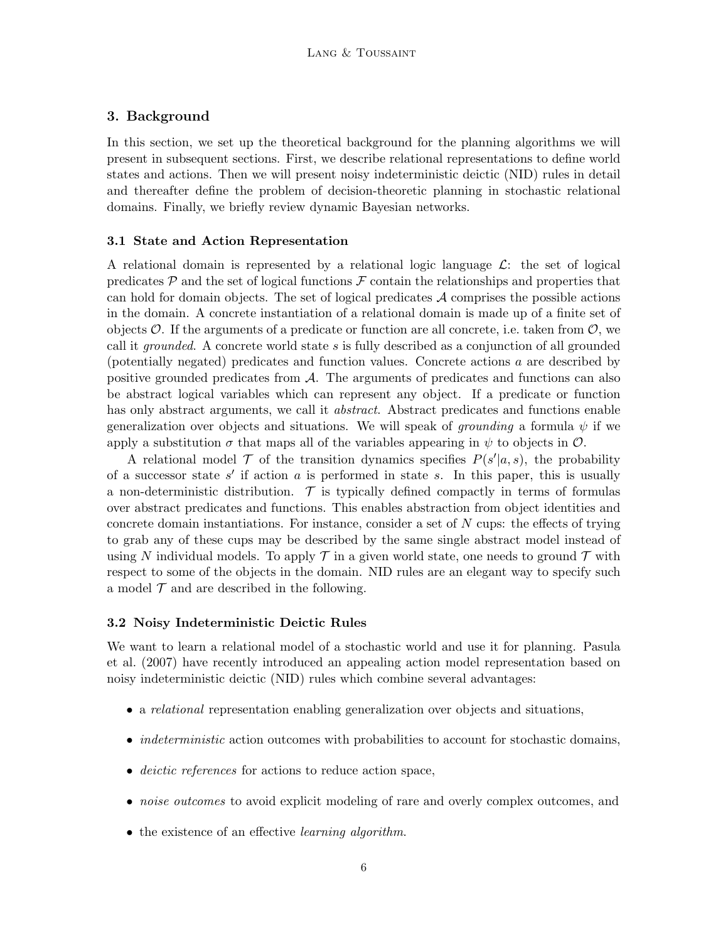# <span id="page-5-0"></span>3. Background

In this section, we set up the theoretical background for the planning algorithms we will present in subsequent sections. First, we describe relational representations to define world states and actions. Then we will present noisy indeterministic deictic (NID) rules in detail and thereafter define the problem of decision-theoretic planning in stochastic relational domains. Finally, we briefly review dynamic Bayesian networks.

#### 3.1 State and Action Representation

A relational domain is represented by a relational logic language  $\mathcal{L}$ : the set of logical predicates  $P$  and the set of logical functions  $\mathcal F$  contain the relationships and properties that can hold for domain objects. The set of logical predicates  $A$  comprises the possible actions in the domain. A concrete instantiation of a relational domain is made up of a finite set of objects  $\mathcal O$ . If the arguments of a predicate or function are all concrete, i.e. taken from  $\mathcal O$ , we call it grounded. A concrete world state s is fully described as a conjunction of all grounded (potentially negated) predicates and function values. Concrete actions a are described by positive grounded predicates from  $A$ . The arguments of predicates and functions can also be abstract logical variables which can represent any object. If a predicate or function has only abstract arguments, we call it *abstract*. Abstract predicates and functions enable generalization over objects and situations. We will speak of *grounding* a formula  $\psi$  if we apply a substitution  $\sigma$  that maps all of the variables appearing in  $\psi$  to objects in  $\mathcal{O}$ .

A relational model  $\mathcal T$  of the transition dynamics specifies  $P(s'|a, s)$ , the probability of a successor state  $s'$  if action  $a$  is performed in state  $s$ . In this paper, this is usually a non-deterministic distribution.  $\mathcal T$  is typically defined compactly in terms of formulas over abstract predicates and functions. This enables abstraction from object identities and concrete domain instantiations. For instance, consider a set of  $N$  cups: the effects of trying to grab any of these cups may be described by the same single abstract model instead of using N individual models. To apply  $\mathcal T$  in a given world state, one needs to ground  $\mathcal T$  with respect to some of the objects in the domain. NID rules are an elegant way to specify such a model  $\mathcal T$  and are described in the following.

#### <span id="page-5-1"></span>3.2 Noisy Indeterministic Deictic Rules

We want to learn a relational model of a stochastic world and use it for planning. Pasula et al. (2007) have recently introduced an appealing action model representation based on noisy indeterministic deictic (NID) rules which combine several advantages:

- a relational representation enabling generalization over objects and situations,
- *indeterministic* action outcomes with probabilities to account for stochastic domains,
- *deictic references* for actions to reduce action space,
- *noise outcomes* to avoid explicit modeling of rare and overly complex outcomes, and
- the existence of an effective *learning algorithm*.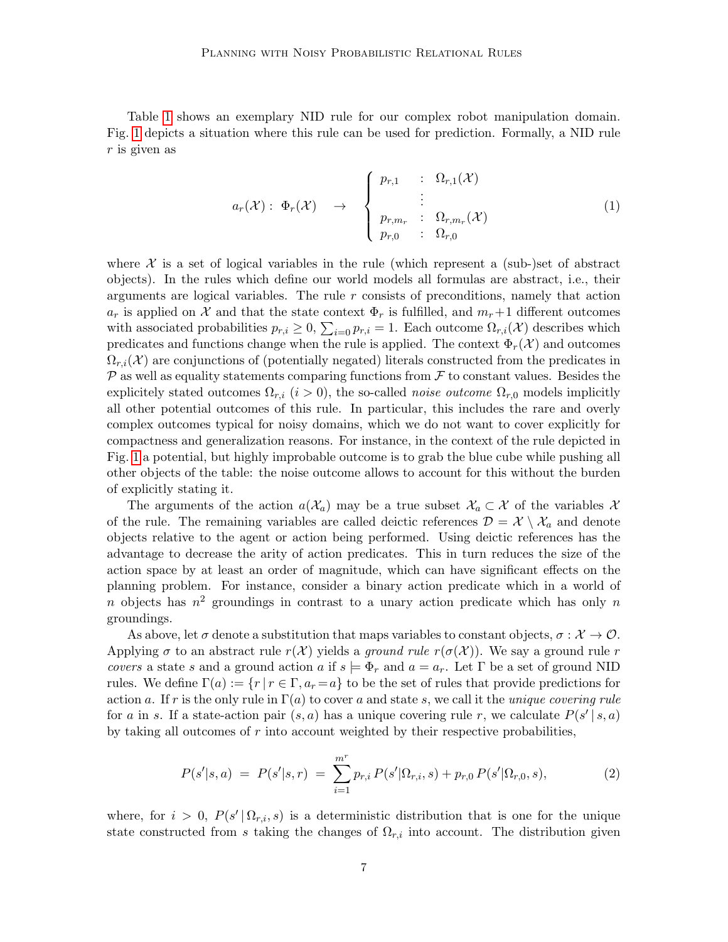Table [1](#page-7-0) shows an exemplary NID rule for our complex robot manipulation domain. Fig. [1](#page-7-1) depicts a situation where this rule can be used for prediction. Formally, a NID rule  $r$  is given as

$$
a_r(\mathcal{X}): \Phi_r(\mathcal{X}) \rightarrow \begin{cases} p_{r,1} & \colon \Omega_{r,1}(\mathcal{X}) \\ \vdots \\ p_{r,m_r} & \colon \Omega_{r,m_r}(\mathcal{X}) \\ p_{r,0} & \colon \Omega_{r,0} \end{cases}
$$
 (1)

where  $X$  is a set of logical variables in the rule (which represent a (sub-)set of abstract objects). In the rules which define our world models all formulas are abstract, i.e., their arguments are logical variables. The rule  $r$  consists of preconditions, namely that action  $a_r$  is applied on X and that the state context  $\Phi_r$  is fulfilled, and  $m_r+1$  different outcomes with associated probabilities  $p_{r,i} \geq 0$ ,  $\sum_{i=0} p_{r,i} = 1$ . Each outcome  $\Omega_{r,i}(\mathcal{X})$  describes which predicates and functions change when the rule is applied. The context  $\Phi_r(\mathcal{X})$  and outcomes  $\Omega_{r,i}(\mathcal{X})$  are conjunctions of (potentially negated) literals constructed from the predicates in  $P$  as well as equality statements comparing functions from  $\mathcal F$  to constant values. Besides the explicitely stated outcomes  $\Omega_{r,i}$  (i > 0), the so-called *noise outcome*  $\Omega_{r,0}$  models implicitly all other potential outcomes of this rule. In particular, this includes the rare and overly complex outcomes typical for noisy domains, which we do not want to cover explicitly for compactness and generalization reasons. For instance, in the context of the rule depicted in Fig. [1](#page-7-1) a potential, but highly improbable outcome is to grab the blue cube while pushing all other objects of the table: the noise outcome allows to account for this without the burden of explicitly stating it.

The arguments of the action  $a(\mathcal{X}_a)$  may be a true subset  $\mathcal{X}_a \subset \mathcal{X}$  of the variables X of the rule. The remaining variables are called deictic references  $\mathcal{D} = \mathcal{X} \setminus \mathcal{X}_a$  and denote objects relative to the agent or action being performed. Using deictic references has the advantage to decrease the arity of action predicates. This in turn reduces the size of the action space by at least an order of magnitude, which can have significant effects on the planning problem. For instance, consider a binary action predicate which in a world of n objects has  $n^2$  groundings in contrast to a unary action predicate which has only n groundings.

As above, let  $\sigma$  denote a substitution that maps variables to constant objects,  $\sigma : \mathcal{X} \to \mathcal{O}$ . Applying  $\sigma$  to an abstract rule  $r(\mathcal{X})$  yields a *ground rule r*( $\sigma(\mathcal{X})$ ). We say a ground rule r covers a state s and a ground action a if  $s \models \Phi_r$  and  $a = a_r$ . Let  $\Gamma$  be a set of ground NID rules. We define  $\Gamma(a) := \{r \mid r \in \Gamma, a_r = a\}$  to be the set of rules that provide predictions for action a. If r is the only rule in  $\Gamma(a)$  to cover a and state s, we call it the unique covering rule for a in s. If a state-action pair  $(s, a)$  has a unique covering rule r, we calculate  $P(s' | s, a)$ by taking all outcomes of  $r$  into account weighted by their respective probabilities,

<span id="page-6-0"></span>
$$
P(s'|s,a) = P(s'|s,r) = \sum_{i=1}^{m^r} p_{r,i} P(s'|\Omega_{r,i}, s) + p_{r,0} P(s'|\Omega_{r,0}, s),
$$
\n(2)

where, for  $i > 0$ ,  $P(s' | \Omega_{r,i}, s)$  is a deterministic distribution that is one for the unique state constructed from s taking the changes of  $\Omega_{r,i}$  into account. The distribution given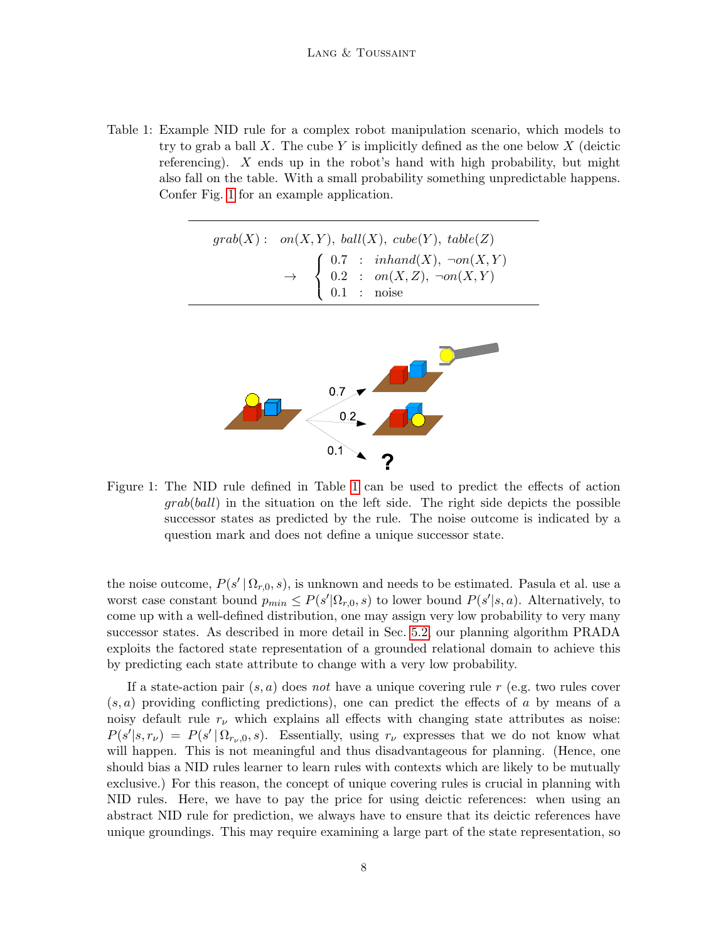<span id="page-7-0"></span>Table 1: Example NID rule for a complex robot manipulation scenario, which models to try to grab a ball X. The cube Y is implicitly defined as the one below  $X$  (deictic referencing). X ends up in the robot's hand with high probability, but might also fall on the table. With a small probability something unpredictable happens. Confer Fig. [1](#page-7-1) for an example application.

|  |  | $grab(X) : \quad on(X, Y), \; ball(X), \; cube(Y), \; table(Z)$                                                                                                       |
|--|--|-----------------------------------------------------------------------------------------------------------------------------------------------------------------------|
|  |  | $\rightarrow \quad \left\{ \begin{array}{lcl} 0.7 & : & inhand(X), \ \neg on(X,Y) \\ 0.2 & : & on(X,Z), \ \neg on(X,Y) \\ 0.1 & : & \text{noise} \end{array} \right.$ |

<span id="page-7-1"></span>

Figure 1: The NID rule defined in Table [1](#page-7-0) can be used to predict the effects of action grab(ball) in the situation on the left side. The right side depicts the possible successor states as predicted by the rule. The noise outcome is indicated by a question mark and does not define a unique successor state.

the noise outcome,  $P(s' | \Omega_{r,0}, s)$ , is unknown and needs to be estimated. Pasula et al. use a worst case constant bound  $p_{min} \leq P(s'|\Omega_{r,0}, s)$  to lower bound  $P(s'|s, a)$ . Alternatively, to come up with a well-defined distribution, one may assign very low probability to very many successor states. As described in more detail in Sec. [5.2,](#page-17-0) our planning algorithm PRADA exploits the factored state representation of a grounded relational domain to achieve this by predicting each state attribute to change with a very low probability.

If a state-action pair  $(s, a)$  does not have a unique covering rule r (e.g. two rules cover  $(s, a)$  providing conflicting predictions), one can predict the effects of a by means of a noisy default rule  $r_{\nu}$  which explains all effects with changing state attributes as noise:  $P(s'|s,r_\nu) = P(s' | \Omega_{r_\nu,0}, s)$ . Essentially, using  $r_\nu$  expresses that we do not know what will happen. This is not meaningful and thus disadvantageous for planning. (Hence, one should bias a NID rules learner to learn rules with contexts which are likely to be mutually exclusive.) For this reason, the concept of unique covering rules is crucial in planning with NID rules. Here, we have to pay the price for using deictic references: when using an abstract NID rule for prediction, we always have to ensure that its deictic references have unique groundings. This may require examining a large part of the state representation, so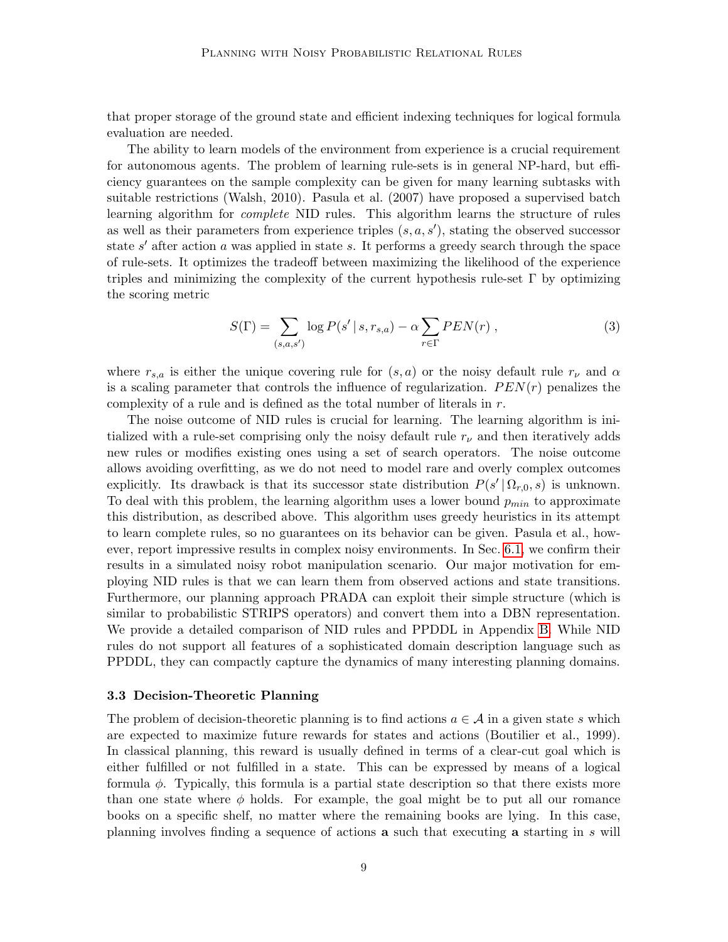that proper storage of the ground state and efficient indexing techniques for logical formula evaluation are needed.

The ability to learn models of the environment from experience is a crucial requirement for autonomous agents. The problem of learning rule-sets is in general NP-hard, but efficiency guarantees on the sample complexity can be given for many learning subtasks with suitable restrictions (Walsh, 2010). Pasula et al. (2007) have proposed a supervised batch learning algorithm for *complete* NID rules. This algorithm learns the structure of rules as well as their parameters from experience triples  $(s, a, s')$ , stating the observed successor state  $s'$  after action  $a$  was applied in state  $s$ . It performs a greedy search through the space of rule-sets. It optimizes the tradeoff between maximizing the likelihood of the experience triples and minimizing the complexity of the current hypothesis rule-set  $\Gamma$  by optimizing the scoring metric

<span id="page-8-1"></span>
$$
S(\Gamma) = \sum_{(s,a,s')} \log P(s' \mid s, r_{s,a}) - \alpha \sum_{r \in \Gamma} PEN(r) , \qquad (3)
$$

where  $r_{s,a}$  is either the unique covering rule for  $(s, a)$  or the noisy default rule  $r_{\nu}$  and  $\alpha$ is a scaling parameter that controls the influence of regularization.  $PEN(r)$  penalizes the complexity of a rule and is defined as the total number of literals in  $r$ .

The noise outcome of NID rules is crucial for learning. The learning algorithm is initialized with a rule-set comprising only the noisy default rule  $r_{\nu}$  and then iteratively adds new rules or modifies existing ones using a set of search operators. The noise outcome allows avoiding overfitting, as we do not need to model rare and overly complex outcomes explicitly. Its drawback is that its successor state distribution  $P(s' | \Omega_{r,0}, s)$  is unknown. To deal with this problem, the learning algorithm uses a lower bound  $p_{min}$  to approximate this distribution, as described above. This algorithm uses greedy heuristics in its attempt to learn complete rules, so no guarantees on its behavior can be given. Pasula et al., however, report impressive results in complex noisy environments. In Sec. [6.1,](#page-26-1) we confirm their results in a simulated noisy robot manipulation scenario. Our major motivation for employing NID rules is that we can learn them from observed actions and state transitions. Furthermore, our planning approach PRADA can exploit their simple structure (which is similar to probabilistic STRIPS operators) and convert them into a DBN representation. We provide a detailed comparison of NID rules and PPDDL in Appendix [B.](#page-41-0) While NID rules do not support all features of a sophisticated domain description language such as PPDDL, they can compactly capture the dynamics of many interesting planning domains.

#### <span id="page-8-0"></span>3.3 Decision-Theoretic Planning

The problem of decision-theoretic planning is to find actions  $a \in \mathcal{A}$  in a given state s which are expected to maximize future rewards for states and actions (Boutilier et al., 1999). In classical planning, this reward is usually defined in terms of a clear-cut goal which is either fulfilled or not fulfilled in a state. This can be expressed by means of a logical formula  $\phi$ . Typically, this formula is a partial state description so that there exists more than one state where  $\phi$  holds. For example, the goal might be to put all our romance books on a specific shelf, no matter where the remaining books are lying. In this case, planning involves finding a sequence of actions a such that executing a starting in s will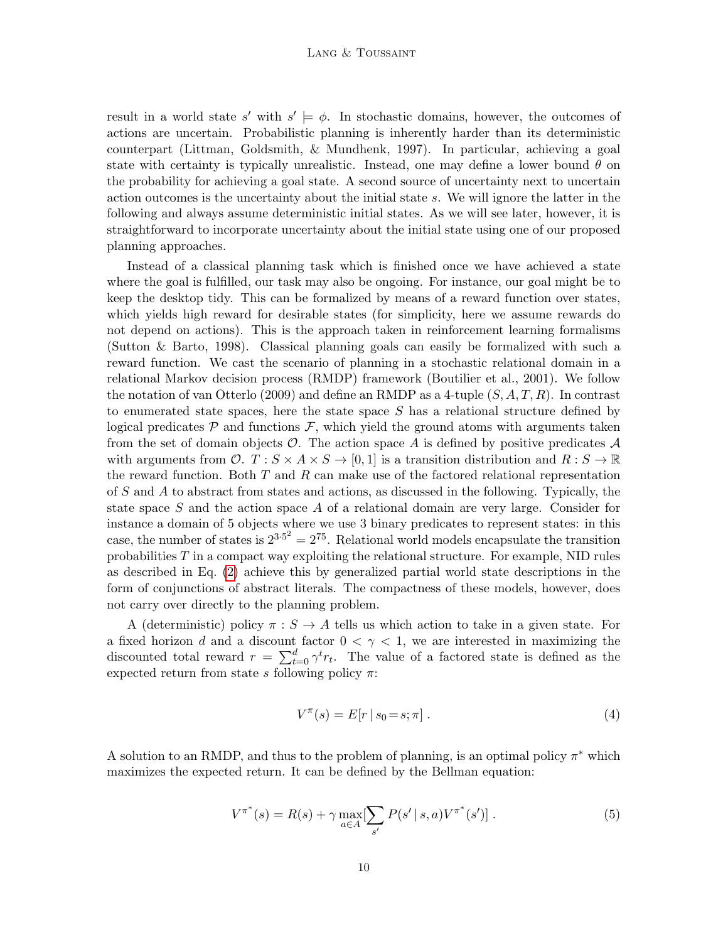#### LANG & TOUSSAINT

result in a world state s' with  $s' \models \phi$ . In stochastic domains, however, the outcomes of actions are uncertain. Probabilistic planning is inherently harder than its deterministic counterpart (Littman, Goldsmith, & Mundhenk, 1997). In particular, achieving a goal state with certainty is typically unrealistic. Instead, one may define a lower bound  $\theta$  on the probability for achieving a goal state. A second source of uncertainty next to uncertain action outcomes is the uncertainty about the initial state s. We will ignore the latter in the following and always assume deterministic initial states. As we will see later, however, it is straightforward to incorporate uncertainty about the initial state using one of our proposed planning approaches.

Instead of a classical planning task which is finished once we have achieved a state where the goal is fulfilled, our task may also be ongoing. For instance, our goal might be to keep the desktop tidy. This can be formalized by means of a reward function over states, which yields high reward for desirable states (for simplicity, here we assume rewards do not depend on actions). This is the approach taken in reinforcement learning formalisms (Sutton & Barto, 1998). Classical planning goals can easily be formalized with such a reward function. We cast the scenario of planning in a stochastic relational domain in a relational Markov decision process (RMDP) framework (Boutilier et al., 2001). We follow the notation of van Otterlo (2009) and define an RMDP as a 4-tuple  $(S, A, T, R)$ . In contrast to enumerated state spaces, here the state space  $S$  has a relational structure defined by logical predicates  $P$  and functions  $F$ , which yield the ground atoms with arguments taken from the set of domain objects  $\mathcal O$ . The action space A is defined by positive predicates  $\mathcal A$ with arguments from  $\mathcal{O}.$   $T : S \times A \times S \rightarrow [0,1]$  is a transition distribution and  $R : S \rightarrow \mathbb{R}$ the reward function. Both  $T$  and  $R$  can make use of the factored relational representation of S and A to abstract from states and actions, as discussed in the following. Typically, the state space S and the action space A of a relational domain are very large. Consider for instance a domain of 5 objects where we use 3 binary predicates to represent states: in this case, the number of states is  $2^{3.5^2} = 2^{75}$ . Relational world models encapsulate the transition probabilities  $T$  in a compact way exploiting the relational structure. For example, NID rules as described in Eq. [\(2\)](#page-6-0) achieve this by generalized partial world state descriptions in the form of conjunctions of abstract literals. The compactness of these models, however, does not carry over directly to the planning problem.

A (deterministic) policy  $\pi : S \to A$  tells us which action to take in a given state. For a fixed horizon d and a discount factor  $0 < \gamma < 1$ , we are interested in maximizing the discounted total reward  $r = \sum_{t=0}^{d} \gamma^t r_t$ . The value of a factored state is defined as the expected return from state s following policy  $\pi$ :

$$
V^{\pi}(s) = E[r \mid s_0 = s; \pi]. \tag{4}
$$

A solution to an RMDP, and thus to the problem of planning, is an optimal policy  $\pi^*$  which maximizes the expected return. It can be defined by the Bellman equation:

$$
V^{\pi^*}(s) = R(s) + \gamma \max_{a \in A} [\sum_{s'} P(s' \mid s, a) V^{\pi^*}(s')] .
$$
 (5)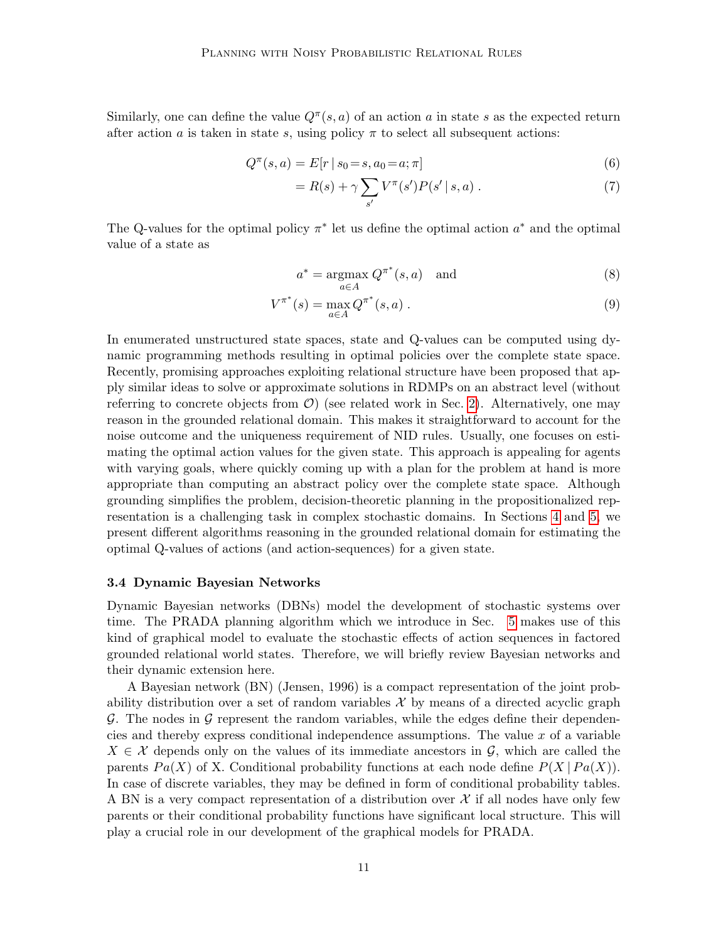Similarly, one can define the value  $Q^{\pi}(s, a)$  of an action a in state s as the expected return after action a is taken in state s, using policy  $\pi$  to select all subsequent actions:

$$
Q^{\pi}(s, a) = E[r \mid s_0 = s, a_0 = a; \pi]
$$
\n(6)

$$
= R(s) + \gamma \sum_{s'} V^{\pi}(s')P(s' | s, a) . \tag{7}
$$

The Q-values for the optimal policy  $\pi^*$  let us define the optimal action  $a^*$  and the optimal value of a state as

$$
a^* = \underset{a \in A}{\operatorname{argmax}} \ Q^{\pi^*}(s, a) \quad \text{and} \tag{8}
$$

$$
V^{\pi^*}(s) = \max_{a \in A} Q^{\pi^*}(s, a) .
$$
 (9)

In enumerated unstructured state spaces, state and Q-values can be computed using dynamic programming methods resulting in optimal policies over the complete state space. Recently, promising approaches exploiting relational structure have been proposed that apply similar ideas to solve or approximate solutions in RDMPs on an abstract level (without referring to concrete objects from  $\mathcal{O}$ ) (see related work in Sec. [2\)](#page-2-0). Alternatively, one may reason in the grounded relational domain. This makes it straightforward to account for the noise outcome and the uniqueness requirement of NID rules. Usually, one focuses on estimating the optimal action values for the given state. This approach is appealing for agents with varying goals, where quickly coming up with a plan for the problem at hand is more appropriate than computing an abstract policy over the complete state space. Although grounding simplifies the problem, decision-theoretic planning in the propositionalized representation is a challenging task in complex stochastic domains. In Sections [4](#page-11-0) and [5,](#page-13-0) we present different algorithms reasoning in the grounded relational domain for estimating the optimal Q-values of actions (and action-sequences) for a given state.

#### 3.4 Dynamic Bayesian Networks

Dynamic Bayesian networks (DBNs) model the development of stochastic systems over time. The PRADA planning algorithm which we introduce in Sec. [5](#page-13-0) makes use of this kind of graphical model to evaluate the stochastic effects of action sequences in factored grounded relational world states. Therefore, we will briefly review Bayesian networks and their dynamic extension here.

A Bayesian network (BN) (Jensen, 1996) is a compact representation of the joint probability distribution over a set of random variables  $\mathcal X$  by means of a directed acyclic graph  $\mathcal G$ . The nodes in  $\mathcal G$  represent the random variables, while the edges define their dependencies and thereby express conditional independence assumptions. The value  $x$  of a variable  $X \in \mathcal{X}$  depends only on the values of its immediate ancestors in  $\mathcal{G}$ , which are called the parents  $Pa(X)$  of X. Conditional probability functions at each node define  $P(X | Pa(X))$ . In case of discrete variables, they may be defined in form of conditional probability tables. A BN is a very compact representation of a distribution over  $\mathcal X$  if all nodes have only few parents or their conditional probability functions have significant local structure. This will play a crucial role in our development of the graphical models for PRADA.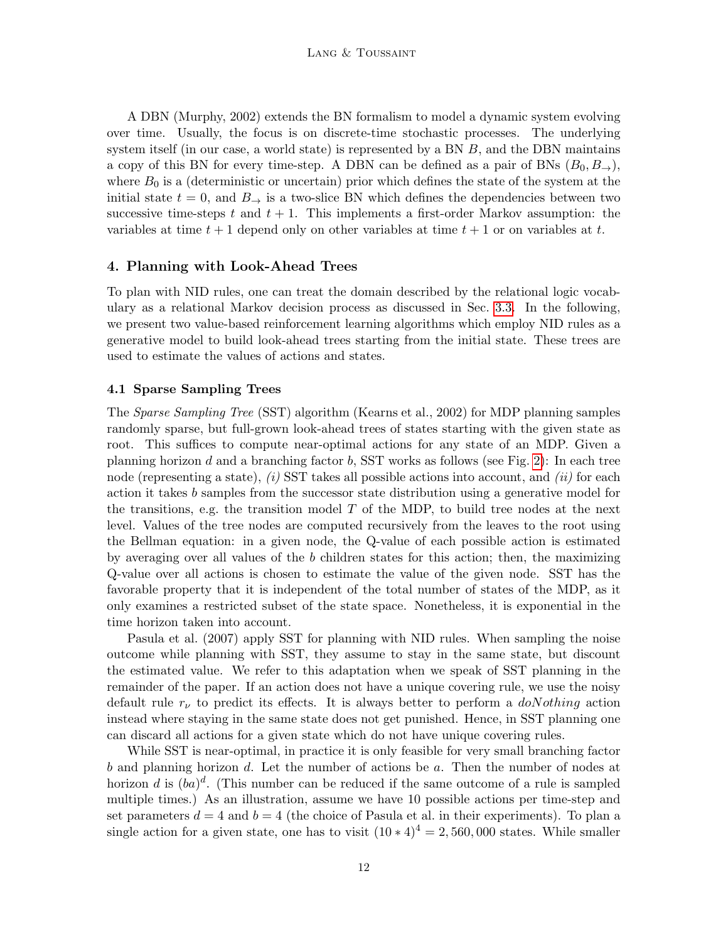A DBN (Murphy, 2002) extends the BN formalism to model a dynamic system evolving over time. Usually, the focus is on discrete-time stochastic processes. The underlying system itself (in our case, a world state) is represented by a BN B, and the DBN maintains a copy of this BN for every time-step. A DBN can be defined as a pair of BNs  $(B_0, B_{\rightarrow})$ , where  $B_0$  is a (deterministic or uncertain) prior which defines the state of the system at the initial state  $t = 0$ , and  $B_{\rightarrow}$  is a two-slice BN which defines the dependencies between two successive time-steps t and  $t + 1$ . This implements a first-order Markov assumption: the variables at time  $t + 1$  depend only on other variables at time  $t + 1$  or on variables at t.

## <span id="page-11-0"></span>4. Planning with Look-Ahead Trees

To plan with NID rules, one can treat the domain described by the relational logic vocabulary as a relational Markov decision process as discussed in Sec. [3.3.](#page-8-0) In the following, we present two value-based reinforcement learning algorithms which employ NID rules as a generative model to build look-ahead trees starting from the initial state. These trees are used to estimate the values of actions and states.

#### 4.1 Sparse Sampling Trees

The Sparse Sampling Tree (SST) algorithm (Kearns et al., 2002) for MDP planning samples randomly sparse, but full-grown look-ahead trees of states starting with the given state as root. This suffices to compute near-optimal actions for any state of an MDP. Given a planning horizon d and a branching factor b, SST works as follows (see Fig. [2\)](#page-12-0): In each tree node (representing a state), (i) SST takes all possible actions into account, and (ii) for each action it takes b samples from the successor state distribution using a generative model for the transitions, e.g. the transition model  $T$  of the MDP, to build tree nodes at the next level. Values of the tree nodes are computed recursively from the leaves to the root using the Bellman equation: in a given node, the Q-value of each possible action is estimated by averaging over all values of the b children states for this action; then, the maximizing Q-value over all actions is chosen to estimate the value of the given node. SST has the favorable property that it is independent of the total number of states of the MDP, as it only examines a restricted subset of the state space. Nonetheless, it is exponential in the time horizon taken into account.

Pasula et al. (2007) apply SST for planning with NID rules. When sampling the noise outcome while planning with SST, they assume to stay in the same state, but discount the estimated value. We refer to this adaptation when we speak of SST planning in the remainder of the paper. If an action does not have a unique covering rule, we use the noisy default rule  $r_{\nu}$  to predict its effects. It is always better to perform a  $doNothing$  action instead where staying in the same state does not get punished. Hence, in SST planning one can discard all actions for a given state which do not have unique covering rules.

While SST is near-optimal, in practice it is only feasible for very small branching factor b and planning horizon d. Let the number of actions be  $a$ . Then the number of nodes at horizon d is  $(ba)^d$ . (This number can be reduced if the same outcome of a rule is sampled multiple times.) As an illustration, assume we have 10 possible actions per time-step and set parameters  $d = 4$  and  $b = 4$  (the choice of Pasula et al. in their experiments). To plan a single action for a given state, one has to visit  $(10 * 4)^4 = 2,560,000$  states. While smaller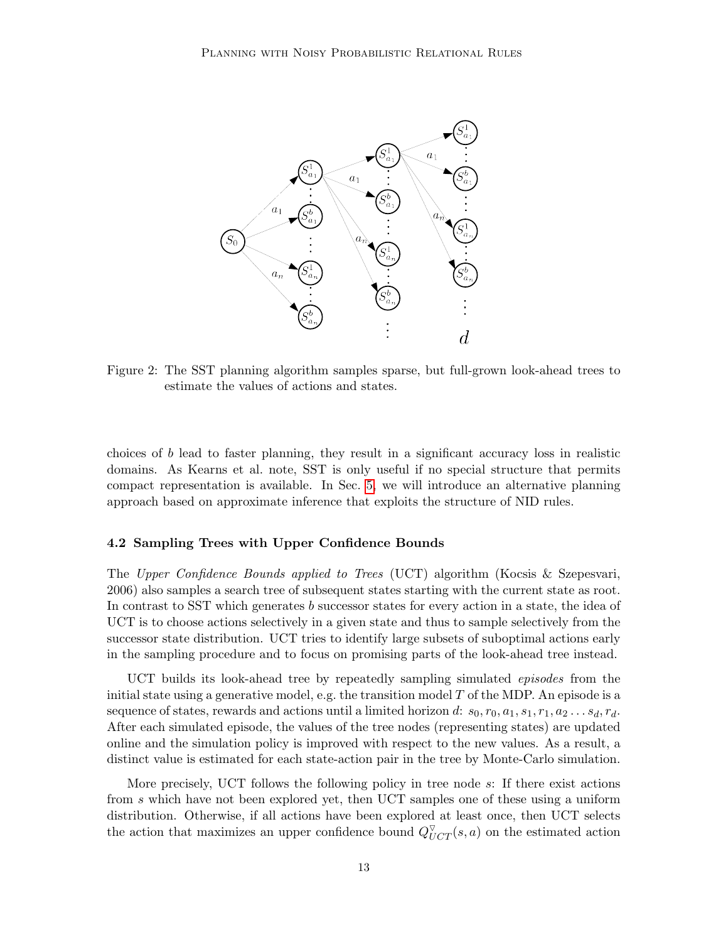<span id="page-12-0"></span>

Figure 2: The SST planning algorithm samples sparse, but full-grown look-ahead trees to estimate the values of actions and states.

choices of  $b$  lead to faster planning, they result in a significant accuracy loss in realistic domains. As Kearns et al. note, SST is only useful if no special structure that permits compact representation is available. In Sec. [5,](#page-13-0) we will introduce an alternative planning approach based on approximate inference that exploits the structure of NID rules.

## 4.2 Sampling Trees with Upper Confidence Bounds

The Upper Confidence Bounds applied to Trees (UCT) algorithm (Kocsis & Szepesvari, 2006) also samples a search tree of subsequent states starting with the current state as root. In contrast to SST which generates b successor states for every action in a state, the idea of UCT is to choose actions selectively in a given state and thus to sample selectively from the successor state distribution. UCT tries to identify large subsets of suboptimal actions early in the sampling procedure and to focus on promising parts of the look-ahead tree instead.

UCT builds its look-ahead tree by repeatedly sampling simulated episodes from the initial state using a generative model, e.g. the transition model  $T$  of the MDP. An episode is a sequence of states, rewards and actions until a limited horizon d:  $s_0, r_0, a_1, s_1, r_1, a_2 \ldots s_d, r_d$ . After each simulated episode, the values of the tree nodes (representing states) are updated online and the simulation policy is improved with respect to the new values. As a result, a distinct value is estimated for each state-action pair in the tree by Monte-Carlo simulation.

More precisely, UCT follows the following policy in tree node s: If there exist actions from s which have not been explored yet, then UCT samples one of these using a uniform distribution. Otherwise, if all actions have been explored at least once, then UCT selects the action that maximizes an upper confidence bound  $Q_{UCT}^{\triangledown}(s, a)$  on the estimated action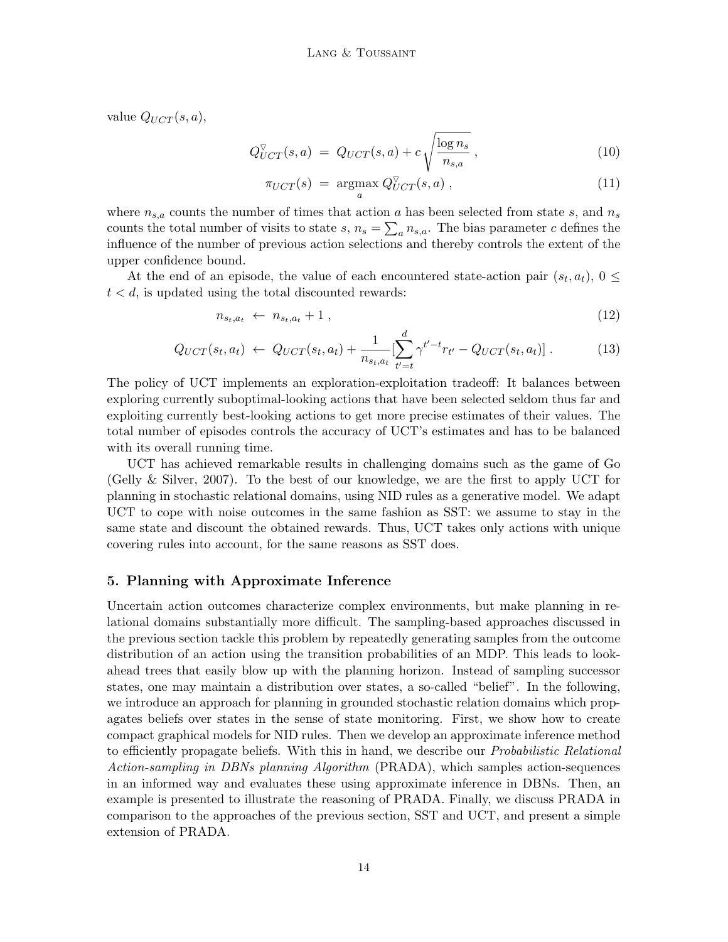value  $Q_{UCT}(s, a)$ ,

$$
Q_{UCT}^{\triangledown}(s,a) = Q_{UCT}(s,a) + c \sqrt{\frac{\log n_s}{n_{s,a}}},\tag{10}
$$

$$
\pi_{UCT}(s) = \underset{a}{\operatorname{argmax}} Q_{UCT}^{\triangledown}(s, a) , \qquad (11)
$$

where  $n_{s,a}$  counts the number of times that action a has been selected from state s, and  $n_s$ counts the total number of visits to state  $s, n_s = \sum_a n_{s,a}$ . The bias parameter c defines the influence of the number of previous action selections and thereby controls the extent of the upper confidence bound.

At the end of an episode, the value of each encountered state-action pair  $(s_t, a_t)$ ,  $0 \leq$  $t < d$ , is updated using the total discounted rewards:

$$
n_{s_t, a_t} \leftarrow n_{s_t, a_t} + 1 \tag{12}
$$

$$
Q_{UCT}(s_t, a_t) \leftarrow Q_{UCT}(s_t, a_t) + \frac{1}{n_{s_t, a_t}} \left[ \sum_{t'=t}^{d} \gamma^{t'-t} r_{t'} - Q_{UCT}(s_t, a_t) \right]. \tag{13}
$$

The policy of UCT implements an exploration-exploitation tradeoff: It balances between exploring currently suboptimal-looking actions that have been selected seldom thus far and exploiting currently best-looking actions to get more precise estimates of their values. The total number of episodes controls the accuracy of UCT's estimates and has to be balanced with its overall running time.

UCT has achieved remarkable results in challenging domains such as the game of Go (Gelly & Silver, 2007). To the best of our knowledge, we are the first to apply UCT for planning in stochastic relational domains, using NID rules as a generative model. We adapt UCT to cope with noise outcomes in the same fashion as SST: we assume to stay in the same state and discount the obtained rewards. Thus, UCT takes only actions with unique covering rules into account, for the same reasons as SST does.

# <span id="page-13-0"></span>5. Planning with Approximate Inference

Uncertain action outcomes characterize complex environments, but make planning in relational domains substantially more difficult. The sampling-based approaches discussed in the previous section tackle this problem by repeatedly generating samples from the outcome distribution of an action using the transition probabilities of an MDP. This leads to lookahead trees that easily blow up with the planning horizon. Instead of sampling successor states, one may maintain a distribution over states, a so-called "belief". In the following, we introduce an approach for planning in grounded stochastic relation domains which propagates beliefs over states in the sense of state monitoring. First, we show how to create compact graphical models for NID rules. Then we develop an approximate inference method to efficiently propagate beliefs. With this in hand, we describe our *Probabilistic Relational* Action-sampling in DBNs planning Algorithm (PRADA), which samples action-sequences in an informed way and evaluates these using approximate inference in DBNs. Then, an example is presented to illustrate the reasoning of PRADA. Finally, we discuss PRADA in comparison to the approaches of the previous section, SST and UCT, and present a simple extension of PRADA.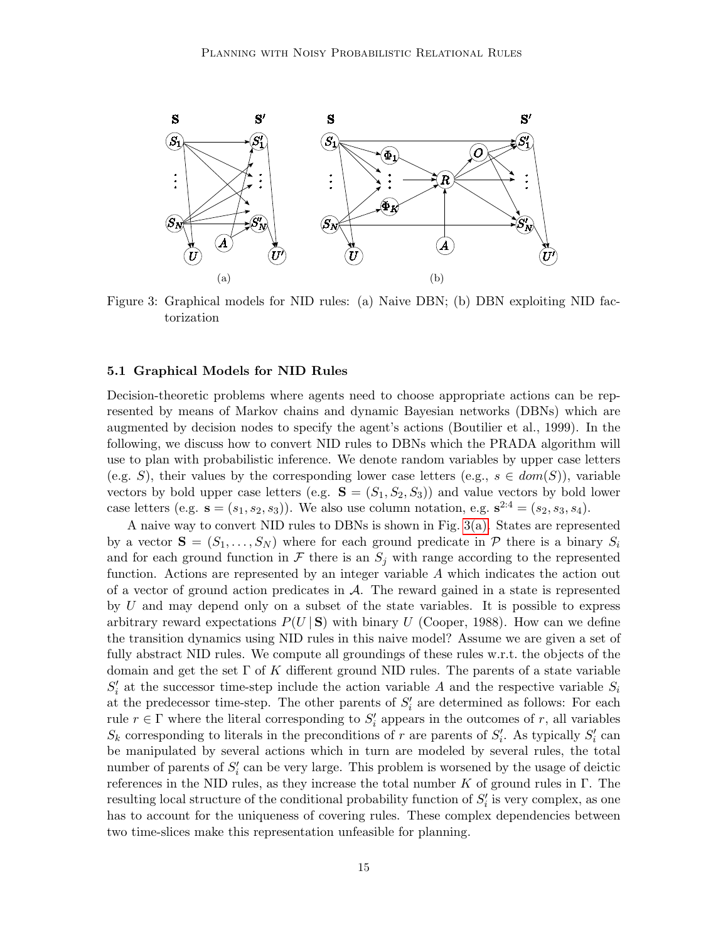<span id="page-14-1"></span>

<span id="page-14-2"></span>Figure 3: Graphical models for NID rules: (a) Naive DBN; (b) DBN exploiting NID factorization

# <span id="page-14-0"></span>5.1 Graphical Models for NID Rules

Decision-theoretic problems where agents need to choose appropriate actions can be represented by means of Markov chains and dynamic Bayesian networks (DBNs) which are augmented by decision nodes to specify the agent's actions (Boutilier et al., 1999). In the following, we discuss how to convert NID rules to DBNs which the PRADA algorithm will use to plan with probabilistic inference. We denote random variables by upper case letters (e.g. S), their values by the corresponding lower case letters (e.g.,  $s \in dom(S)$ ), variable vectors by bold upper case letters (e.g.  $S = (S_1, S_2, S_3)$ ) and value vectors by bold lower case letters (e.g.  $s = (s_1, s_2, s_3)$ ). We also use column notation, e.g.  $s^{2:4} = (s_2, s_3, s_4)$ .

A naive way to convert NID rules to DBNs is shown in Fig. [3\(a\).](#page-14-1) States are represented by a vector  $S = (S_1, \ldots, S_N)$  where for each ground predicate in P there is a binary  $S_i$ and for each ground function in  $\mathcal F$  there is an  $S_j$  with range according to the represented function. Actions are represented by an integer variable A which indicates the action out of a vector of ground action predicates in  $A$ . The reward gained in a state is represented by U and may depend only on a subset of the state variables. It is possible to express arbitrary reward expectations  $P(U | S)$  with binary U (Cooper, 1988). How can we define the transition dynamics using NID rules in this naive model? Assume we are given a set of fully abstract NID rules. We compute all groundings of these rules w.r.t. the objects of the domain and get the set  $\Gamma$  of K different ground NID rules. The parents of a state variable  $S_i'$  at the successor time-step include the action variable A and the respective variable  $S_i$ at the predecessor time-step. The other parents of  $S_i'$  are determined as follows: For each rule  $r \in \Gamma$  where the literal corresponding to  $S_i'$  appears in the outcomes of r, all variables  $S_k$  corresponding to literals in the preconditions of r are parents of  $S_i'$ . As typically  $S_i'$  can be manipulated by several actions which in turn are modeled by several rules, the total number of parents of  $S_i'$  can be very large. This problem is worsened by the usage of deictic references in the NID rules, as they increase the total number  $K$  of ground rules in  $\Gamma$ . The resulting local structure of the conditional probability function of  $S_i'$  is very complex, as one has to account for the uniqueness of covering rules. These complex dependencies between two time-slices make this representation unfeasible for planning.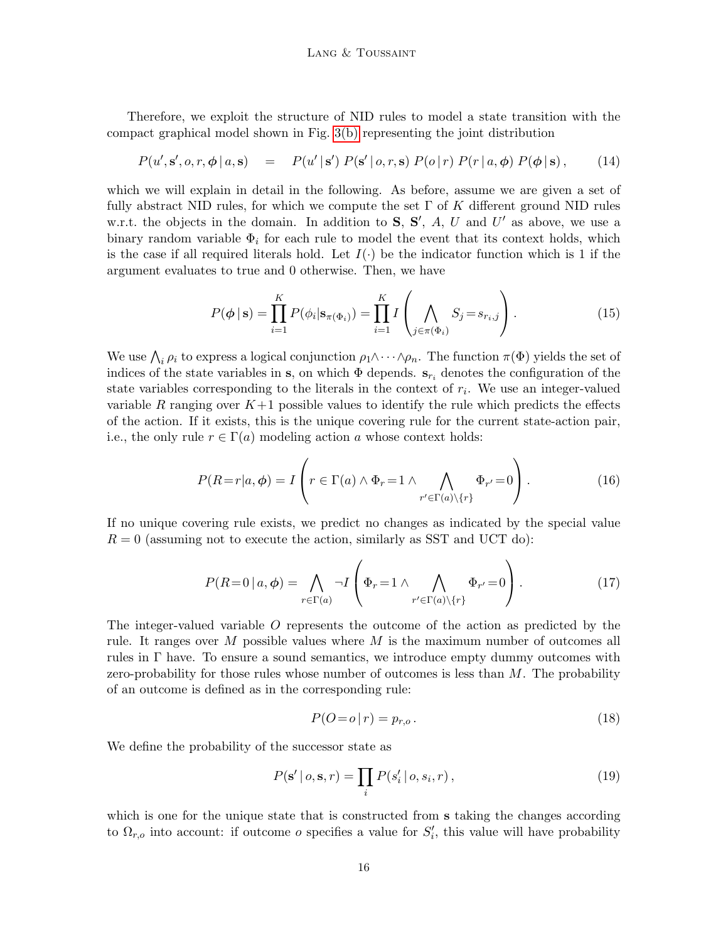Therefore, we exploit the structure of NID rules to model a state transition with the compact graphical model shown in Fig. [3\(b\)](#page-14-2) representing the joint distribution

$$
P(u',\mathbf{s}',o,r,\boldsymbol{\phi}\,|\,a,\mathbf{s}) = P(u' \,|\, \mathbf{s}')\;P(\mathbf{s}'\,|\,o,r,\mathbf{s})\;P(o\,|\,r)\;P(r\,|\,a,\boldsymbol{\phi})\;P(\boldsymbol{\phi}\,|\,\mathbf{s})\,,\tag{14}
$$

which we will explain in detail in the following. As before, assume we are given a set of fully abstract NID rules, for which we compute the set  $\Gamma$  of K different ground NID rules w.r.t. the objects in the domain. In addition to  $S, S', A, U$  and  $U'$  as above, we use a binary random variable  $\Phi_i$  for each rule to model the event that its context holds, which is the case if all required literals hold. Let  $I(\cdot)$  be the indicator function which is 1 if the argument evaluates to true and 0 otherwise. Then, we have

<span id="page-15-0"></span>
$$
P(\phi \mid \mathbf{s}) = \prod_{i=1}^{K} P(\phi_i \mid \mathbf{s}_{\pi(\Phi_i)}) = \prod_{i=1}^{K} I\left(\bigwedge_{j \in \pi(\Phi_i)} S_j = s_{r_i, j}\right).
$$
 (15)

We use  $\bigwedge_i \rho_i$  to express a logical conjunction  $\rho_1 \wedge \cdots \wedge \rho_n$ . The function  $\pi(\Phi)$  yields the set of indices of the state variables in s, on which  $\Phi$  depends.  $s_{r_i}$  denotes the configuration of the state variables corresponding to the literals in the context of  $r_i$ . We use an integer-valued variable R ranging over  $K+1$  possible values to identify the rule which predicts the effects of the action. If it exists, this is the unique covering rule for the current state-action pair, i.e., the only rule  $r \in \Gamma(a)$  modeling action a whose context holds:

$$
P(R=r|a,\phi) = I\left(r \in \Gamma(a) \land \Phi_r = 1 \land \bigwedge_{r' \in \Gamma(a) \backslash \{r\}} \Phi_{r'} = 0\right).
$$
 (16)

If no unique covering rule exists, we predict no changes as indicated by the special value  $R = 0$  (assuming not to execute the action, similarly as SST and UCT do):

$$
P(R=0 | a, \phi) = \bigwedge_{r \in \Gamma(a)} \neg I \left(\Phi_r = 1 \land \bigwedge_{r' \in \Gamma(a) \setminus \{r\}} \Phi_{r'} = 0\right). \tag{17}
$$

The integer-valued variable O represents the outcome of the action as predicted by the rule. It ranges over  $M$  possible values where  $M$  is the maximum number of outcomes all rules in Γ have. To ensure a sound semantics, we introduce empty dummy outcomes with zero-probability for those rules whose number of outcomes is less than  $M$ . The probability of an outcome is defined as in the corresponding rule:

$$
P(O = o | r) = p_{r,o}.
$$
\n
$$
(18)
$$

We define the probability of the successor state as

$$
P(\mathbf{s'} \mid o, \mathbf{s}, r) = \prod_{i} P(s'_i \mid o, s_i, r), \qquad (19)
$$

which is one for the unique state that is constructed from **s** taking the changes according to  $\Omega_{r,o}$  into account: if outcome *o* specifies a value for  $S_i'$ , this value will have probability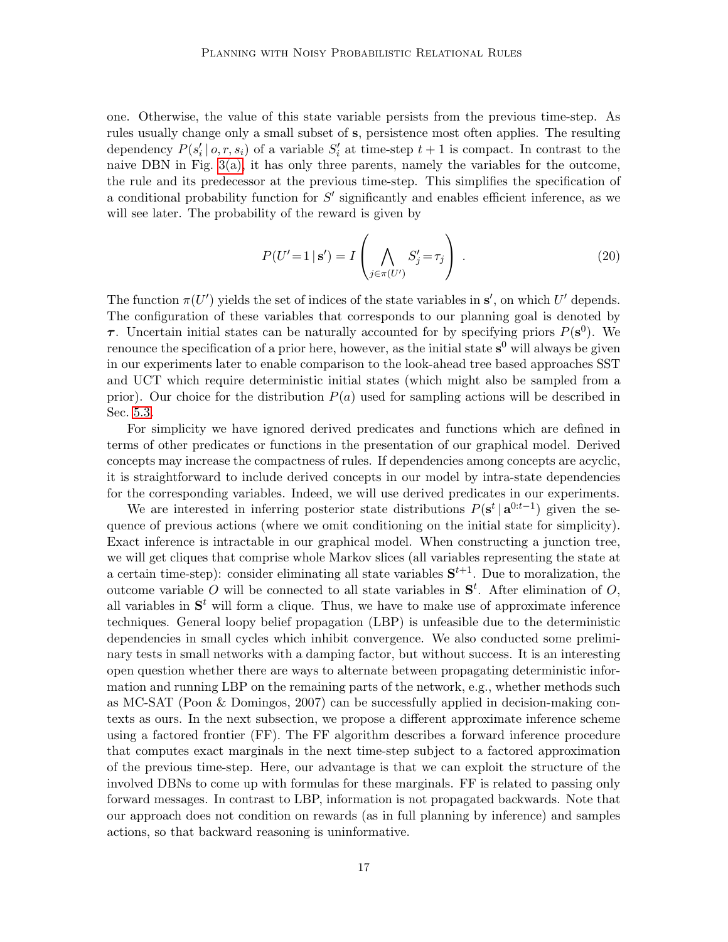one. Otherwise, the value of this state variable persists from the previous time-step. As rules usually change only a small subset of s, persistence most often applies. The resulting dependency  $P(s'_i | o, r, s_i)$  of a variable  $S'_i$  at time-step  $t + 1$  is compact. In contrast to the naive DBN in Fig. [3\(a\),](#page-14-1) it has only three parents, namely the variables for the outcome, the rule and its predecessor at the previous time-step. This simplifies the specification of a conditional probability function for  $S'$  significantly and enables efficient inference, as we will see later. The probability of the reward is given by

<span id="page-16-0"></span>
$$
P(U'=1 \mid \mathbf{s}') = I\left(\bigwedge_{j \in \pi(U')} S'_j = \tau_j\right) \tag{20}
$$

The function  $\pi(U')$  yields the set of indices of the state variables in  $s'$ , on which U' depends. The configuration of these variables that corresponds to our planning goal is denoted by **τ**. Uncertain initial states can be naturally accounted for by specifying priors  $P(\mathbf{s}^0)$ . We renounce the specification of a prior here, however, as the initial state  $s^0$  will always be given in our experiments later to enable comparison to the look-ahead tree based approaches SST and UCT which require deterministic initial states (which might also be sampled from a prior). Our choice for the distribution  $P(a)$  used for sampling actions will be described in Sec. [5.3.](#page-19-0)

For simplicity we have ignored derived predicates and functions which are defined in terms of other predicates or functions in the presentation of our graphical model. Derived concepts may increase the compactness of rules. If dependencies among concepts are acyclic, it is straightforward to include derived concepts in our model by intra-state dependencies for the corresponding variables. Indeed, we will use derived predicates in our experiments.

We are interested in inferring posterior state distributions  $P(\mathbf{s}^t | \mathbf{a}^{0:t-1})$  given the sequence of previous actions (where we omit conditioning on the initial state for simplicity). Exact inference is intractable in our graphical model. When constructing a junction tree, we will get cliques that comprise whole Markov slices (all variables representing the state at a certain time-step): consider eliminating all state variables  $S^{t+1}$ . Due to moralization, the outcome variable O will be connected to all state variables in  $S<sup>t</sup>$ . After elimination of O, all variables in  $S<sup>t</sup>$  will form a clique. Thus, we have to make use of approximate inference techniques. General loopy belief propagation (LBP) is unfeasible due to the deterministic dependencies in small cycles which inhibit convergence. We also conducted some preliminary tests in small networks with a damping factor, but without success. It is an interesting open question whether there are ways to alternate between propagating deterministic information and running LBP on the remaining parts of the network, e.g., whether methods such as MC-SAT (Poon & Domingos, 2007) can be successfully applied in decision-making contexts as ours. In the next subsection, we propose a different approximate inference scheme using a factored frontier (FF). The FF algorithm describes a forward inference procedure that computes exact marginals in the next time-step subject to a factored approximation of the previous time-step. Here, our advantage is that we can exploit the structure of the involved DBNs to come up with formulas for these marginals. FF is related to passing only forward messages. In contrast to LBP, information is not propagated backwards. Note that our approach does not condition on rewards (as in full planning by inference) and samples actions, so that backward reasoning is uninformative.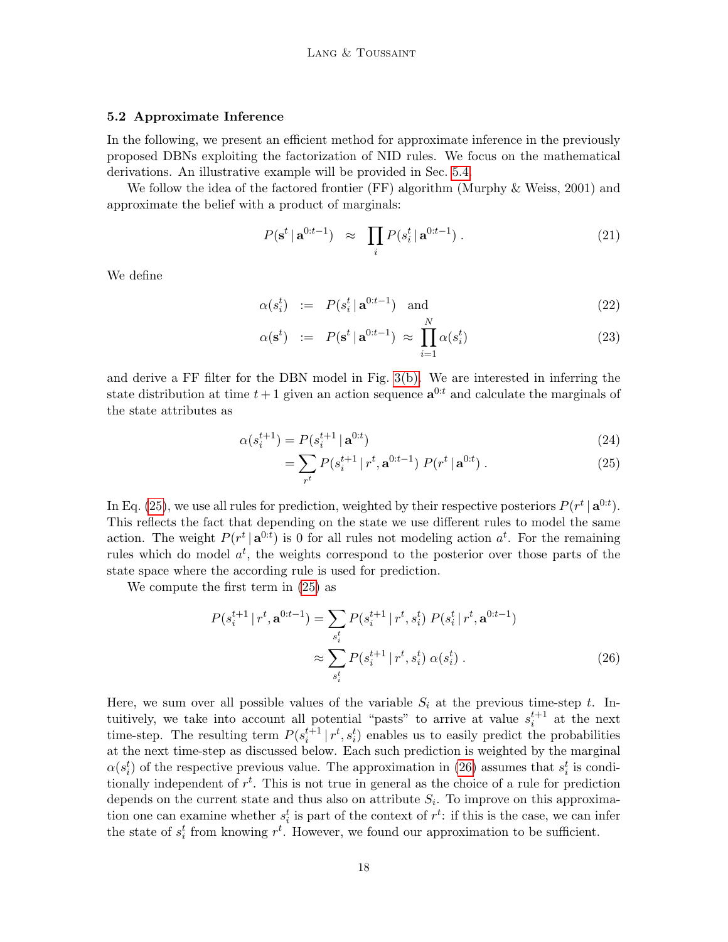#### <span id="page-17-0"></span>5.2 Approximate Inference

In the following, we present an efficient method for approximate inference in the previously proposed DBNs exploiting the factorization of NID rules. We focus on the mathematical derivations. An illustrative example will be provided in Sec. [5.4.](#page-20-0)

We follow the idea of the factored frontier (FF) algorithm (Murphy & Weiss, 2001) and approximate the belief with a product of marginals:

$$
P(\mathbf{s}^t \mid \mathbf{a}^{0:t-1}) \approx \prod_i P(s_i^t \mid \mathbf{a}^{0:t-1}). \tag{21}
$$

We define

<span id="page-17-3"></span>
$$
\alpha(s_i^t) := P(s_i^t | \mathbf{a}^{0:t-1}) \text{ and } N
$$
\n(22)

$$
\alpha(\mathbf{s}^t) \quad := \quad P(\mathbf{s}^t \, | \, \mathbf{a}^{0:t-1}) \, \approx \, \prod_{i=1}^N \alpha(s_i^t) \tag{23}
$$

and derive a FF filter for the DBN model in Fig. [3\(b\).](#page-14-2) We are interested in inferring the state distribution at time  $t+1$  given an action sequence  $\mathbf{a}^{0:t}$  and calculate the marginals of the state attributes as

$$
\alpha(s_i^{t+1}) = P(s_i^{t+1} \mid \mathbf{a}^{0:t}) \tag{24}
$$

<span id="page-17-2"></span><span id="page-17-1"></span>
$$
= \sum_{r^t} P(s_i^{t+1} | r^t, \mathbf{a}^{0:t-1}) P(r^t | \mathbf{a}^{0:t}). \tag{25}
$$

In Eq. [\(25\)](#page-17-1), we use all rules for prediction, weighted by their respective posteriors  $P(r^t | \mathbf{a}^{0:t})$ . This reflects the fact that depending on the state we use different rules to model the same action. The weight  $P(r^t | \mathbf{a}^{0:t})$  is 0 for all rules not modeling action  $a^t$ . For the remaining rules which do model  $a^t$ , the weights correspond to the posterior over those parts of the state space where the according rule is used for prediction.

We compute the first term in [\(25\)](#page-17-1) as

$$
P(s_i^{t+1} | r^t, \mathbf{a}^{0:t-1}) = \sum_{s_i^t} P(s_i^{t+1} | r^t, s_i^t) P(s_i^t | r^t, \mathbf{a}^{0:t-1})
$$

$$
\approx \sum_{s_i^t} P(s_i^{t+1} | r^t, s_i^t) \alpha(s_i^t) . \tag{26}
$$

Here, we sum over all possible values of the variable  $S_i$  at the previous time-step t. Intuitively, we take into account all potential "pasts" to arrive at value  $s_i^{t+1}$  at the next time-step. The resulting term  $P(s_i^{t+1} | r^t, s_i^t)$  enables us to easily predict the probabilities at the next time-step as discussed below. Each such prediction is weighted by the marginal  $\alpha(s_i^t)$  of the respective previous value. The approximation in [\(26\)](#page-17-2) assumes that  $s_i^t$  is conditionally independent of  $r<sup>t</sup>$ . This is not true in general as the choice of a rule for prediction depends on the current state and thus also on attribute  $S_i$ . To improve on this approximation one can examine whether  $s_i^t$  is part of the context of  $r^t$ : if this is the case, we can infer the state of  $s_i^t$  from knowing  $r^t$ . However, we found our approximation to be sufficient.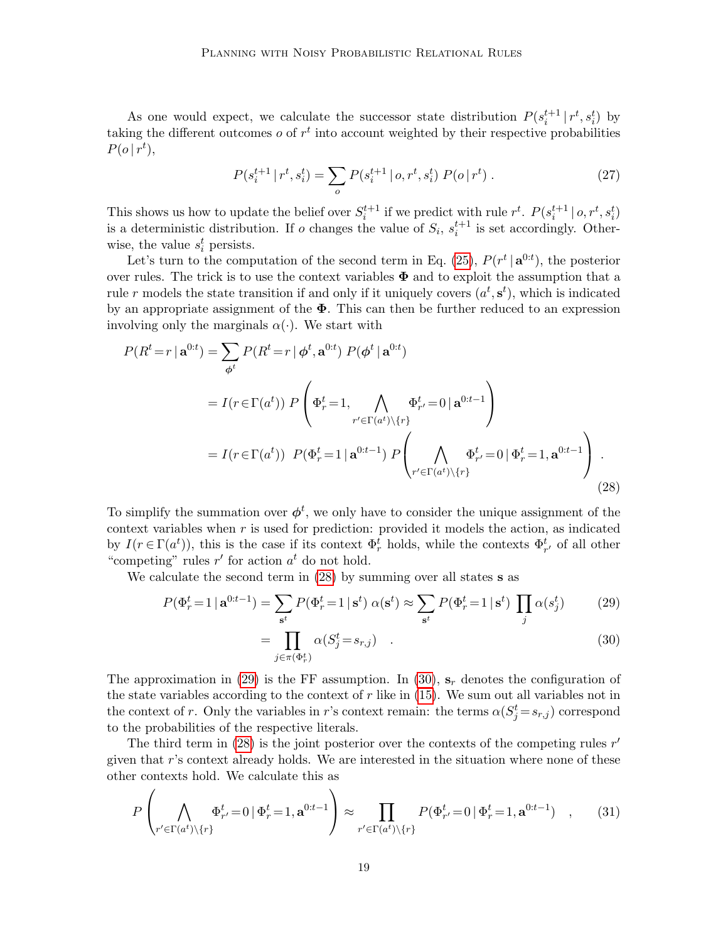As one would expect, we calculate the successor state distribution  $P(s_i^{t+1} | r^t, s_i^t)$  by taking the different outcomes  $o$  of  $r<sup>t</sup>$  into account weighted by their respective probabilities  $P(o | r^t),$ 

$$
P(s_i^{t+1} | r^t, s_i^t) = \sum_o P(s_i^{t+1} | o, r^t, s_i^t) P(o | r^t).
$$
 (27)

This shows us how to update the belief over  $S_i^{t+1}$  if we predict with rule  $r^t$ .  $P(s_i^{t+1} | o, r^t, s_i^t)$ is a deterministic distribution. If o changes the value of  $S_i$ ,  $s_i^{t+1}$  is set accordingly. Otherwise, the value  $s_i^t$  persists.

Let's turn to the computation of the second term in Eq. [\(25\)](#page-17-1),  $P(r^t | \mathbf{a}^{0:t})$ , the posterior over rules. The trick is to use the context variables  $\Phi$  and to exploit the assumption that a rule r models the state transition if and only if it uniquely covers  $(a^t, s^t)$ , which is indicated by an appropriate assignment of the  $\Phi$ . This can then be further reduced to an expression involving only the marginals  $\alpha(\cdot)$ . We start with

$$
P(R^t = r | \mathbf{a}^{0:t}) = \sum_{\phi^t} P(R^t = r | \phi^t, \mathbf{a}^{0:t}) P(\phi^t | \mathbf{a}^{0:t})
$$
  

$$
= I(r \in \Gamma(a^t)) P\left(\Phi_r^t = 1, \bigwedge_{r' \in \Gamma(a^t) \setminus \{r\}} \Phi_{r'}^t = 0 | \mathbf{a}^{0:t-1}\right)
$$
  

$$
= I(r \in \Gamma(a^t)) P(\Phi_r^t = 1 | \mathbf{a}^{0:t-1}) P\left(\bigwedge_{r' \in \Gamma(a^t) \setminus \{r\}} \Phi_{r'}^t = 0 | \Phi_r^t = 1, \mathbf{a}^{0:t-1}\right).
$$
 (28)

To simplify the summation over  $\phi^t$ , we only have to consider the unique assignment of the context variables when  $r$  is used for prediction: provided it models the action, as indicated by  $I(r \in \Gamma(a^t))$ , this is the case if its context  $\Phi_r^t$  holds, while the contexts  $\Phi_{r'}^t$  of all other "competing" rules  $r'$  for action  $a^t$  do not hold.

We calculate the second term in  $(28)$  by summing over all states **s** as

$$
P(\Phi_r^t = 1 | \mathbf{a}^{0:t-1}) = \sum_{\mathbf{s}^t} P(\Phi_r^t = 1 | \mathbf{s}^t) \alpha(\mathbf{s}^t) \approx \sum_{\mathbf{s}^t} P(\Phi_r^t = 1 | \mathbf{s}^t) \prod_j \alpha(s_j^t)
$$
(29)

<span id="page-18-2"></span><span id="page-18-1"></span><span id="page-18-0"></span>
$$
=\prod_{j\in\pi(\Phi_r^t)}\alpha(S_j^t=s_{r,j})\quad.
$$
\n(30)

The approximation in [\(29\)](#page-18-1) is the FF assumption. In [\(30\)](#page-18-2),  $s_r$  denotes the configuration of the state variables according to the context of  $r$  like in  $(15)$ . We sum out all variables not in the context of r. Only the variables in r's context remain: the terms  $\alpha(S_j^t = s_{r,j})$  correspond to the probabilities of the respective literals.

The third term in  $(28)$  is the joint posterior over the contexts of the competing rules  $r'$ given that  $r$ 's context already holds. We are interested in the situation where none of these other contexts hold. We calculate this as

$$
P\left(\bigwedge_{r'\in\Gamma(a^t)\backslash\{r\}}\Phi_{r'}^t=0\,|\,\Phi_r^t=1,\mathbf{a}^{0:t-1}\right)\approx\prod_{r'\in\Gamma(a^t)\backslash\{r\}}P(\Phi_{r'}^t=0\,|\,\Phi_r^t=1,\mathbf{a}^{0:t-1})\quad,\qquad(31)
$$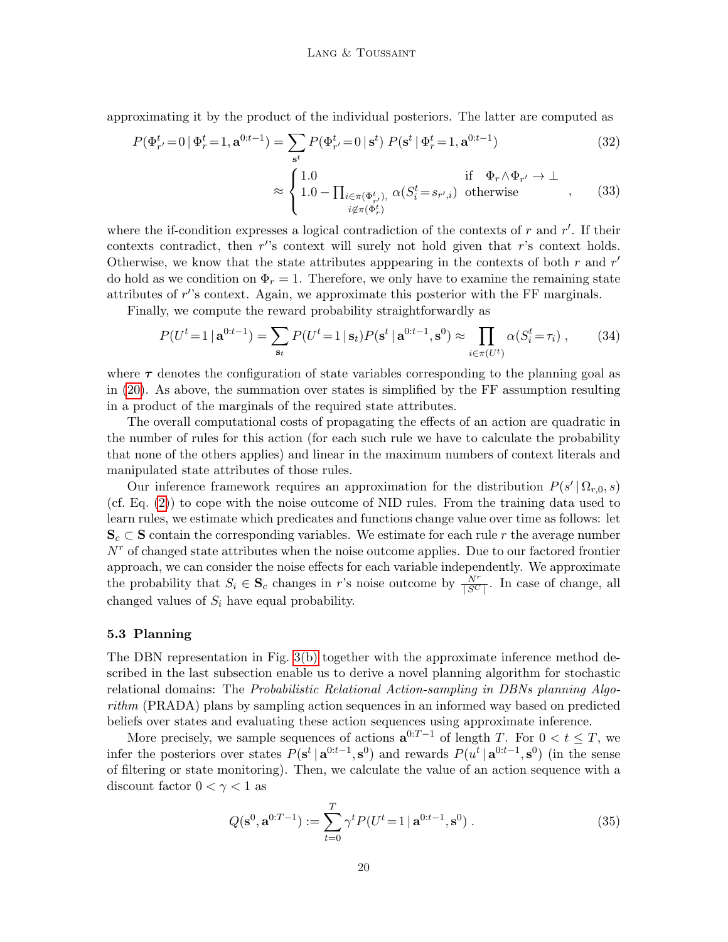approximating it by the product of the individual posteriors. The latter are computed as

$$
P(\Phi_{r'}^t = 0 | \Phi_r^t = 1, \mathbf{a}^{0:t-1}) = \sum_{\mathbf{s}^t} P(\Phi_{r'}^t = 0 | \mathbf{s}^t) P(\mathbf{s}^t | \Phi_r^t = 1, \mathbf{a}^{0:t-1})
$$
\n(32)

<span id="page-19-1"></span>
$$
\approx \begin{cases} 1.0 & \text{if } \Phi_r \wedge \Phi_{r'} \to \bot \\ 1.0 - \prod_{\substack{i \in \pi(\Phi_r^t), \\ i \notin \pi(\Phi_r^t)}} \alpha(S_i^t = s_{r',i}) & \text{otherwise} \end{cases}
$$
, (33)

where the if-condition expresses a logical contradiction of the contexts of  $r$  and  $r'$ . If their contexts contradict, then  $r$ 's context will surely not hold given that  $r$ 's context holds. Otherwise, we know that the state attributes apppearing in the contexts of both  $r$  and  $r'$ do hold as we condition on  $\Phi_r = 1$ . Therefore, we only have to examine the remaining state attributes of  $r$ 's context. Again, we approximate this posterior with the FF marginals.

Finally, we compute the reward probability straightforwardly as

$$
P(U^t = 1 | \mathbf{a}^{0:t-1}) = \sum_{\mathbf{s}_t} P(U^t = 1 | \mathbf{s}_t) P(\mathbf{s}^t | \mathbf{a}^{0:t-1}, \mathbf{s}^0) \approx \prod_{i \in \pi(U^t)} \alpha(S_i^t = \tau_i) , \qquad (34)
$$

where  $\tau$  denotes the configuration of state variables corresponding to the planning goal as in [\(20\)](#page-16-0). As above, the summation over states is simplified by the FF assumption resulting in a product of the marginals of the required state attributes.

The overall computational costs of propagating the effects of an action are quadratic in the number of rules for this action (for each such rule we have to calculate the probability that none of the others applies) and linear in the maximum numbers of context literals and manipulated state attributes of those rules.

Our inference framework requires an approximation for the distribution  $P(s' | \Omega_{r,0}, s)$ (cf. Eq. [\(2\)](#page-6-0)) to cope with the noise outcome of NID rules. From the training data used to learn rules, we estimate which predicates and functions change value over time as follows: let  $S_c \subset S$  contain the corresponding variables. We estimate for each rule r the average number  $N<sup>r</sup>$  of changed state attributes when the noise outcome applies. Due to our factored frontier approach, we can consider the noise effects for each variable independently. We approximate the probability that  $S_i \in \mathbf{S}_c$  changes in r's noise outcome by  $\frac{N^r}{|S^C|}$ . In case of change, all changed values of  $S_i$  have equal probability.

# <span id="page-19-0"></span>5.3 Planning

The DBN representation in Fig. [3\(b\)](#page-14-2) together with the approximate inference method described in the last subsection enable us to derive a novel planning algorithm for stochastic relational domains: The Probabilistic Relational Action-sampling in DBNs planning Algorithm (PRADA) plans by sampling action sequences in an informed way based on predicted beliefs over states and evaluating these action sequences using approximate inference.

More precisely, we sample sequences of actions  $a^{0:T-1}$  of length T. For  $0 < t \leq T$ , we infer the posteriors over states  $P(\mathbf{s}^t | \mathbf{a}^{0:t-1}, \mathbf{s}^0)$  and rewards  $P(u^t | \mathbf{a}^{0:t-1}, \mathbf{s}^0)$  (in the sense of filtering or state monitoring). Then, we calculate the value of an action sequence with a discount factor  $0 < \gamma < 1$  as

$$
Q(\mathbf{s}^0, \mathbf{a}^{0:T-1}) := \sum_{t=0}^{T} \gamma^t P(U^t = 1 \, | \, \mathbf{a}^{0:t-1}, \mathbf{s}^0) \,. \tag{35}
$$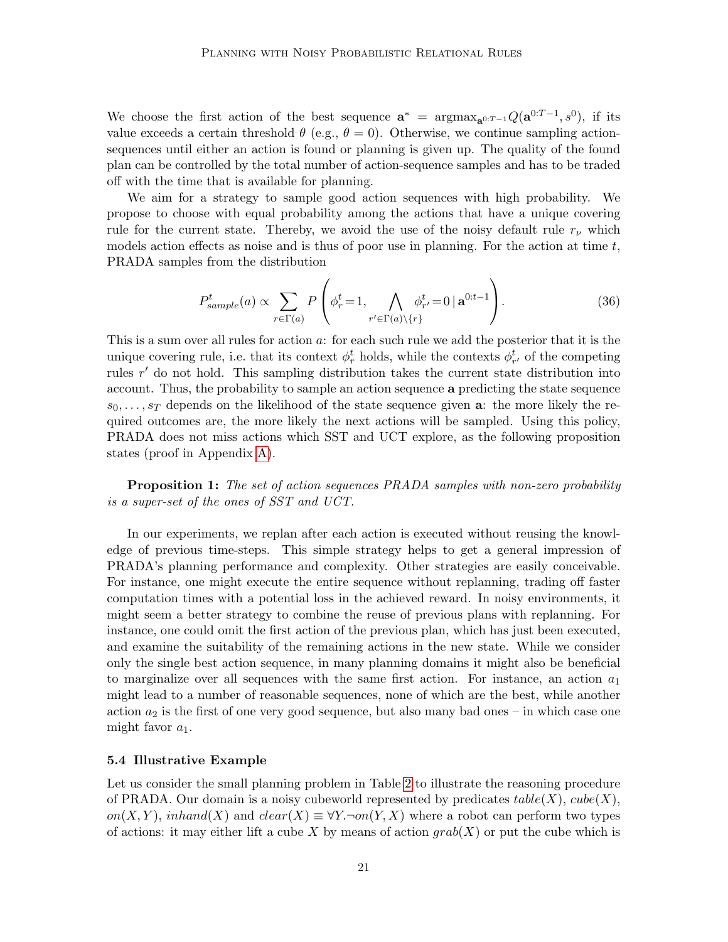We choose the first action of the best sequence  $\mathbf{a}^* = \arg \max_{\mathbf{a}^{0:T-1}} Q(\mathbf{a}^{0:T-1}, s^0)$ , if its value exceeds a certain threshold  $\theta$  (e.g.,  $\theta = 0$ ). Otherwise, we continue sampling actionsequences until either an action is found or planning is given up. The quality of the found plan can be controlled by the total number of action-sequence samples and has to be traded off with the time that is available for planning.

We aim for a strategy to sample good action sequences with high probability. We propose to choose with equal probability among the actions that have a unique covering rule for the current state. Thereby, we avoid the use of the noisy default rule  $r_{\nu}$  which models action effects as noise and is thus of poor use in planning. For the action at time  $t$ , PRADA samples from the distribution

<span id="page-20-1"></span>
$$
P_{sample}^{t}(a) \propto \sum_{r \in \Gamma(a)} P\left(\phi_r^t = 1, \bigwedge_{r' \in \Gamma(a) \setminus \{r\}} \phi_{r'}^t = 0 \,|\, \mathbf{a}^{0:t-1}\right). \tag{36}
$$

This is a sum over all rules for action a: for each such rule we add the posterior that it is the unique covering rule, i.e. that its context  $\phi_r^t$  holds, while the contexts  $\phi_{r'}^t$  of the competing rules  $r'$  do not hold. This sampling distribution takes the current state distribution into account. Thus, the probability to sample an action sequence a predicting the state sequence  $s_0, \ldots, s_T$  depends on the likelihood of the state sequence given a: the more likely the required outcomes are, the more likely the next actions will be sampled. Using this policy, PRADA does not miss actions which SST and UCT explore, as the following proposition states (proof in Appendix [A\)](#page-41-1).

Proposition 1: The set of action sequences PRADA samples with non-zero probability is a super-set of the ones of SST and UCT.

In our experiments, we replan after each action is executed without reusing the knowledge of previous time-steps. This simple strategy helps to get a general impression of PRADA's planning performance and complexity. Other strategies are easily conceivable. For instance, one might execute the entire sequence without replanning, trading off faster computation times with a potential loss in the achieved reward. In noisy environments, it might seem a better strategy to combine the reuse of previous plans with replanning. For instance, one could omit the first action of the previous plan, which has just been executed, and examine the suitability of the remaining actions in the new state. While we consider only the single best action sequence, in many planning domains it might also be beneficial to marginalize over all sequences with the same first action. For instance, an action  $a_1$ might lead to a number of reasonable sequences, none of which are the best, while another action  $a_2$  is the first of one very good sequence, but also many bad ones – in which case one might favor  $a_1$ .

# <span id="page-20-0"></span>5.4 Illustrative Example

Let us consider the small planning problem in Table [2](#page-22-0) to illustrate the reasoning procedure of PRADA. Our domain is a noisy cubeworld represented by predicates  $table(X)$ ,  $cube(X)$ , on(X, Y), inhand(X) and  $clear(X) \equiv \forall Y \neg on(Y, X)$  where a robot can perform two types of actions: it may either lift a cube X by means of action  $qrab(X)$  or put the cube which is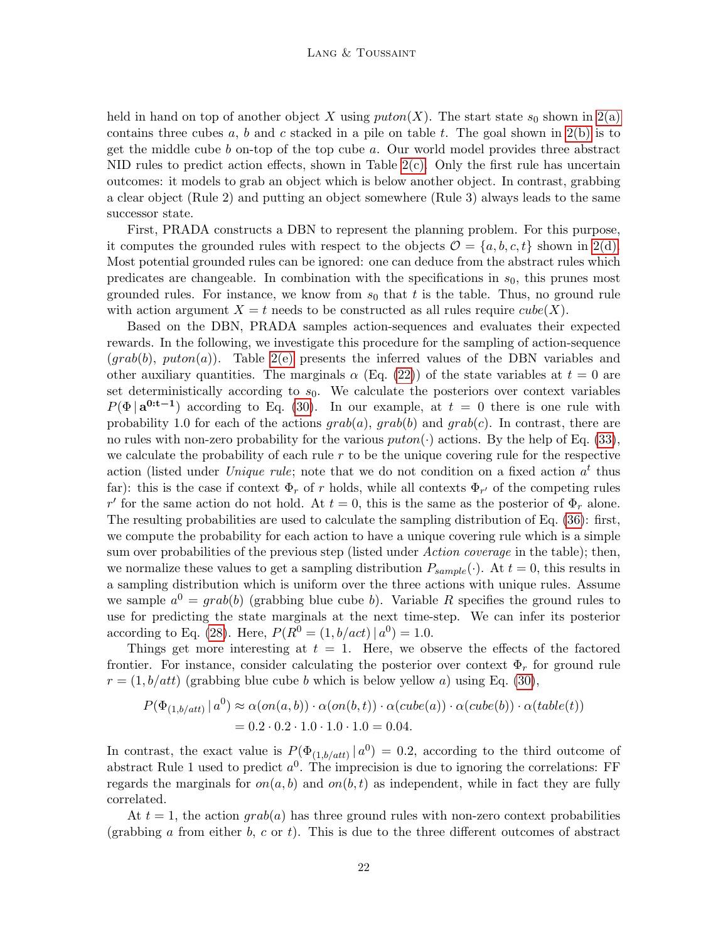held in hand on top of another object X using  $\text{puton}(X)$ . The start state  $s_0$  shown in [2\(a\)](#page-22-1) contains three cubes a, b and c stacked in a pile on table t. The goal shown in  $2(b)$  is to get the middle cube  $b$  on-top of the top cube  $a$ . Our world model provides three abstract NID rules to predict action effects, shown in Table  $2(c)$ . Only the first rule has uncertain outcomes: it models to grab an object which is below another object. In contrast, grabbing a clear object (Rule 2) and putting an object somewhere (Rule 3) always leads to the same successor state.

First, PRADA constructs a DBN to represent the planning problem. For this purpose, it computes the grounded rules with respect to the objects  $\mathcal{O} = \{a, b, c, t\}$  shown in [2\(d\).](#page-22-4) Most potential grounded rules can be ignored: one can deduce from the abstract rules which predicates are changeable. In combination with the specifications in  $s<sub>0</sub>$ , this prunes most grounded rules. For instance, we know from  $s_0$  that t is the table. Thus, no ground rule with action argument  $X = t$  needs to be constructed as all rules require  $cube(X)$ .

Based on the DBN, PRADA samples action-sequences and evaluates their expected rewards. In the following, we investigate this procedure for the sampling of action-sequence  $(grab(b), puton(a)).$  Table [2\(e\)](#page-22-5) presents the inferred values of the DBN variables and other auxiliary quantities. The marginals  $\alpha$  (Eq. [\(22\)](#page-17-3)) of the state variables at  $t = 0$  are set deterministically according to  $s<sub>0</sub>$ . We calculate the posteriors over context variables  $P(\Phi | \mathbf{a}^{0:t-1})$  according to Eq. [\(30\)](#page-18-2). In our example, at  $t = 0$  there is one rule with probability 1.0 for each of the actions  $grab(a)$ ,  $grab(b)$  and  $grab(c)$ . In contrast, there are no rules with non-zero probability for the various  $\text{puton}(\cdot)$  actions. By the help of Eq. [\(33\)](#page-19-1), we calculate the probability of each rule  $r$  to be the unique covering rule for the respective action (listed under *Unique rule*; note that we do not condition on a fixed action  $a^t$  thus far): this is the case if context  $\Phi_r$  of r holds, while all contexts  $\Phi_{r'}$  of the competing rules r' for the same action do not hold. At  $t = 0$ , this is the same as the posterior of  $\Phi_r$  alone. The resulting probabilities are used to calculate the sampling distribution of Eq. [\(36\)](#page-20-1): first, we compute the probability for each action to have a unique covering rule which is a simple sum over probabilities of the previous step (listed under Action coverage in the table); then, we normalize these values to get a sampling distribution  $P_{sample}(\cdot)$ . At  $t = 0$ , this results in a sampling distribution which is uniform over the three actions with unique rules. Assume we sample  $a^0 = grab(b)$  (grabbing blue cube b). Variable R specifies the ground rules to use for predicting the state marginals at the next time-step. We can infer its posterior according to Eq. [\(28\)](#page-18-0). Here,  $P(R^0 = (1, b/act) | a^0) = 1.0$ .

Things get more interesting at  $t = 1$ . Here, we observe the effects of the factored frontier. For instance, consider calculating the posterior over context  $\Phi_r$  for ground rule  $r = (1, b/att)$  (grabbing blue cube b which is below yellow a) using Eq. [\(30\)](#page-18-2),

$$
P(\Phi_{(1,b/att)} \mid a^0) \approx \alpha( on(a,b)) \cdot \alpha( on(b,t)) \cdot \alpha( cube(a)) \cdot \alpha( cube(b)) \cdot \alpha( table(t))
$$
  
= 0.2 \cdot 0.2 \cdot 1.0 \cdot 1.0 \cdot 1.0 = 0.04.

In contrast, the exact value is  $P(\Phi_{(1,b/att)} | a^0) = 0.2$ , according to the third outcome of abstract Rule 1 used to predict  $a^0$ . The imprecision is due to ignoring the correlations: FF regards the marginals for  $on(a, b)$  and  $on(b, t)$  as independent, while in fact they are fully correlated.

At  $t = 1$ , the action  $qrab(a)$  has three ground rules with non-zero context probabilities (grabbing a from either b, c or t). This is due to the three different outcomes of abstract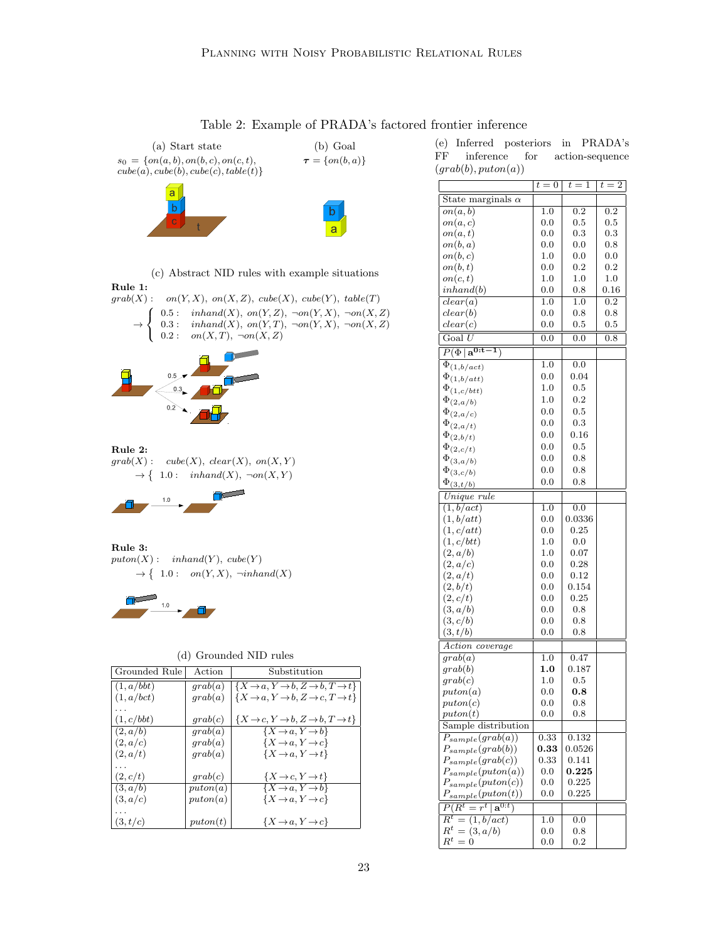<span id="page-22-0"></span>

<span id="page-22-2"></span>Table 2: Example of PRADA's factored frontier inference

(e) Inferred posteriors in PRADA's FF inference for action-sequence  $(graph(b), puton(a))$ 

<span id="page-22-5"></span>

|                                            | $t=0$               | $t=1$            | $t=2$            |
|--------------------------------------------|---------------------|------------------|------------------|
| State marginals $\alpha$                   |                     |                  |                  |
| on(a,b)                                    | 1.0                 | $\overline{0.2}$ | $\overline{0.2}$ |
| on(a,c)                                    | 0.0                 | 0.5              | $_{0.5}$         |
| on(a,t)                                    | 0.0                 | 0.3              | $_{0.3}$         |
| on(b,a)                                    | $_{0.0}$            | 0.0              | 0.8              |
| on(b,c)                                    | 1.0                 | 0.0              | 0.0              |
| on(b,t)                                    | 0.0                 | 0.2              | $_{0.2}$         |
| on(c,t)                                    | 1.0                 | 1.0              | 1.0              |
| inhand(b)                                  | 0.0                 | 0.8              | 0.16             |
| clear(a)                                   | 1.0                 | 1.0              | $\overline{0.2}$ |
| clear(b)                                   | 0.0                 | 0.8              | 0.8              |
| clear(c)                                   | 0.0                 | 0.5              | 0.5              |
| $\overline{\text{Goal } U}$                | $\overline{0.0}$    | $\overline{0.0}$ | $\overline{0.8}$ |
| $\overline{P(\Phi)}$<br>$a^{0:t}$          |                     |                  |                  |
|                                            | 1.0                 | $_{0.0}$         |                  |
| $\overline{\Phi}_{(1, b/act)}$             | 0.0                 | 0.04             |                  |
| $\Phi_{(1,b/att)}$                         | 1.0                 | 0.5              |                  |
| $\Phi_{(1, c/btt)}$                        |                     |                  |                  |
| $\Phi_{(2,a/b)}$                           | 1.0                 | 0.2              |                  |
| $\Phi_{(2,a/c)}$                           | 0.0                 | 0.5              |                  |
| $\Phi_{(2,a/t)}$                           | 0.0                 | 0.3              |                  |
| $\Phi_{(2,b/t)}$                           | 0.0                 | 0.16             |                  |
| $\Phi_{(2, c/t)}$                          | 0.0                 | 0.5              |                  |
| $\Phi_{(3,a/b)}$                           | 0.0                 | 0.8              |                  |
| $\Phi_{(3, c/b)}$                          | 0.0                 | 0.8              |                  |
| $\Phi_{(\substack{3, t/b})}$               | 0.0                 | 0.8              |                  |
| Unique rule                                |                     |                  |                  |
| $\overline{(1,b/act)}$                     | 1.0                 | 0.0              |                  |
| (1,b/att)                                  | 0.0                 | 0.0336           |                  |
| (1, c/att)                                 | 0.0                 | 0.25             |                  |
| (1, c/btt)                                 | 1.0                 | 0.0              |                  |
| (2,a/b)                                    | 1.0                 | 0.07             |                  |
| (2,a/c)                                    | 0.0                 | 0.28             |                  |
| (2,a/t)                                    | 0.0                 | 0.12             |                  |
| (2,b/t)                                    | 0.0                 | 0.154            |                  |
| (2, c/t)                                   | 0.0                 | 0.25             |                  |
| (3, a/b)                                   | 0.0                 | 0.8              |                  |
| (3, c/b)                                   | 0.0                 | 0.8              |                  |
| (3,t/b)                                    | $_{0.0}$            | 0.8              |                  |
| Action coverage                            |                     |                  |                  |
| $gra\overline{b(a)}$                       | 1.0                 | 0.47             |                  |
| $_{graph(b)}$                              | 1.0                 | 0.187            |                  |
| $_{\emph{grad}(c)}$                        | 1.0                 | 0.5              |                  |
| $\textit{puton}(a)$                        | 0.0                 | $_{0.8}$         |                  |
| $\emph{puton}(c)$                          | 0.0                 | 0.8              |                  |
| $\emph{puton}(t)$                          | 0.0                 | 0.8              |                  |
| Sample distribution                        |                     |                  |                  |
| $\overline{P_{sample}(graph(a))}$          | 0.33                | 0.132            |                  |
| $P_{sample}(graph(b))$                     | $\boldsymbol{0.33}$ | 0.0526           |                  |
| $P_{sample}(grab(c))$                      | 0.33                | 0.141            |                  |
| $P_{sample}(puton(a))$                     | 0.0                 | $_{0.225}$       |                  |
| $P_{sample}(puton(c))$                     | 0.0                 | 0.225            |                  |
| $P_{sample}(puton(t))$                     | 0.0                 | 0.225            |                  |
| $\overline{P(R^t=r^t   \mathbf{a}^{0:t})}$ |                     |                  |                  |
| $R^t = (1, b/act)$                         | 1.0                 | 0.0              |                  |
| $R^t = (3, a/b)$                           | 0.0                 | 0.8              |                  |
| $R^t=0$                                    | $_{0.0}$            | 0.2              |                  |
|                                            |                     |                  |                  |

<span id="page-22-1"></span>

(c) Abstract NID rules with example situations

<span id="page-22-3"></span>Rule 1:  $\label{eq:grab} \operatorname{grab}(X): \quad on(Y,X), \; on(X,Z), \; cube(X), \; cube(Y), \; table(T)$  $\rightarrow$  $\int$  $\mathcal{L}$ 0.5 :  $inhand(X)$ ,  $on(Y, Z)$ ,  $\neg on(Y, X)$ ,  $\neg on(X, Z)$ 0.3 :  $inhand(X)$ ,  $on(Y, T)$ ,  $\neg on(Y, X)$ ,  $\neg on(X, Z)$  $0.2:$   $on(X,T), \neg on(X,Z)$ 



Rule 2:  $grab(X)$ :  $cube(X)$ ,  $clear(X)$ ,  $on(X, Y)$  $\rightarrow \{ 1.0: \text{inhand}(X), \neg on(X, Y)$ 



Rule 3:  $puton(X) : *inhand*(Y), *cube*(Y)$  $\rightarrow \{ 1.0 : \text{on}(Y,X), \neg \text{inhand}(X)$ 



| (d) Grounded NID rules |
|------------------------|
|------------------------|

<span id="page-22-4"></span>

| Grounded Rule | Action              | Substitution                                                             |
|---------------|---------------------|--------------------------------------------------------------------------|
| (1, a/bbt)    | qrab(a)             | $\{X \rightarrow a, Y \rightarrow b, Z \rightarrow b, T \rightarrow t\}$ |
| (1, a/bct)    | qrab(a)             | $\{X \rightarrow a, Y \rightarrow b, Z \rightarrow c, T \rightarrow t\}$ |
|               |                     |                                                                          |
| (1, c/bbt)    | qrab(c)             | $\{X\rightarrow c, Y\rightarrow b, Z\rightarrow b, T\rightarrow t\}$     |
| (2, a/b)      | qrab(a)             | $\{X \rightarrow a, Y \rightarrow b\}$                                   |
| (2, a/c)      | grab(a)             | $\{X \rightarrow a, Y \rightarrow c\}$                                   |
| (2, a/t)      | qrab(a)             | $\{X \rightarrow a, Y \rightarrow t\}$                                   |
|               |                     |                                                                          |
| (2, c/t)      | qrab(c)             | $\{X\rightarrow c, Y\rightarrow t\}$                                     |
| (3, a/b)      | puton(a)            | $\{X \rightarrow a, Y \rightarrow b\}$                                   |
| (3, a/c)      | puton(a)            | $\{X \rightarrow a, Y \rightarrow c\}$                                   |
|               |                     |                                                                          |
| (3, t/c)      | $\textit{puton}(t)$ | $\{X \rightarrow a, Y \rightarrow c\}$                                   |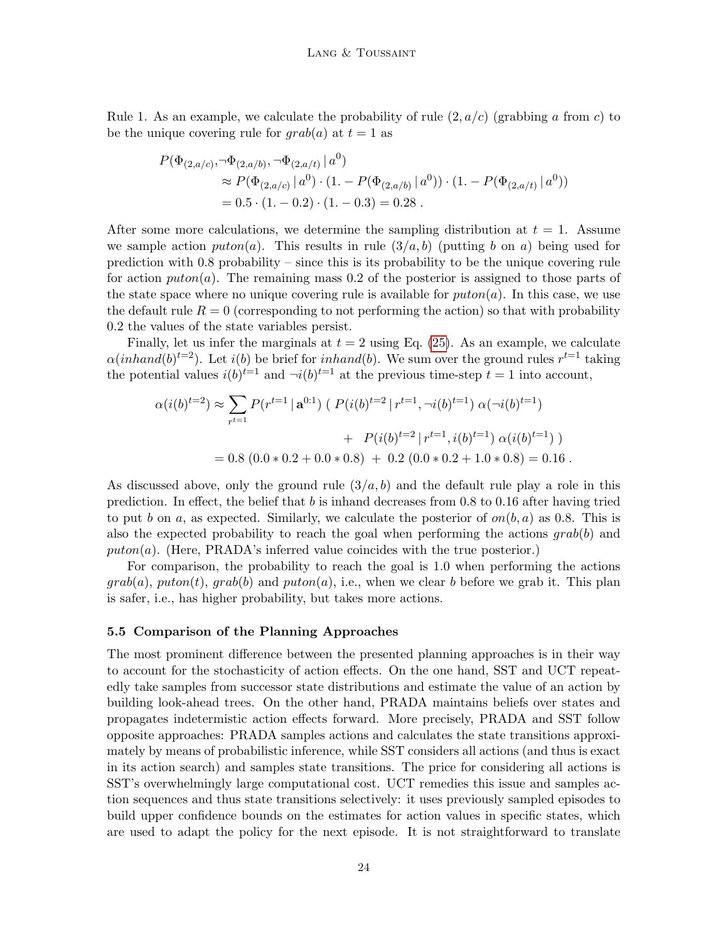Rule 1. As an example, we calculate the probability of rule  $(2, a/c)$  (grabbing a from c) to be the unique covering rule for  $\text{grad}(a)$  at  $t = 1$  as

$$
P(\Phi_{(2,a/c)}, \neg \Phi_{(2,a/b)}, \neg \Phi_{(2,a/t)} | a^0)
$$
  
\n
$$
\approx P(\Phi_{(2,a/c)} | a^0) \cdot (1 - P(\Phi_{(2,a/b)} | a^0)) \cdot (1 - P(\Phi_{(2,a/t)} | a^0))
$$
  
\n= 0.5 \cdot (1 - 0.2) \cdot (1 - 0.3) = 0.28.

After some more calculations, we determine the sampling distribution at  $t = 1$ . Assume we sample action  $\text{puton}(a)$ . This results in rule  $(3/a, b)$  (putting b on a) being used for prediction with 0.8 probability – since this is its probability to be the unique covering rule for action  $\text{puton}(a)$ . The remaining mass 0.2 of the posterior is assigned to those parts of the state space where no unique covering rule is available for  $\text{puton}(a)$ . In this case, we use the default rule  $R = 0$  (corresponding to not performing the action) so that with probability 0.2 the values of the state variables persist.

Finally, let us infer the marginals at  $t = 2$  using Eq. [\(25\)](#page-17-1). As an example, we calculate  $\alpha(inhand(b)^{t=2})$ . Let  $i(b)$  be brief for  $inhand(b)$ . We sum over the ground rules  $r^{t=1}$  taking the potential values  $i(b)^{t-1}$  and  $\neg i(b)^{t-1}$  at the previous time-step  $t = 1$  into account,

$$
\alpha(i(b)^{t=2}) \approx \sum_{r^{t=1}} P(r^{t=1} | \mathbf{a}^{0:1}) (P(i(b)^{t=2} | r^{t=1}, \neg i(b)^{t=1}) \alpha(\neg i(b)^{t=1})
$$

$$
+ P(i(b)^{t=2} | r^{t=1}, i(b)^{t=1}) \alpha(i(b)^{t=1}) )
$$

$$
= 0.8 (0.0 * 0.2 + 0.0 * 0.8) + 0.2 (0.0 * 0.2 + 1.0 * 0.8) = 0.16 .
$$

As discussed above, only the ground rule  $(3/a, b)$  and the default rule play a role in this prediction. In effect, the belief that b is inhand decreases from  $0.8$  to  $0.16$  after having tried to put b on a, as expected. Similarly, we calculate the posterior of  $on(b, a)$  as 0.8. This is also the expected probability to reach the goal when performing the actions  $\eta$ rab(b) and puton(a). (Here, PRADA's inferred value coincides with the true posterior.)

For comparison, the probability to reach the goal is 1.0 when performing the actions  $grab(a)$ , puton(t),  $grab(b)$  and puton(a), i.e., when we clear b before we grab it. This plan is safer, i.e., has higher probability, but takes more actions.

#### 5.5 Comparison of the Planning Approaches

The most prominent difference between the presented planning approaches is in their way to account for the stochasticity of action effects. On the one hand, SST and UCT repeatedly take samples from successor state distributions and estimate the value of an action by building look-ahead trees. On the other hand, PRADA maintains beliefs over states and propagates indetermistic action effects forward. More precisely, PRADA and SST follow opposite approaches: PRADA samples actions and calculates the state transitions approximately by means of probabilistic inference, while SST considers all actions (and thus is exact in its action search) and samples state transitions. The price for considering all actions is SST's overwhelmingly large computational cost. UCT remedies this issue and samples action sequences and thus state transitions selectively: it uses previously sampled episodes to build upper confidence bounds on the estimates for action values in specific states, which are used to adapt the policy for the next episode. It is not straightforward to translate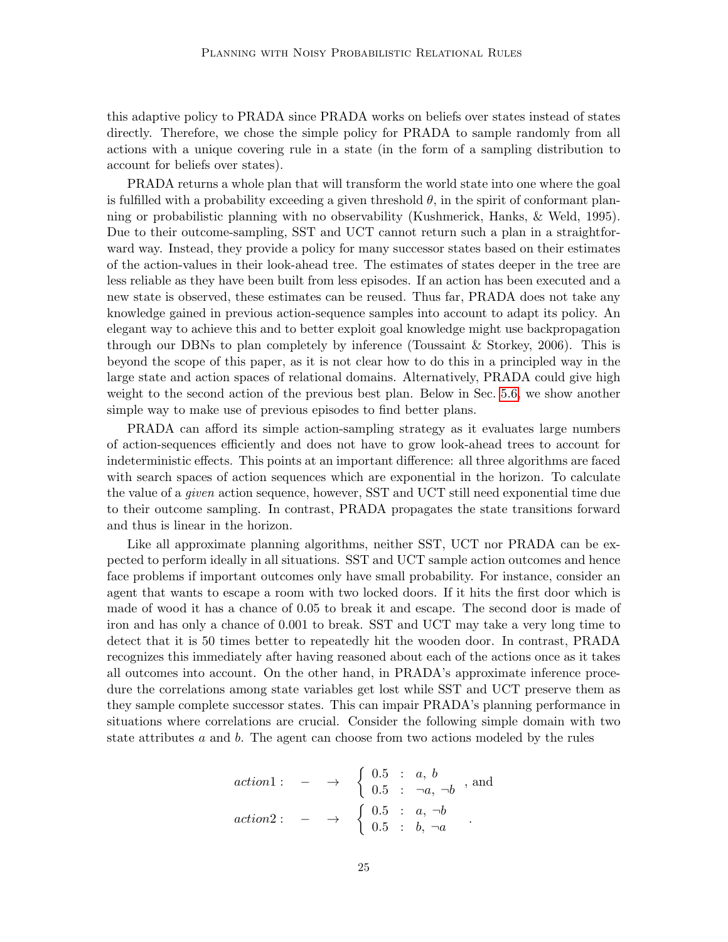this adaptive policy to PRADA since PRADA works on beliefs over states instead of states directly. Therefore, we chose the simple policy for PRADA to sample randomly from all actions with a unique covering rule in a state (in the form of a sampling distribution to account for beliefs over states).

PRADA returns a whole plan that will transform the world state into one where the goal is fulfilled with a probability exceeding a given threshold  $\theta$ , in the spirit of conformant planning or probabilistic planning with no observability (Kushmerick, Hanks, & Weld, 1995). Due to their outcome-sampling, SST and UCT cannot return such a plan in a straightforward way. Instead, they provide a policy for many successor states based on their estimates of the action-values in their look-ahead tree. The estimates of states deeper in the tree are less reliable as they have been built from less episodes. If an action has been executed and a new state is observed, these estimates can be reused. Thus far, PRADA does not take any knowledge gained in previous action-sequence samples into account to adapt its policy. An elegant way to achieve this and to better exploit goal knowledge might use backpropagation through our DBNs to plan completely by inference (Toussaint & Storkey, 2006). This is beyond the scope of this paper, as it is not clear how to do this in a principled way in the large state and action spaces of relational domains. Alternatively, PRADA could give high weight to the second action of the previous best plan. Below in Sec. [5.6,](#page-25-0) we show another simple way to make use of previous episodes to find better plans.

PRADA can afford its simple action-sampling strategy as it evaluates large numbers of action-sequences efficiently and does not have to grow look-ahead trees to account for indeterministic effects. This points at an important difference: all three algorithms are faced with search spaces of action sequences which are exponential in the horizon. To calculate the value of a given action sequence, however, SST and UCT still need exponential time due to their outcome sampling. In contrast, PRADA propagates the state transitions forward and thus is linear in the horizon.

Like all approximate planning algorithms, neither SST, UCT nor PRADA can be expected to perform ideally in all situations. SST and UCT sample action outcomes and hence face problems if important outcomes only have small probability. For instance, consider an agent that wants to escape a room with two locked doors. If it hits the first door which is made of wood it has a chance of 0.05 to break it and escape. The second door is made of iron and has only a chance of 0.001 to break. SST and UCT may take a very long time to detect that it is 50 times better to repeatedly hit the wooden door. In contrast, PRADA recognizes this immediately after having reasoned about each of the actions once as it takes all outcomes into account. On the other hand, in PRADA's approximate inference procedure the correlations among state variables get lost while SST and UCT preserve them as they sample complete successor states. This can impair PRADA's planning performance in situations where correlations are crucial. Consider the following simple domain with two state attributes  $a$  and  $b$ . The agent can choose from two actions modeled by the rules

$$
action1: \quad - \quad \rightarrow \quad \left\{ \begin{array}{ll} 0.5 \quad : \quad a, \ b \\ 0.5 \quad : \quad \neg a, \neg b \end{array} \right., \text{ and } \\ action2: \quad - \quad \rightarrow \quad \left\{ \begin{array}{ll} 0.5 \quad : \quad a, \neg b \\ 0.5 \quad : \quad b, \neg a \end{array} \right..
$$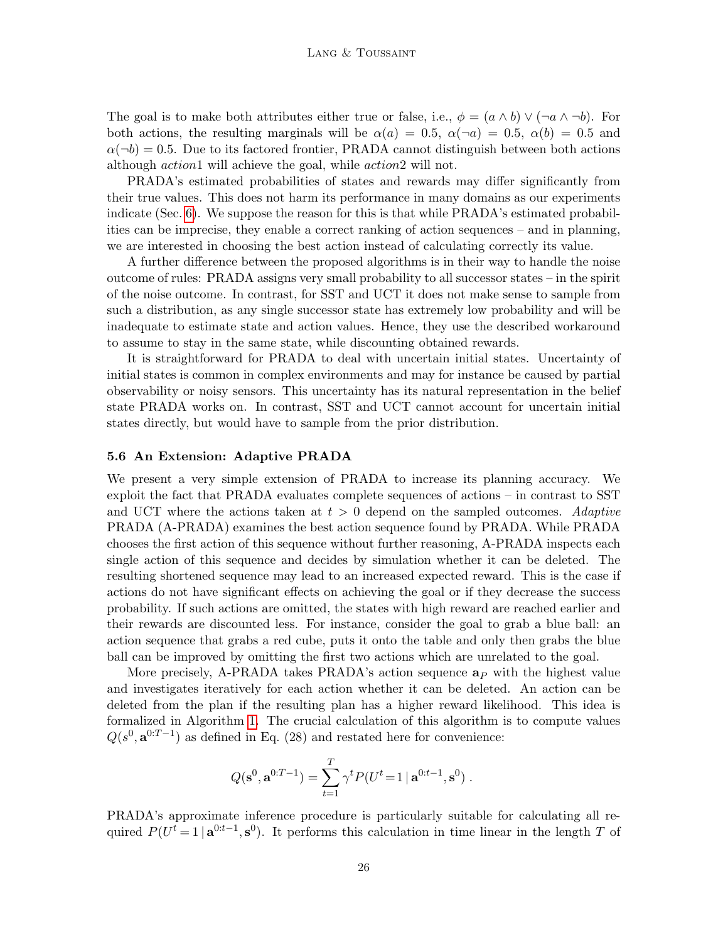The goal is to make both attributes either true or false, i.e.,  $\phi = (a \wedge b) \vee (\neg a \wedge \neg b)$ . For both actions, the resulting marginals will be  $\alpha(a) = 0.5$ ,  $\alpha(\neg a) = 0.5$ ,  $\alpha(b) = 0.5$  and  $\alpha(\neg b) = 0.5$ . Due to its factored frontier, PRADA cannot distinguish between both actions although action1 will achieve the goal, while action2 will not.

PRADA's estimated probabilities of states and rewards may differ significantly from their true values. This does not harm its performance in many domains as our experiments indicate (Sec. [6\)](#page-26-0). We suppose the reason for this is that while PRADA's estimated probabilities can be imprecise, they enable a correct ranking of action sequences – and in planning, we are interested in choosing the best action instead of calculating correctly its value.

A further difference between the proposed algorithms is in their way to handle the noise outcome of rules: PRADA assigns very small probability to all successor states – in the spirit of the noise outcome. In contrast, for SST and UCT it does not make sense to sample from such a distribution, as any single successor state has extremely low probability and will be inadequate to estimate state and action values. Hence, they use the described workaround to assume to stay in the same state, while discounting obtained rewards.

It is straightforward for PRADA to deal with uncertain initial states. Uncertainty of initial states is common in complex environments and may for instance be caused by partial observability or noisy sensors. This uncertainty has its natural representation in the belief state PRADA works on. In contrast, SST and UCT cannot account for uncertain initial states directly, but would have to sample from the prior distribution.

#### <span id="page-25-0"></span>5.6 An Extension: Adaptive PRADA

We present a very simple extension of PRADA to increase its planning accuracy. We exploit the fact that PRADA evaluates complete sequences of actions – in contrast to SST and UCT where the actions taken at  $t > 0$  depend on the sampled outcomes. Adaptive PRADA (A-PRADA) examines the best action sequence found by PRADA. While PRADA chooses the first action of this sequence without further reasoning, A-PRADA inspects each single action of this sequence and decides by simulation whether it can be deleted. The resulting shortened sequence may lead to an increased expected reward. This is the case if actions do not have significant effects on achieving the goal or if they decrease the success probability. If such actions are omitted, the states with high reward are reached earlier and their rewards are discounted less. For instance, consider the goal to grab a blue ball: an action sequence that grabs a red cube, puts it onto the table and only then grabs the blue ball can be improved by omitting the first two actions which are unrelated to the goal.

More precisely, A-PRADA takes PRADA's action sequence  $a<sub>P</sub>$  with the highest value and investigates iteratively for each action whether it can be deleted. An action can be deleted from the plan if the resulting plan has a higher reward likelihood. This idea is formalized in Algorithm [1.](#page-26-2) The crucial calculation of this algorithm is to compute values  $Q(s^0, \mathbf{a}^{0:T-1})$  as defined in Eq. (28) and restated here for convenience:

$$
Q(\mathbf{s}^0, \mathbf{a}^{0:T-1}) = \sum_{t=1}^T \gamma^t P(U^t = 1 | \mathbf{a}^{0:t-1}, \mathbf{s}^0).
$$

PRADA's approximate inference procedure is particularly suitable for calculating all required  $P(U^t = 1 | \mathbf{a}^{0:t-1}, \mathbf{s}^0)$ . It performs this calculation in time linear in the length T of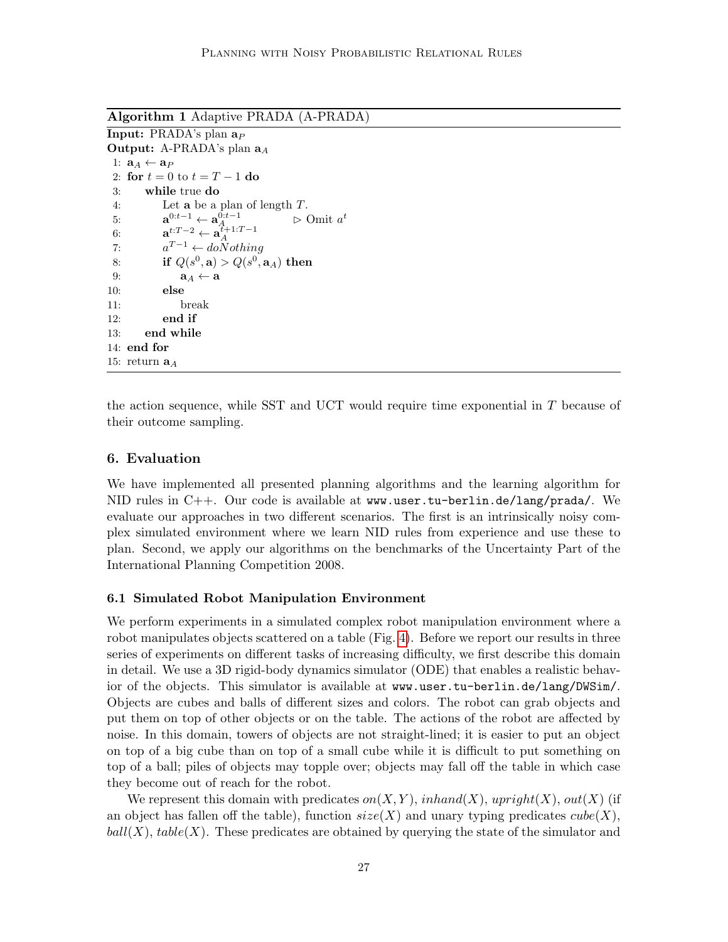Algorithm 1 Adaptive PRADA (A-PRADA)

```
Input: PRADA's plan a_POutput: A-PRADA's plan a_A1: \mathbf{a}_A \leftarrow \mathbf{a}_P2: for t = 0 to t = T - 1 do
 3: while true do
 4: Let a be a plan of length T.
 5: \mathbf{a}^{0:t-1} \leftarrow \mathbf{a}_{A_{t+1},T_{t-1}}^{0:t-1} ⊳ Omit a
                                            \triangleright Omit a^t6: \mathbf{a}^{t:T-2} \leftarrow \mathbf{a}_A^{t+1:T-1}7:a^{T-1} \leftarrow do \overrightarrow{N} o thinq8: if Q(s^0, \mathbf{a}) > Q(s^0, \mathbf{a}_A) then
 9: a_A \leftarrow a10: else
11: break
12: end if
13: end while
14: end for
15: return \mathbf{a}_A
```
the action sequence, while SST and UCT would require time exponential in  $T$  because of their outcome sampling.

# <span id="page-26-0"></span>6. Evaluation

We have implemented all presented planning algorithms and the learning algorithm for NID rules in C++. Our code is available at www.user.tu-berlin.de/lang/prada/. We evaluate our approaches in two different scenarios. The first is an intrinsically noisy complex simulated environment where we learn NID rules from experience and use these to plan. Second, we apply our algorithms on the benchmarks of the Uncertainty Part of the International Planning Competition 2008.

## <span id="page-26-1"></span>6.1 Simulated Robot Manipulation Environment

We perform experiments in a simulated complex robot manipulation environment where a robot manipulates objects scattered on a table (Fig. [4\)](#page-27-0). Before we report our results in three series of experiments on different tasks of increasing difficulty, we first describe this domain in detail. We use a 3D rigid-body dynamics simulator (ODE) that enables a realistic behavior of the objects. This simulator is available at www.user.tu-berlin.de/lang/DWSim/. Objects are cubes and balls of different sizes and colors. The robot can grab objects and put them on top of other objects or on the table. The actions of the robot are affected by noise. In this domain, towers of objects are not straight-lined; it is easier to put an object on top of a big cube than on top of a small cube while it is difficult to put something on top of a ball; piles of objects may topple over; objects may fall off the table in which case they become out of reach for the robot.

We represent this domain with predicates  $on(X, Y)$ , inhand(X), upright(X), out(X) (if an object has fallen off the table), function  $size(X)$  and unary typing predicates  $cube(X)$ ,  $ball(X)$ ,  $table(X)$ . These predicates are obtained by querying the state of the simulator and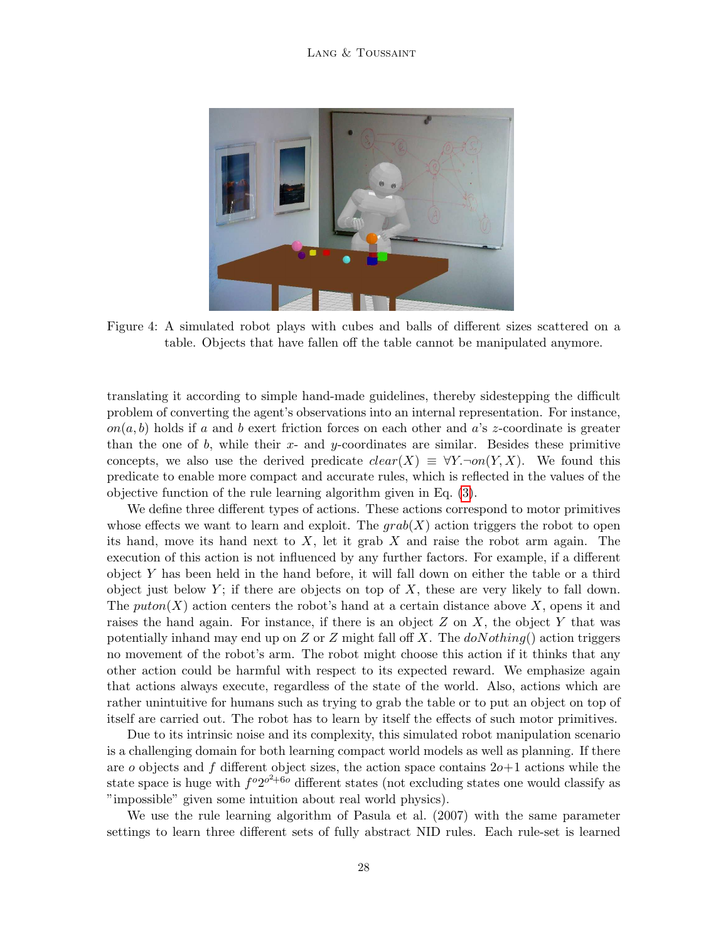

Figure 4: A simulated robot plays with cubes and balls of different sizes scattered on a table. Objects that have fallen off the table cannot be manipulated anymore.

<span id="page-27-0"></span>translating it according to simple hand-made guidelines, thereby sidestepping the difficult problem of converting the agent's observations into an internal representation. For instance,  $on(a, b)$  holds if a and b exert friction forces on each other and a's z-coordinate is greater than the one of b, while their  $x$ - and y-coordinates are similar. Besides these primitive concepts, we also use the derived predicate  $clear(X) \equiv \forall Y \neg on(Y, X)$ . We found this predicate to enable more compact and accurate rules, which is reflected in the values of the objective function of the rule learning algorithm given in Eq. [\(3\)](#page-8-1).

We define three different types of actions. These actions correspond to motor primitives whose effects we want to learn and exploit. The  $qrab(X)$  action triggers the robot to open its hand, move its hand next to  $X$ , let it grab  $X$  and raise the robot arm again. The execution of this action is not influenced by any further factors. For example, if a different object Y has been held in the hand before, it will fall down on either the table or a third object just below  $Y$ ; if there are objects on top of X, these are very likely to fall down. The puton(X) action centers the robot's hand at a certain distance above X, opens it and raises the hand again. For instance, if there is an object  $Z$  on  $X$ , the object  $Y$  that was potentially inhand may end up on Z or Z might fall off X. The  $doNotning()$  action triggers no movement of the robot's arm. The robot might choose this action if it thinks that any other action could be harmful with respect to its expected reward. We emphasize again that actions always execute, regardless of the state of the world. Also, actions which are rather unintuitive for humans such as trying to grab the table or to put an object on top of itself are carried out. The robot has to learn by itself the effects of such motor primitives.

Due to its intrinsic noise and its complexity, this simulated robot manipulation scenario is a challenging domain for both learning compact world models as well as planning. If there are o objects and f different object sizes, the action space contains  $20+1$  actions while the state space is huge with  $f^o 2^{o^2+6o}$  different states (not excluding states one would classify as "impossible" given some intuition about real world physics).

We use the rule learning algorithm of Pasula et al. (2007) with the same parameter settings to learn three different sets of fully abstract NID rules. Each rule-set is learned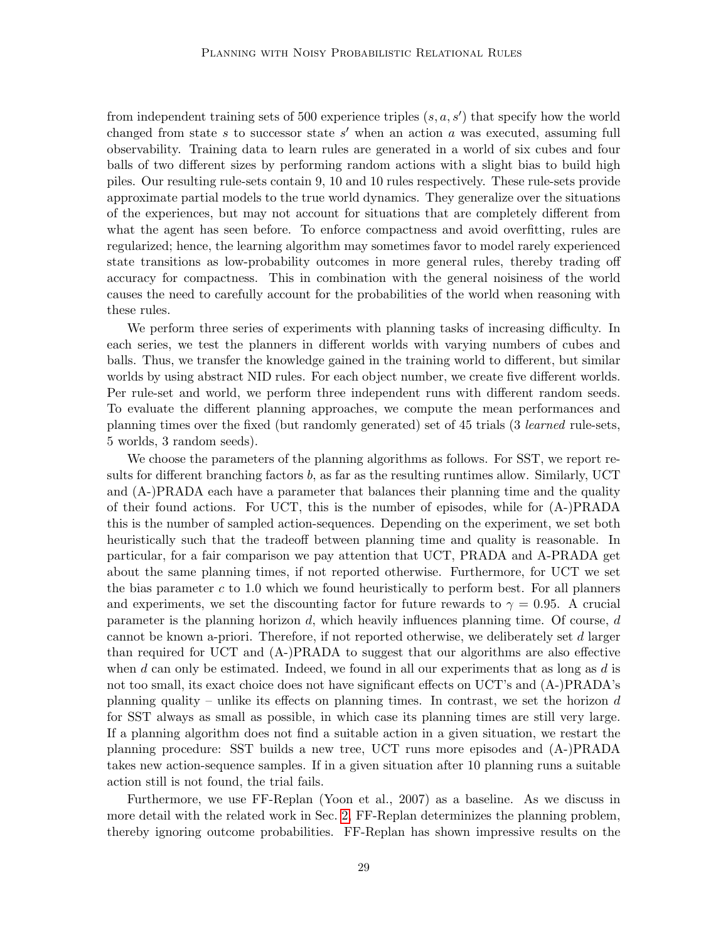from independent training sets of 500 experience triples  $(s, a, s')$  that specify how the world changed from state s to successor state s' when an action a was executed, assuming full observability. Training data to learn rules are generated in a world of six cubes and four balls of two different sizes by performing random actions with a slight bias to build high piles. Our resulting rule-sets contain 9, 10 and 10 rules respectively. These rule-sets provide approximate partial models to the true world dynamics. They generalize over the situations of the experiences, but may not account for situations that are completely different from what the agent has seen before. To enforce compactness and avoid overfitting, rules are regularized; hence, the learning algorithm may sometimes favor to model rarely experienced state transitions as low-probability outcomes in more general rules, thereby trading off accuracy for compactness. This in combination with the general noisiness of the world causes the need to carefully account for the probabilities of the world when reasoning with these rules.

We perform three series of experiments with planning tasks of increasing difficulty. In each series, we test the planners in different worlds with varying numbers of cubes and balls. Thus, we transfer the knowledge gained in the training world to different, but similar worlds by using abstract NID rules. For each object number, we create five different worlds. Per rule-set and world, we perform three independent runs with different random seeds. To evaluate the different planning approaches, we compute the mean performances and planning times over the fixed (but randomly generated) set of 45 trials (3 learned rule-sets, 5 worlds, 3 random seeds).

We choose the parameters of the planning algorithms as follows. For SST, we report results for different branching factors  $b$ , as far as the resulting runtimes allow. Similarly, UCT and (A-)PRADA each have a parameter that balances their planning time and the quality of their found actions. For UCT, this is the number of episodes, while for (A-)PRADA this is the number of sampled action-sequences. Depending on the experiment, we set both heuristically such that the tradeoff between planning time and quality is reasonable. In particular, for a fair comparison we pay attention that UCT, PRADA and A-PRADA get about the same planning times, if not reported otherwise. Furthermore, for UCT we set the bias parameter  $c$  to 1.0 which we found heuristically to perform best. For all planners and experiments, we set the discounting factor for future rewards to  $\gamma = 0.95$ . A crucial parameter is the planning horizon  $d$ , which heavily influences planning time. Of course,  $d$ cannot be known a-priori. Therefore, if not reported otherwise, we deliberately set d larger than required for UCT and (A-)PRADA to suggest that our algorithms are also effective when d can only be estimated. Indeed, we found in all our experiments that as long as d is not too small, its exact choice does not have significant effects on UCT's and (A-)PRADA's planning quality – unlike its effects on planning times. In contrast, we set the horizon  $d$ for SST always as small as possible, in which case its planning times are still very large. If a planning algorithm does not find a suitable action in a given situation, we restart the planning procedure: SST builds a new tree, UCT runs more episodes and (A-)PRADA takes new action-sequence samples. If in a given situation after 10 planning runs a suitable action still is not found, the trial fails.

Furthermore, we use FF-Replan (Yoon et al., 2007) as a baseline. As we discuss in more detail with the related work in Sec. [2,](#page-2-0) FF-Replan determinizes the planning problem, thereby ignoring outcome probabilities. FF-Replan has shown impressive results on the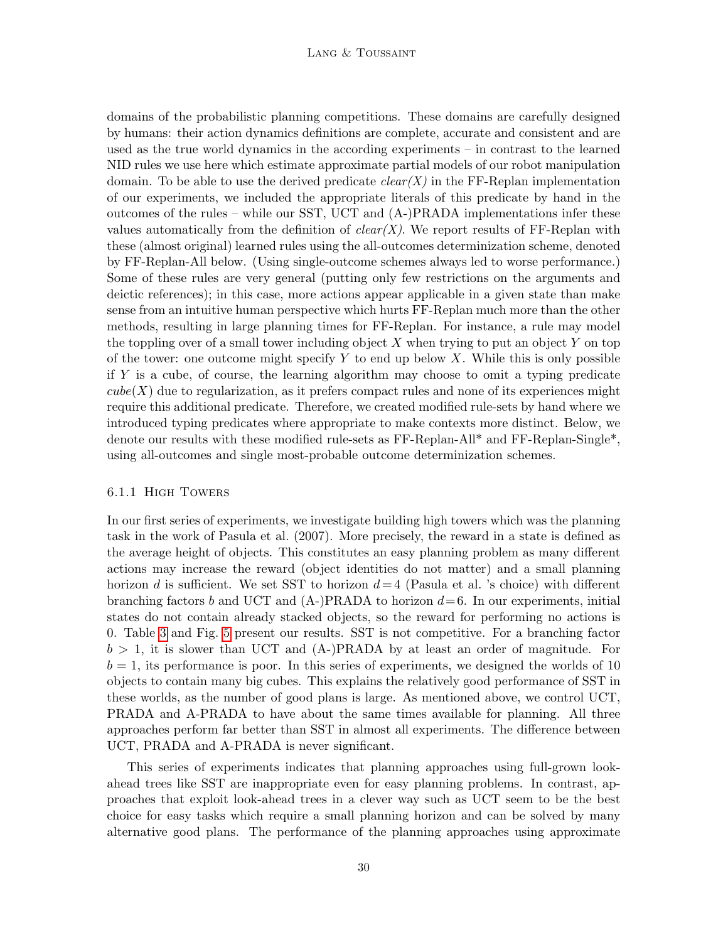domains of the probabilistic planning competitions. These domains are carefully designed by humans: their action dynamics definitions are complete, accurate and consistent and are used as the true world dynamics in the according experiments – in contrast to the learned NID rules we use here which estimate approximate partial models of our robot manipulation domain. To be able to use the derived predicate  $clear(X)$  in the FF-Replan implementation of our experiments, we included the appropriate literals of this predicate by hand in the outcomes of the rules – while our SST, UCT and (A-)PRADA implementations infer these values automatically from the definition of  $clear(X)$ . We report results of FF-Replan with these (almost original) learned rules using the all-outcomes determinization scheme, denoted by FF-Replan-All below. (Using single-outcome schemes always led to worse performance.) Some of these rules are very general (putting only few restrictions on the arguments and deictic references); in this case, more actions appear applicable in a given state than make sense from an intuitive human perspective which hurts FF-Replan much more than the other methods, resulting in large planning times for FF-Replan. For instance, a rule may model the toppling over of a small tower including object  $X$  when trying to put an object  $Y$  on top of the tower: one outcome might specify  $Y$  to end up below  $X$ . While this is only possible if Y is a cube, of course, the learning algorithm may choose to omit a typing predicate  $cube(X)$  due to regularization, as it prefers compact rules and none of its experiences might require this additional predicate. Therefore, we created modified rule-sets by hand where we introduced typing predicates where appropriate to make contexts more distinct. Below, we denote our results with these modified rule-sets as FF-Replan-All\* and FF-Replan-Single\*, using all-outcomes and single most-probable outcome determinization schemes.

#### 6.1.1 High Towers

In our first series of experiments, we investigate building high towers which was the planning task in the work of Pasula et al. (2007). More precisely, the reward in a state is defined as the average height of objects. This constitutes an easy planning problem as many different actions may increase the reward (object identities do not matter) and a small planning horizon d is sufficient. We set SST to horizon  $d=4$  (Pasula et al. 's choice) with different branching factors b and UCT and  $(A-)PRADA$  to horizon  $d=6$ . In our experiments, initial states do not contain already stacked objects, so the reward for performing no actions is 0. Table [3](#page-30-0) and Fig. [5](#page-31-0) present our results. SST is not competitive. For a branching factor  $b > 1$ , it is slower than UCT and  $(A-)PRADA$  by at least an order of magnitude. For  $b = 1$ , its performance is poor. In this series of experiments, we designed the worlds of 10 objects to contain many big cubes. This explains the relatively good performance of SST in these worlds, as the number of good plans is large. As mentioned above, we control UCT, PRADA and A-PRADA to have about the same times available for planning. All three approaches perform far better than SST in almost all experiments. The difference between UCT, PRADA and A-PRADA is never significant.

This series of experiments indicates that planning approaches using full-grown lookahead trees like SST are inappropriate even for easy planning problems. In contrast, approaches that exploit look-ahead trees in a clever way such as UCT seem to be the best choice for easy tasks which require a small planning horizon and can be solved by many alternative good plans. The performance of the planning approaches using approximate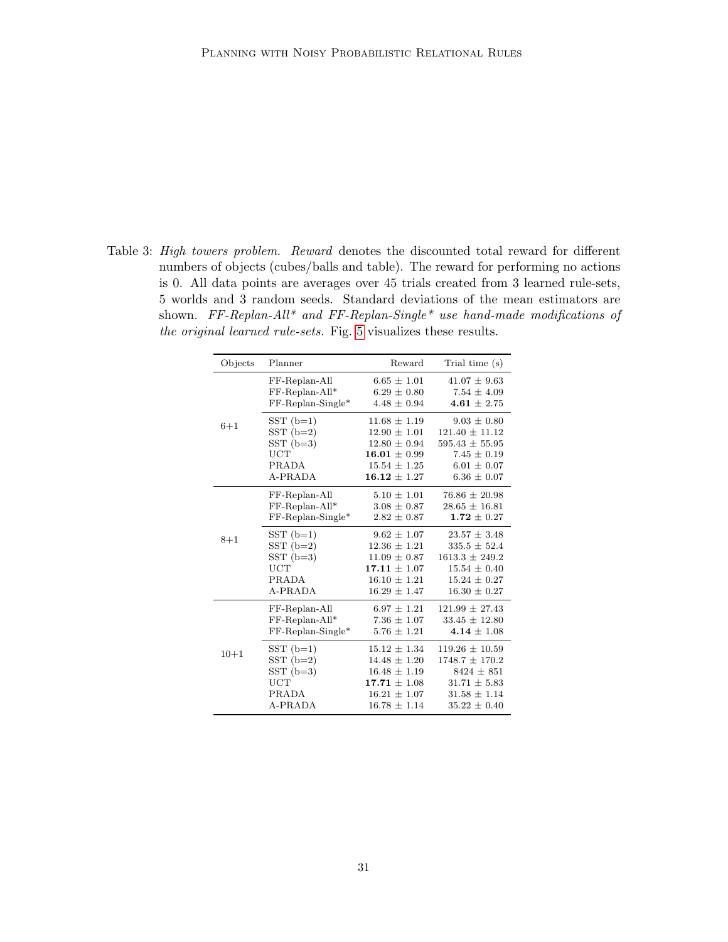<span id="page-30-0"></span>Table 3: High towers problem. Reward denotes the discounted total reward for different numbers of objects (cubes/balls and table). The reward for performing no actions is 0. All data points are averages over 45 trials created from 3 learned rule-sets, 5 worlds and 3 random seeds. Standard deviations of the mean estimators are shown. FF-Replan-All<sup>\*</sup> and FF-Replan-Single<sup>\*</sup> use hand-made modifications of the original learned rule-sets. Fig. [5](#page-31-0) visualizes these results.

| Objects  | Planner             | Reward           | Trial time (s)     |
|----------|---------------------|------------------|--------------------|
|          | FF-Replan-All       | $6.65 \pm 1.01$  | $41.07 \pm 9.63$   |
|          | FF-Replan-All*      | $6.29 \pm 0.80$  | $7.54 \pm 4.09$    |
|          | $FF-Replan-Single*$ | $4.48 \pm 0.94$  | 4.61 $\pm$ 2.75    |
| $6 + 1$  | $SST(b=1)$          | $11.68 \pm 1.19$ | $9.03 \pm 0.80$    |
|          | $SST(b=2)$          | $12.90 \pm 1.01$ | $121.40 \pm 11.12$ |
|          | $SST(b=3)$          | $12.80 \pm 0.94$ | $595.43 \pm 55.95$ |
|          | UCT                 | $16.01 \pm 0.99$ | $7.45 \pm 0.19$    |
|          | PRADA               | $15.54 \pm 1.25$ | $6.01 \pm 0.07$    |
|          | A-PRADA             | $16.12 \pm 1.27$ | $6.36 \pm 0.07$    |
|          | FF-Replan-All       | $5.10 \pm 1.01$  | $76.86 \pm 20.98$  |
|          | FF-Replan-All*      | $3.08 \pm 0.87$  | $28.65 \pm 16.81$  |
|          | $FF-Replan-Single*$ | $2.82 \pm 0.87$  | $1.72 \pm 0.27$    |
| $8 + 1$  | $SST(b=1)$          | $9.62 \pm 1.07$  | $23.57 \pm 3.48$   |
|          | $SST(b=2)$          | $12.36 \pm 1.21$ | $335.5 \pm 52.4$   |
|          | $SST(b=3)$          | $11.09 \pm 0.87$ | $1613.3 \pm 249.2$ |
|          | UCT                 | $17.11 \pm 1.07$ | $15.54 \pm 0.40$   |
|          | PRADA               | $16.10 \pm 1.21$ | $15.24 \pm 0.27$   |
|          | A-PRADA             | $16.29 \pm 1.47$ | $16.30 \pm 0.27$   |
|          | FF-Replan-All       | $6.97 \pm 1.21$  | $121.99 \pm 27.43$ |
|          | FF-Replan-All*      | $7.36 \pm 1.07$  | $33.45 \pm 12.80$  |
|          | $FF-Replan-Single*$ | $5.76 \pm 1.21$  | 4.14 $\pm$ 1.08    |
| $10 + 1$ | $SST(b=1)$          | $15.12 \pm 1.34$ | $119.26 \pm 10.59$ |
|          | $SST(b=2)$          | $14.48 \pm 1.20$ | $1748.7 \pm 170.2$ |
|          | $SST$ (b=3)         | $16.48 \pm 1.19$ | $8424 \pm 851$     |
|          | UCT                 | $17.71 \pm 1.08$ | $31.71 \pm 5.83$   |
|          | PRADA               | $16.21 \pm 1.07$ | $31.58 \pm 1.14$   |
|          | A-PRADA             | $16.78 \pm 1.14$ | $35.22 \pm 0.40$   |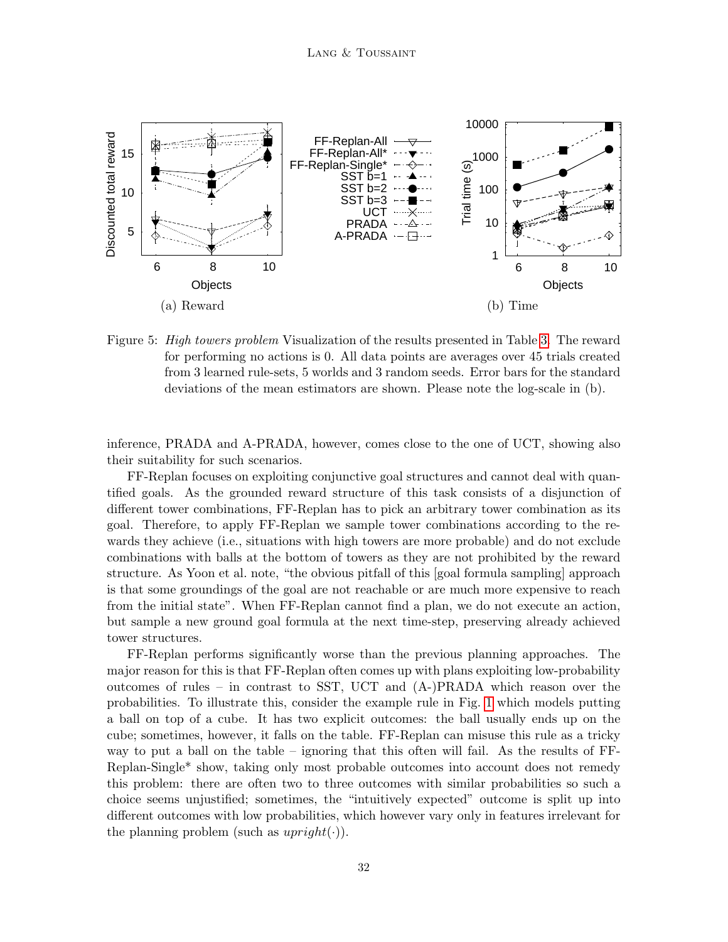

<span id="page-31-0"></span>Figure 5: *High towers problem* Visualization of the results presented in Table [3.](#page-30-0) The reward for performing no actions is 0. All data points are averages over 45 trials created from 3 learned rule-sets, 5 worlds and 3 random seeds. Error bars for the standard deviations of the mean estimators are shown. Please note the log-scale in (b).

inference, PRADA and A-PRADA, however, comes close to the one of UCT, showing also their suitability for such scenarios.

FF-Replan focuses on exploiting conjunctive goal structures and cannot deal with quantified goals. As the grounded reward structure of this task consists of a disjunction of different tower combinations, FF-Replan has to pick an arbitrary tower combination as its goal. Therefore, to apply FF-Replan we sample tower combinations according to the rewards they achieve (i.e., situations with high towers are more probable) and do not exclude combinations with balls at the bottom of towers as they are not prohibited by the reward structure. As Yoon et al. note, "the obvious pitfall of this [goal formula sampling] approach is that some groundings of the goal are not reachable or are much more expensive to reach from the initial state". When FF-Replan cannot find a plan, we do not execute an action, but sample a new ground goal formula at the next time-step, preserving already achieved tower structures.

FF-Replan performs significantly worse than the previous planning approaches. The major reason for this is that FF-Replan often comes up with plans exploiting low-probability outcomes of rules – in contrast to SST, UCT and (A-)PRADA which reason over the probabilities. To illustrate this, consider the example rule in Fig. [1](#page-7-1) which models putting a ball on top of a cube. It has two explicit outcomes: the ball usually ends up on the cube; sometimes, however, it falls on the table. FF-Replan can misuse this rule as a tricky way to put a ball on the table – ignoring that this often will fail. As the results of FF-Replan-Single\* show, taking only most probable outcomes into account does not remedy this problem: there are often two to three outcomes with similar probabilities so such a choice seems unjustified; sometimes, the "intuitively expected" outcome is split up into different outcomes with low probabilities, which however vary only in features irrelevant for the planning problem (such as  $upright(\cdot)$ ).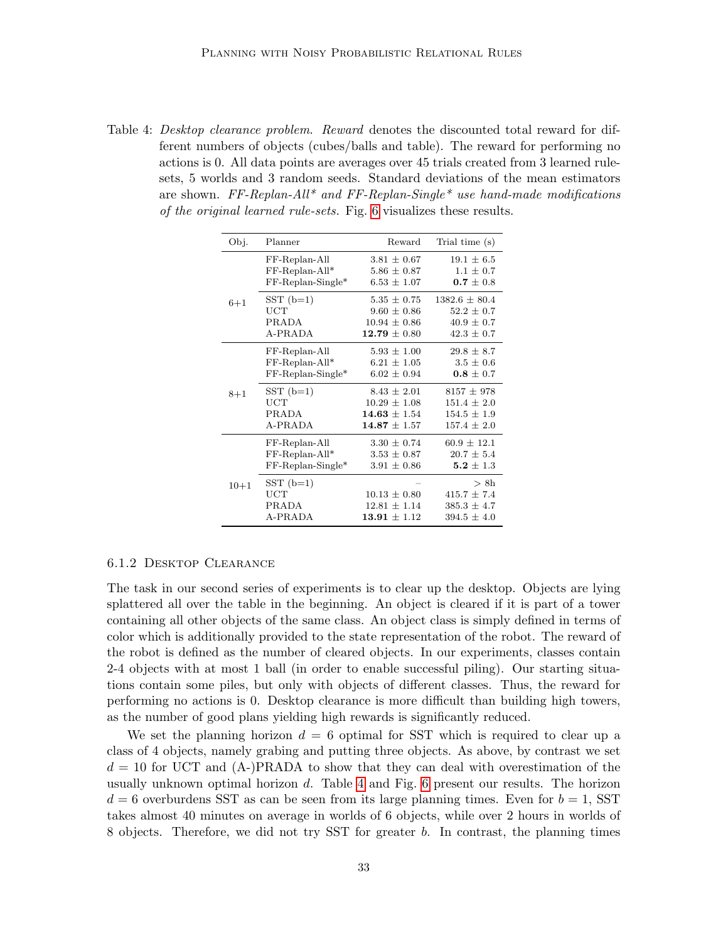<span id="page-32-0"></span>Table 4: Desktop clearance problem. Reward denotes the discounted total reward for different numbers of objects (cubes/balls and table). The reward for performing no actions is 0. All data points are averages over 45 trials created from 3 learned rulesets, 5 worlds and 3 random seeds. Standard deviations of the mean estimators are shown. FF-Replan-All\* and FF-Replan-Single\* use hand-made modifications of the original learned rule-sets. Fig. [6](#page-33-0) visualizes these results.

| Obj.     | Planner                               | Reward                                                   | Trial time (s)                                                |
|----------|---------------------------------------|----------------------------------------------------------|---------------------------------------------------------------|
|          | FF-Replan-All                         | $3.81 \pm 0.67$                                          | $19.1 \pm 6.5$                                                |
|          | FF-Replan-All*                        | $5.86 \pm 0.87$                                          | $1.1 \pm 0.7$                                                 |
|          | $FF-Replan-Single*$                   | $6.53 \pm 1.07$                                          | $0.7 \pm 0.8$                                                 |
| $6 + 1$  | $SST(b=1)$                            | $5.35 \pm 0.75$                                          | $1382.6 \pm 80.4$                                             |
|          | UCT                                   | $9.60 \pm 0.86$                                          | $52.2 \pm 0.7$                                                |
|          | <b>PRADA</b>                          | $10.94 \pm 0.86$                                         | $40.9 \pm 0.7$                                                |
|          | A-PRADA                               | $12.79 \pm 0.80$                                         | $42.3 \pm 0.7$                                                |
|          | FF-Replan-All                         | $5.93 \pm 1.00$                                          | $29.8 \pm 8.7$                                                |
|          | FF-Replan-All*                        | $6.21 \pm 1.05$                                          | $3.5 \pm 0.6$                                                 |
|          | $FF-Replan-Single*$                   | $6.02 \pm 0.94$                                          | $0.8 \pm 0.7$                                                 |
| $8 + 1$  | $SST(b=1)$                            | $8.43 \pm 2.01$                                          | $8157 \pm 978$                                                |
|          | $_{\rm UCT}$                          | $10.29 \pm 1.08$                                         | $151.4 \pm 2.0$                                               |
|          | PRADA                                 | $14.63 \pm 1.54$                                         | $154.5 \pm 1.9$                                               |
|          | A-PRADA                               | $14.87 \pm 1.57$                                         | $157.4 \pm 2.0$                                               |
|          | FF-Replan-All                         | $3.30 \pm 0.74$                                          | $60.9 \pm 12.1$                                               |
|          | FF-Replan-All*                        | $3.53 \pm 0.87$                                          | $20.7 \pm 5.4$                                                |
|          | $FF-Replan-Single*$                   | $3.91 \pm 0.86$                                          | $5.2 \pm 1.3$                                                 |
| $10 + 1$ | $SST(b=1)$<br>UCT<br>PRADA<br>A-PRADA | $10.13 \pm 0.80$<br>$12.81 \pm 1.14$<br>$13.91 \pm 1.12$ | > 8h<br>$415.7 \pm 7.4$<br>$385.3 \pm 4.7$<br>$394.5 \pm 4.0$ |

## 6.1.2 Desktop Clearance

The task in our second series of experiments is to clear up the desktop. Objects are lying splattered all over the table in the beginning. An object is cleared if it is part of a tower containing all other objects of the same class. An object class is simply defined in terms of color which is additionally provided to the state representation of the robot. The reward of the robot is defined as the number of cleared objects. In our experiments, classes contain 2-4 objects with at most 1 ball (in order to enable successful piling). Our starting situations contain some piles, but only with objects of different classes. Thus, the reward for performing no actions is 0. Desktop clearance is more difficult than building high towers, as the number of good plans yielding high rewards is significantly reduced.

We set the planning horizon  $d = 6$  optimal for SST which is required to clear up a class of 4 objects, namely grabing and putting three objects. As above, by contrast we set  $d = 10$  for UCT and  $(A)$ -PRADA to show that they can deal with overestimation of the usually unknown optimal horizon  $d$ . Table [4](#page-32-0) and Fig. [6](#page-33-0) present our results. The horizon  $d = 6$  overburdens SST as can be seen from its large planning times. Even for  $b = 1$ , SST takes almost 40 minutes on average in worlds of 6 objects, while over 2 hours in worlds of 8 objects. Therefore, we did not try SST for greater b. In contrast, the planning times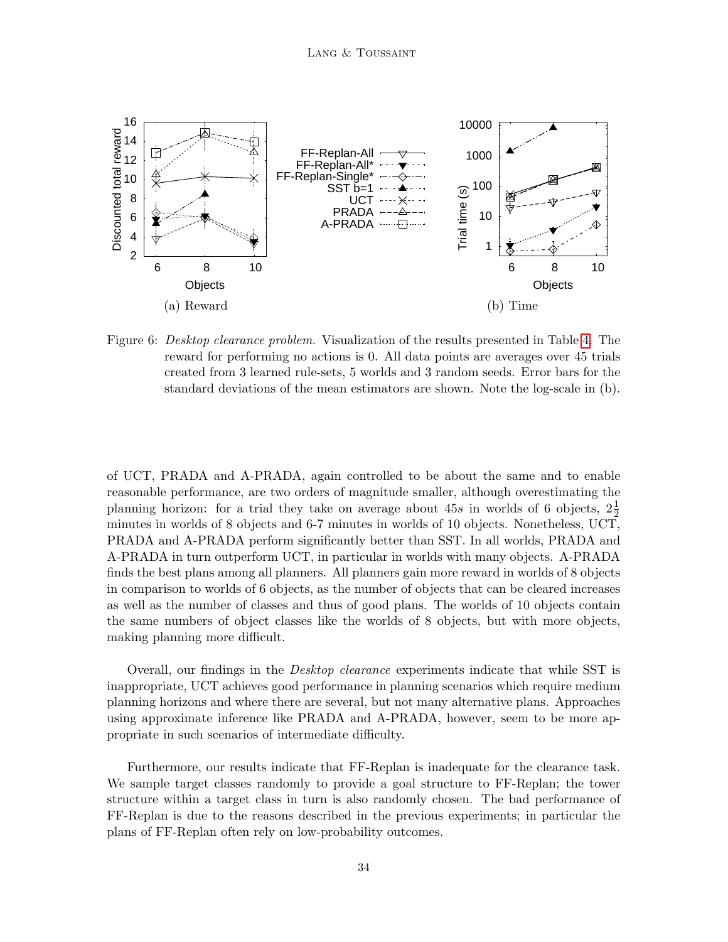

<span id="page-33-0"></span>Figure 6: *Desktop clearance problem.* Visualization of the results presented in Table [4.](#page-32-0) The reward for performing no actions is 0. All data points are averages over 45 trials created from 3 learned rule-sets, 5 worlds and 3 random seeds. Error bars for the standard deviations of the mean estimators are shown. Note the log-scale in (b).

of UCT, PRADA and A-PRADA, again controlled to be about the same and to enable reasonable performance, are two orders of magnitude smaller, although overestimating the planning horizon: for a trial they take on average about  $45s$  in worlds of 6 objects,  $2\frac{1}{2}$ minutes in worlds of 8 objects and 6-7 minutes in worlds of 10 objects. Nonetheless, UCT, PRADA and A-PRADA perform significantly better than SST. In all worlds, PRADA and A-PRADA in turn outperform UCT, in particular in worlds with many objects. A-PRADA finds the best plans among all planners. All planners gain more reward in worlds of 8 objects in comparison to worlds of 6 objects, as the number of objects that can be cleared increases as well as the number of classes and thus of good plans. The worlds of 10 objects contain the same numbers of object classes like the worlds of 8 objects, but with more objects, making planning more difficult.

Overall, our findings in the Desktop clearance experiments indicate that while SST is inappropriate, UCT achieves good performance in planning scenarios which require medium planning horizons and where there are several, but not many alternative plans. Approaches using approximate inference like PRADA and A-PRADA, however, seem to be more appropriate in such scenarios of intermediate difficulty.

Furthermore, our results indicate that FF-Replan is inadequate for the clearance task. We sample target classes randomly to provide a goal structure to FF-Replan; the tower structure within a target class in turn is also randomly chosen. The bad performance of FF-Replan is due to the reasons described in the previous experiments; in particular the plans of FF-Replan often rely on low-probability outcomes.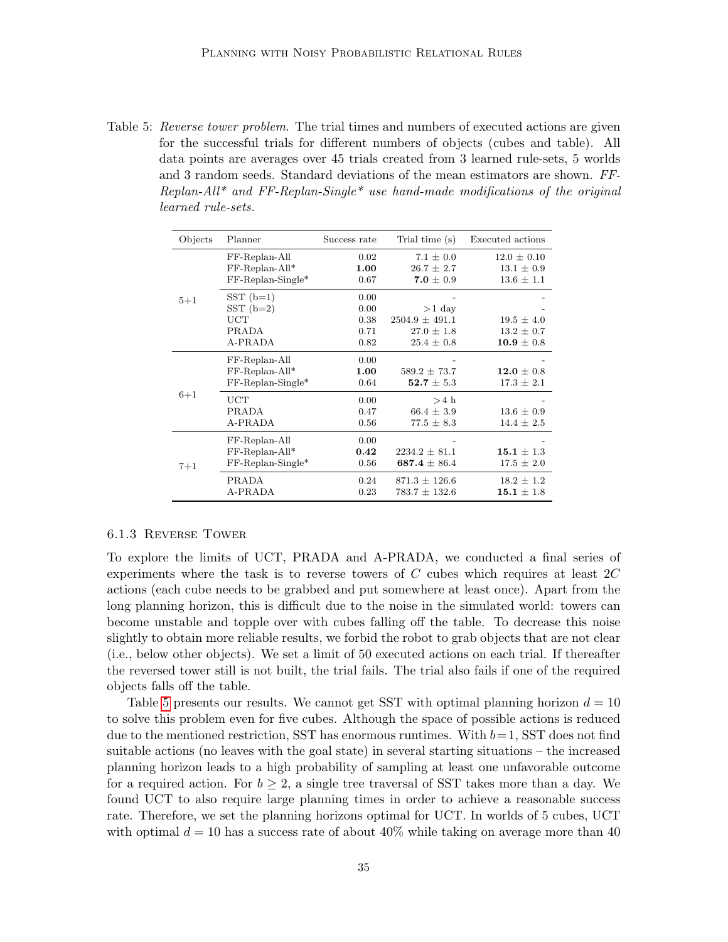<span id="page-34-0"></span>Table 5: Reverse tower problem. The trial times and numbers of executed actions are given for the successful trials for different numbers of objects (cubes and table). All data points are averages over 45 trials created from 3 learned rule-sets, 5 worlds and 3 random seeds. Standard deviations of the mean estimators are shown. FF-Replan-All<sup>\*</sup> and FF-Replan-Single<sup>\*</sup> use hand-made modifications of the original learned rule-sets.

| Objects | Planner                                                    | Success rate                         | Trial time (s)                                                     | Executed actions                                    |
|---------|------------------------------------------------------------|--------------------------------------|--------------------------------------------------------------------|-----------------------------------------------------|
|         | FF-Replan-All<br>$FF-Replan-All*$<br>$FF-Replan-Single*$   | 0.02<br>1.00<br>0.67                 | $7.1 \pm 0.0$<br>$26.7 \pm 2.7$<br>7.0 $\pm$ 0.9                   | $12.0 \pm 0.10$<br>$13.1 \pm 0.9$<br>$13.6 \pm 1.1$ |
| $5 + 1$ | $SST(b=1)$<br>$SST(b=2)$<br>UCT<br><b>PRADA</b><br>A-PRADA | 0.00<br>0.00<br>0.38<br>0.71<br>0.82 | $>1$ day<br>$2504.9 \pm 491.1$<br>$27.0 \pm 1.8$<br>$25.4 \pm 0.8$ | $19.5 \pm 4.0$<br>$13.2 \pm 0.7$<br>$10.9 \pm 0.8$  |
|         | FF-Replan-All<br>FF-Replan-All*<br>$FF-Replan-Single*$     | 0.00<br>1.00<br>0.64                 | $589.2 \pm 73.7$<br>$52.7 \pm 5.3$                                 | 12.0 $\pm$ 0.8<br>$17.3 \pm 2.1$                    |
| $6 + 1$ | UCT<br>PRADA<br>A-PRADA                                    | 0.00<br>0.47<br>0.56                 | $>4$ h<br>$66.4 \pm 3.9$<br>$77.5 \pm 8.3$                         | $13.6 \pm 0.9$<br>$14.4 \pm 2.5$                    |
| $7 + 1$ | FF-Replan-All<br>FF-Replan-All*<br>$FF-Replan-Single*$     | 0.00<br>0.42<br>0.56                 | $2234.2 \pm 81.1$<br>687.4 $\pm$ 86.4                              | 15.1 $\pm$ 1.3<br>$17.5 \pm 2.0$                    |
|         | PRADA<br>A-PRADA                                           | 0.24<br>0.23                         | $871.3 \pm 126.6$<br>$783.7 \pm 132.6$                             | $18.2 \pm 1.2$<br>15.1 $\pm$ 1.8                    |

#### 6.1.3 Reverse Tower

To explore the limits of UCT, PRADA and A-PRADA, we conducted a final series of experiments where the task is to reverse towers of  $C$  cubes which requires at least  $2C$ actions (each cube needs to be grabbed and put somewhere at least once). Apart from the long planning horizon, this is difficult due to the noise in the simulated world: towers can become unstable and topple over with cubes falling off the table. To decrease this noise slightly to obtain more reliable results, we forbid the robot to grab objects that are not clear (i.e., below other objects). We set a limit of 50 executed actions on each trial. If thereafter the reversed tower still is not built, the trial fails. The trial also fails if one of the required objects falls off the table.

Table [5](#page-34-0) presents our results. We cannot get SST with optimal planning horizon  $d = 10$ to solve this problem even for five cubes. Although the space of possible actions is reduced due to the mentioned restriction, SST has enormous runtimes. With  $b=1$ , SST does not find suitable actions (no leaves with the goal state) in several starting situations – the increased planning horizon leads to a high probability of sampling at least one unfavorable outcome for a required action. For  $b \geq 2$ , a single tree traversal of SST takes more than a day. We found UCT to also require large planning times in order to achieve a reasonable success rate. Therefore, we set the planning horizons optimal for UCT. In worlds of 5 cubes, UCT with optimal  $d = 10$  has a success rate of about 40% while taking on average more than 40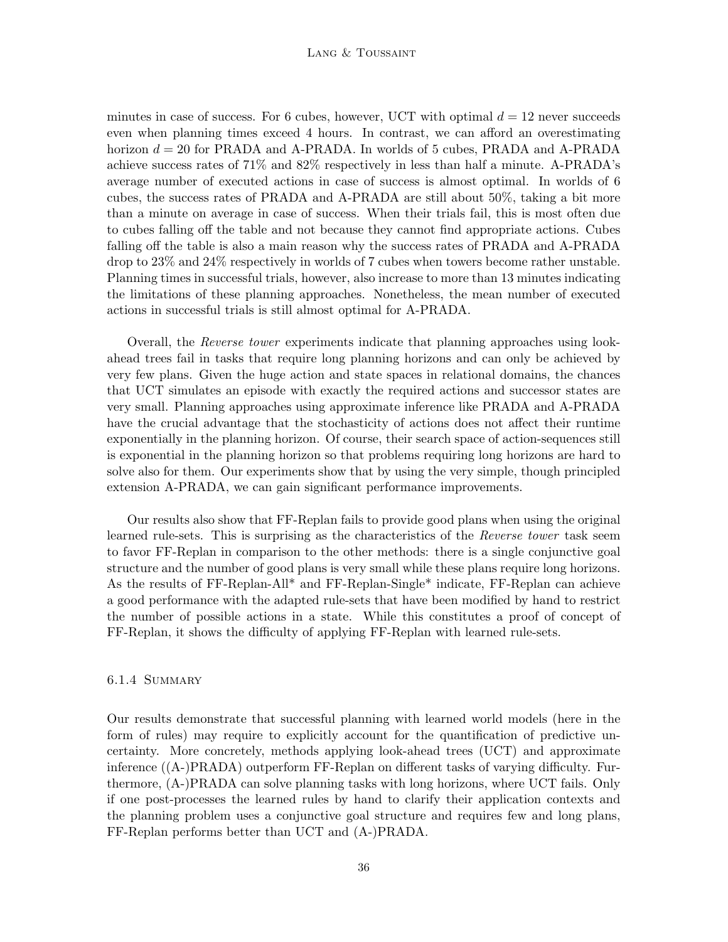#### LANG & TOUSSAINT

minutes in case of success. For 6 cubes, however, UCT with optimal  $d = 12$  never succeeds even when planning times exceed 4 hours. In contrast, we can afford an overestimating horizon  $d = 20$  for PRADA and A-PRADA. In worlds of 5 cubes, PRADA and A-PRADA achieve success rates of 71% and 82% respectively in less than half a minute. A-PRADA's average number of executed actions in case of success is almost optimal. In worlds of 6 cubes, the success rates of PRADA and A-PRADA are still about 50%, taking a bit more than a minute on average in case of success. When their trials fail, this is most often due to cubes falling off the table and not because they cannot find appropriate actions. Cubes falling off the table is also a main reason why the success rates of PRADA and A-PRADA drop to 23% and 24% respectively in worlds of 7 cubes when towers become rather unstable. Planning times in successful trials, however, also increase to more than 13 minutes indicating the limitations of these planning approaches. Nonetheless, the mean number of executed actions in successful trials is still almost optimal for A-PRADA.

Overall, the Reverse tower experiments indicate that planning approaches using lookahead trees fail in tasks that require long planning horizons and can only be achieved by very few plans. Given the huge action and state spaces in relational domains, the chances that UCT simulates an episode with exactly the required actions and successor states are very small. Planning approaches using approximate inference like PRADA and A-PRADA have the crucial advantage that the stochasticity of actions does not affect their runtime exponentially in the planning horizon. Of course, their search space of action-sequences still is exponential in the planning horizon so that problems requiring long horizons are hard to solve also for them. Our experiments show that by using the very simple, though principled extension A-PRADA, we can gain significant performance improvements.

Our results also show that FF-Replan fails to provide good plans when using the original learned rule-sets. This is surprising as the characteristics of the Reverse tower task seem to favor FF-Replan in comparison to the other methods: there is a single conjunctive goal structure and the number of good plans is very small while these plans require long horizons. As the results of FF-Replan-All\* and FF-Replan-Single\* indicate, FF-Replan can achieve a good performance with the adapted rule-sets that have been modified by hand to restrict the number of possible actions in a state. While this constitutes a proof of concept of FF-Replan, it shows the difficulty of applying FF-Replan with learned rule-sets.

## 6.1.4 Summary

Our results demonstrate that successful planning with learned world models (here in the form of rules) may require to explicitly account for the quantification of predictive uncertainty. More concretely, methods applying look-ahead trees (UCT) and approximate inference ((A-)PRADA) outperform FF-Replan on different tasks of varying difficulty. Furthermore, (A-)PRADA can solve planning tasks with long horizons, where UCT fails. Only if one post-processes the learned rules by hand to clarify their application contexts and the planning problem uses a conjunctive goal structure and requires few and long plans, FF-Replan performs better than UCT and (A-)PRADA.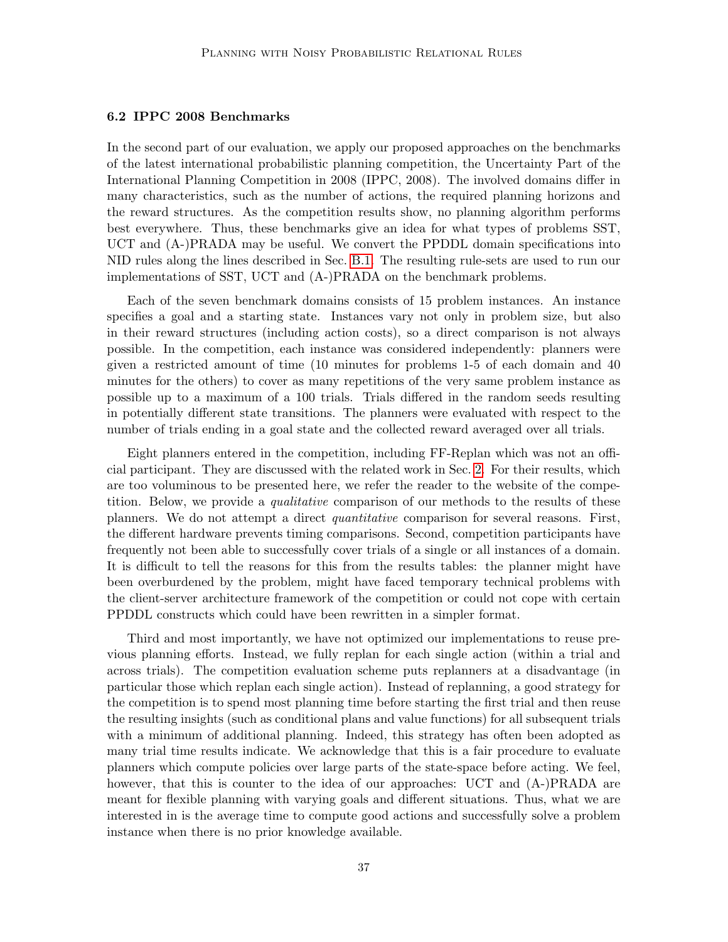## 6.2 IPPC 2008 Benchmarks

In the second part of our evaluation, we apply our proposed approaches on the benchmarks of the latest international probabilistic planning competition, the Uncertainty Part of the International Planning Competition in 2008 (IPPC, 2008). The involved domains differ in many characteristics, such as the number of actions, the required planning horizons and the reward structures. As the competition results show, no planning algorithm performs best everywhere. Thus, these benchmarks give an idea for what types of problems SST, UCT and (A-)PRADA may be useful. We convert the PPDDL domain specifications into NID rules along the lines described in Sec. [B.1.](#page-42-0) The resulting rule-sets are used to run our implementations of SST, UCT and (A-)PRADA on the benchmark problems.

Each of the seven benchmark domains consists of 15 problem instances. An instance specifies a goal and a starting state. Instances vary not only in problem size, but also in their reward structures (including action costs), so a direct comparison is not always possible. In the competition, each instance was considered independently: planners were given a restricted amount of time (10 minutes for problems 1-5 of each domain and 40 minutes for the others) to cover as many repetitions of the very same problem instance as possible up to a maximum of a 100 trials. Trials differed in the random seeds resulting in potentially different state transitions. The planners were evaluated with respect to the number of trials ending in a goal state and the collected reward averaged over all trials.

Eight planners entered in the competition, including FF-Replan which was not an official participant. They are discussed with the related work in Sec. [2.](#page-2-0) For their results, which are too voluminous to be presented here, we refer the reader to the website of the competition. Below, we provide a *qualitative* comparison of our methods to the results of these planners. We do not attempt a direct quantitative comparison for several reasons. First, the different hardware prevents timing comparisons. Second, competition participants have frequently not been able to successfully cover trials of a single or all instances of a domain. It is difficult to tell the reasons for this from the results tables: the planner might have been overburdened by the problem, might have faced temporary technical problems with the client-server architecture framework of the competition or could not cope with certain PPDDL constructs which could have been rewritten in a simpler format.

Third and most importantly, we have not optimized our implementations to reuse previous planning efforts. Instead, we fully replan for each single action (within a trial and across trials). The competition evaluation scheme puts replanners at a disadvantage (in particular those which replan each single action). Instead of replanning, a good strategy for the competition is to spend most planning time before starting the first trial and then reuse the resulting insights (such as conditional plans and value functions) for all subsequent trials with a minimum of additional planning. Indeed, this strategy has often been adopted as many trial time results indicate. We acknowledge that this is a fair procedure to evaluate planners which compute policies over large parts of the state-space before acting. We feel, however, that this is counter to the idea of our approaches: UCT and  $(A-)PRADA$  are meant for flexible planning with varying goals and different situations. Thus, what we are interested in is the average time to compute good actions and successfully solve a problem instance when there is no prior knowledge available.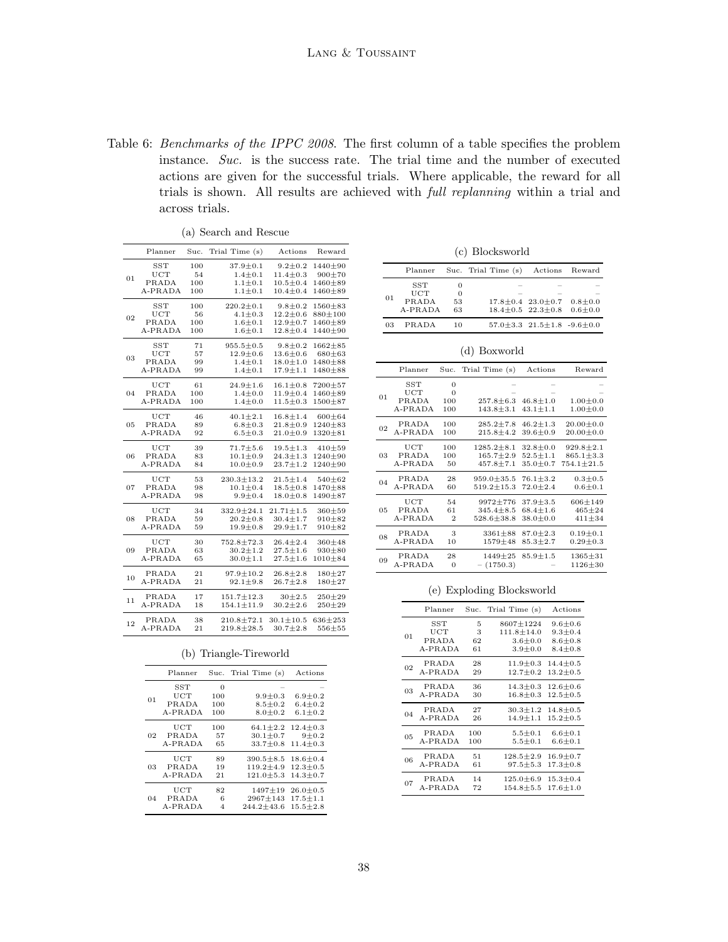<span id="page-37-0"></span>Table 6: Benchmarks of the IPPC 2008. The first column of a table specifies the problem instance. Suc. is the success rate. The trial time and the number of executed actions are given for the successful trials. Where applicable, the reward for all trials is shown. All results are achieved with full replanning within a trial and across trials.

<span id="page-37-1"></span>

|    | Planner      | Suc. | Trial Time (s)   | Actions         | Reward        |
|----|--------------|------|------------------|-----------------|---------------|
|    | SST          | 100  | $37.9 \pm 0.1$   | $9.2 \pm 0.2$   | 1440±90       |
|    | UCT          | 54   | $1.4 \pm 0.1$    | $11.4 \pm 0.3$  | $900 + 70$    |
| 01 | PRADA        | 100  | $1.1 \pm 0.1$    | $10.5 \pm 0.4$  | $1460 + 89$   |
|    | A-PRADA      | 100  | $1.1 \pm 0.1$    | $10.4 \pm 0.4$  | $1460 + 89$   |
|    | <b>SST</b>   | 100  | $220.2 \pm 0.1$  | $9.8 + 0.2$     | 1560±83       |
|    | $_{\rm UCT}$ | 56   | $4.1 \pm 0.3$    | $12.2 \pm 0.6$  | $880 + 100$   |
| 02 | PRADA        | 100  | $1.6 + 0.1$      | $12.9 \pm 0.7$  | $1460 + 89$   |
|    | A-PRADA      | 100  | $1.6 + 0.1$      | $12.8 \pm 0.4$  | 1440±90       |
|    | <b>SST</b>   | 71   | $955.5 \pm 0.5$  | $9.8 + 0.2$     | $1662 \pm 85$ |
|    | UCT          | 57   | $12.9 \pm 0.6$   | $13.6 \pm 0.6$  | $680 + 63$    |
| 03 | PRADA        | 99   | $1.4 \pm 0.1$    | $18.0 \pm 1.0$  | $1480 + 88$   |
|    | A-PRADA      | 99   | $1.4 + 0.1$      | $17.9 \pm 1.1$  | $1480 + 88$   |
|    | UCT          | 61   | $24.9 \pm 1.6$   | $16.1 \pm 0.8$  | $7200 + 57$   |
| 04 | PRADA        | 100  | $1.4 \pm 0.0$    | $11.9 \pm 0.4$  | $1460 + 89$   |
|    | A-PRADA      | 100  | $1.4 + 0.0$      | $11.5 + 0.3$    | $1500 + 87$   |
|    |              |      |                  |                 |               |
|    | $_{\rm UCT}$ | 46   | $40.1 \pm 2.1$   | $16.8 \pm 1.4$  | $600 + 64$    |
| 05 | PRADA        | 89   | $6.8 \pm 0.3$    | $21.8 \pm 0.9$  | $1240 \pm 83$ |
|    | A-PRADA      | 92   | $6.5 \pm 0.3$    | $21.0 \pm 0.9$  | $1320 + 81$   |
|    | UCT          | 39   | $71.7 \pm 5.6$   | $19.5 \pm 1.3$  | $410 + 59$    |
| 06 | PRADA        | 83   | $10.1 \pm 0.9$   | $24.3 \pm 1.3$  | $1240 + 90$   |
|    | A-PRADA      | 84   | $10.0 \pm 0.9$   | $23.7 \pm 1.2$  | $1240 + 90$   |
|    | UCT          | 53   | $230.3 \pm 13.2$ | $21.5 \pm 1.4$  | $540 + 62$    |
| 07 | PRADA        | 98   | $10.1 \pm 0.4$   | $18.5 \pm 0.8$  | $1470 \pm 88$ |
|    | A-PRADA      | 98   | $9.9 \pm 0.4$    | $18.0 \pm 0.8$  | $1490 + 87$   |
|    |              |      |                  |                 |               |
|    | UCT          | 34   | $332.9 \pm 24.1$ | $21.71 \pm 1.5$ | $360 + 59$    |
| 08 | PRADA        | 59   | $20.2 \pm 0.8$   | $30.4 \pm 1.7$  | $910 + 82$    |
|    | A-PRADA      | 59   | $19.9 \pm 0.8$   | $29.9 + 1.7$    | $910 + 82$    |
|    | UCT          | 30   | $752.8 \pm 72.3$ | $26.4 \pm 2.4$  | $360 + 48$    |
| 09 | PRADA        | 63   | $30.2 \pm 1.2$   | $27.5 \pm 1.6$  | $930 + 80$    |
|    | A-PRADA      | 65   | $30.0 \pm 1.1$   | $27.5 \pm 1.6$  | $1010 + 84$   |
| 10 | PRADA        | 21   | $97.9 \pm 10.2$  | $26.8 \pm 2.8$  | $180 + 27$    |
|    | A-PRADA      | 21   | $92.1 \pm 9.8$   | $26.7 \pm 2.8$  | $180 + 27$    |
|    | PRADA        | 17   | $151.7 \pm 12.3$ | $30 + 2.5$      | $250 + 29$    |
| 11 | A-PRADA      | 18   | $154.1 \pm 11.9$ | $30.2 \pm 2.6$  | $250 + 29$    |
|    | PRADA        | 38   | $210.8 \pm 72.1$ | $30.1 \pm 10.5$ | $636 + 253$   |
| 12 | A-PRADA      | 21   | $219.8 \pm 28.5$ | $30.7 + 2.8$    | $556 + 55$    |
|    |              |      |                  |                 |               |

(a) Search and Rescue

| 100<br>100 | $1.1 \pm 0.1$<br>$1.1 + 0.1$     | $10.5 \pm 0.4$<br>$10.4 \pm 0.4$ | $1460 + 89$<br>$1460 + 89$ |                          |
|------------|----------------------------------|----------------------------------|----------------------------|--------------------------|
|            | $220.2 \pm 0.1$                  | $9.8 + 0.2$                      | $1560 + 83$                |                          |
| 100<br>56  | $4.1 + 0.3$                      | $12.2 + 0.6$                     | $880 + 100$                |                          |
| 100        | $1.6 + 0.1$                      | $12.9 + 0.7$                     | $1460 + 89$                |                          |
| 100        | $1.6 \pm 0.1$                    | $12.8 + 0.4$                     | $1440 + 90$                |                          |
|            |                                  |                                  |                            |                          |
| 71         | $955.5 \pm 0.5$                  | $9.8 + 0.2$                      | $1662 + 85$                |                          |
| 57         | $12.9 + 0.6$                     | $13.6 + 0.6$                     | $680 + 63$                 |                          |
| 99<br>99   | $1.4 + 0.1$<br>$1.4 \pm 0.1$     | $18.0 + 1.0$<br>$17.9 + 1.1$     | $1480 + 88$<br>$1480 + 88$ |                          |
|            |                                  |                                  |                            |                          |
| 61         | $24.9 + 1.6$                     | $16.1 \pm 0.8$                   | $7200 + 57$                |                          |
| 100        | $1.4 + 0.0$                      | $11.9 + 0.4$                     | $1460 + 89$                | $\overline{\mathcal{L}}$ |
| 100        | $1.4 + 0.0$                      | $11.5 + 0.3$                     | $1500 + 87$                |                          |
| 46         | $40.1 \pm 2.1$                   | $16.8 + 1.4$                     | $600 + 64$                 |                          |
| 89         | $6.8 \pm 0.3$                    | $21.8 \pm 0.9$                   | $1240 \pm 83$              | $\mathcal{L}$            |
| 92         | $6.5 + 0.3$                      | $21.0 + 0.9$                     | $1320 + 81$                |                          |
| 39         | $71.7 + 5.6$                     | $19.5 \pm 1.3$                   | $410 + 59$                 |                          |
| 83         | $10.1 + 0.9$                     | $24.3 + 1.3$                     | $1240 + 90$                | $\overline{\mathcal{L}}$ |
| 84         | $10.0 \pm 0.9$                   | $23.7 + 1.2$                     | $1240 + 90$                |                          |
|            |                                  | $21.5 + 1.4$                     | $540 + 62$                 |                          |
| 53<br>98   | $230.3 \pm 13.2$<br>$10.1 + 0.4$ | $18.5 + 0.8$                     | $1470 + 88$                | $\overline{\mathcal{L}}$ |
| 98         | $9.9 + 0.4$                      | $18.0 + 0.8$                     | $1490 + 87$                |                          |
|            |                                  |                                  |                            |                          |
| 34         | $332.9 + 24.1$                   | $21.71 \pm 1.5$                  | $360 + 59$                 | $\overline{\mathcal{L}}$ |
| 59         | $20.2 + 0.8$                     | $30.4 \pm 1.7$                   | $910 + 82$                 |                          |
| 59         | $19.9 + 0.8$                     | $29.9 + 1.7$                     | $910 + 82$                 |                          |

|  | (c) Blocksworld |
|--|-----------------|
|--|-----------------|

<span id="page-37-3"></span>

|    | Planner    |          | Suc. Trial Time (s) Actions Reward |                                              |  |
|----|------------|----------|------------------------------------|----------------------------------------------|--|
|    | <b>SST</b> | $^{(1)}$ |                                    |                                              |  |
|    | UCT        | 0        |                                    |                                              |  |
| 01 | PRADA      | 53       |                                    | $17.8 \pm 0.4$ $23.0 \pm 0.7$ $0.8 \pm 0.0$  |  |
|    | A-PRADA    | 63       |                                    | $18.4 \pm 0.5$ $22.3 \pm 0.8$ $0.6 \pm 0.0$  |  |
| 03 | PRADA      | 10       |                                    | $57.0 \pm 3.3$ $21.5 \pm 1.8$ $-9.6 \pm 0.0$ |  |

#### (d) Boxworld

<span id="page-37-4"></span>

|    | Planner                        |                                          | Suc. Trial Time (s)              | Actions                          | Reward                         |
|----|--------------------------------|------------------------------------------|----------------------------------|----------------------------------|--------------------------------|
| 01 | SST<br>UCT<br>PRADA<br>A-PRADA | $\overline{0}$<br>$\Omega$<br>100<br>100 | $257.8 \pm 6.3$<br>$143.8 + 3.1$ | $46.8 \pm 1.0$<br>$43.1 \pm 1.1$ | $1.00 + 0.0$<br>$1.00 \pm 0.0$ |
| 02 | PRADA                          | 100                                      | $285.2 \pm 7.8$                  | $46.2 \pm 1.3$                   | $20.00 \pm 0.0$                |
|    | A-PRADA                        | 100                                      | $215.8 + 4.2$                    | $39.6 \pm 0.9$                   | $20.00 \pm 0.0$                |
| 03 | UCT                            | 100                                      | $1285.2 + 8.1$                   | $32.8 + 0.0$                     | $929.8 + 2.1$                  |
|    | PRADA                          | 100                                      | $165.7 + 2.9$                    | $52.5 + 1.1$                     | $865.1 \pm 3.3$                |
|    | A-PRADA                        | 50                                       | $457.8 \pm 7.1$                  | $35.0 \pm 0.7$                   | $754.1 \pm 21.5$               |
| 04 | PRADA                          | 28                                       | $959.0 + 35.5$                   | $76.1 + 3.2$                     | $0.3 + 0.5$                    |
|    | A-PRADA                        | 60                                       | $519.2 \pm 15.3$                 | $72.0 + 2.4$                     | $0.6 + 0.1$                    |
| 05 | UCT                            | 54                                       | $9972 + 776$                     | $37.9 + 3.5$                     | $606 + 149$                    |
|    | PRADA                          | 61                                       | $345.4 + 8.5$                    | $68.4 \pm 1.6$                   | $465 + 24$                     |
|    | A-PRADA                        | $\overline{2}$                           | $528.6 + 38.8$                   | $38.0 + 0.0$                     | $411 + 34$                     |
| 08 | PRADA                          | 3                                        | $3361 \pm 88$                    | $87.0 \pm 2.3$                   | $0.19 \pm 0.1$                 |
|    | A-PRADA                        | 10                                       | $1579 + 48$                      | $85.3 + 2.7$                     | $0.29 + 0.3$                   |
| 09 | PRADA<br>A-PRADA               | 28<br>$\mathbf{0}$                       | $1449 + 25$<br>$- (1750.3)$      | $85.9 \pm 1.5$                   | $1365 \pm 31$<br>$1126 + 30$   |

#### (e) Exploding Blocksworld

<span id="page-37-5"></span>

|    | Planner      |     | Suc. Trial Time (s) | Actions        |
|----|--------------|-----|---------------------|----------------|
| 01 | SST          | 5   | $8607 + 1224$       | $9.6 + 0.6$    |
|    | $_{\rm UCT}$ | 3   | $111.8 \pm 14.0$    | $9.3 \pm 0.4$  |
|    | PRADA        | 62  | $3.6 + 0.0$         | $8.6 + 0.8$    |
|    | A-PRADA      | 61  | $3.9 + 0.0$         | $8.4 + 0.8$    |
| 02 | PRADA        | 28  | $11.9 + 0.3$        | $14.4 + 0.5$   |
|    | $A-PRADA$    | 29  | $12.7 + 0.2$        | $13.2 + 0.5$   |
| 03 | PRADA        | 36  | $14.3 + 0.3$        | $12.6 + 0.6$   |
|    | $A-PRADA$    | 30  | $16.8 + 0.3$        | $12.5 + 0.5$   |
| 04 | PRADA        | 27  | $30.3 + 1.2$        | $14.8 + 0.5$   |
|    | A-PRADA      | 26  | $14.9 + 1.1$        | $15.2 + 0.5$   |
| 05 | PRADA        | 100 | $5.5 \pm 0.1$       | $6.6 + 0.1$    |
|    | A-PRADA      | 100 | $5.5 + 0.1$         | $6.6 + 0.1$    |
| 06 | PRADA        | 51  | $128.5 \pm 2.9$     | $16.9 + 0.7$   |
|    | A-PRADA      | 61  | $97.5 + 5.3$        | $17.3 + 0.8$   |
| 07 | PRADA        | 14  | $125.0 \pm 6.9$     | $15.3 \pm 0.4$ |
|    | A-PRADA      | 72  | $154.8 + 5.5$       | $17.6 \pm 1.0$ |

|  | (b) Triangle-Tireworld |
|--|------------------------|
|  |                        |

<span id="page-37-2"></span>

|    | Planner                        |                               | Suc. Trial Time (s)                       | Actions                                     |
|----|--------------------------------|-------------------------------|-------------------------------------------|---------------------------------------------|
| 01 | SST<br>UCT<br>PRADA<br>A-PRADA | $\Omega$<br>100<br>100<br>100 | $9.9 + 0.3$<br>$8.5 + 0.2$<br>$8.0 + 0.2$ | $6.9 \pm 0.2$<br>$6.4 + 0.2$<br>$6.1 + 0.2$ |
| 02 | UCT                            | 100                           | $64.1 \pm 2.2$                            | $12.4 \pm 0.3$                              |
|    | PRADA                          | 57                            | $30.1 + 0.7$                              | $9 + 0.2$                                   |
|    | A-PRADA                        | 65                            | $33.7 + 0.8$                              | $11.4 \pm 0.3$                              |
| 03 | UCT                            | 89                            | $390.5 \pm 8.5$                           | $18.6 + 0.4$                                |
|    | PRADA                          | 19                            | $119.2 + 4.9$                             | $12.3 + 0.5$                                |
|    | A-PRADA                        | 21                            | $121.0 + 5.3$                             | $14.3 + 0.7$                                |
| 04 | UCT                            | 82                            | $1497 + 19$                               | $26.0 + 0.5$                                |
|    | PRADA                          | 6                             | $2967 + 143$                              | $17.5 \pm 1.1$                              |
|    | A-PRADA                        | 4                             | $244.2 + 43.6$                            | $15.5 + 2.8$                                |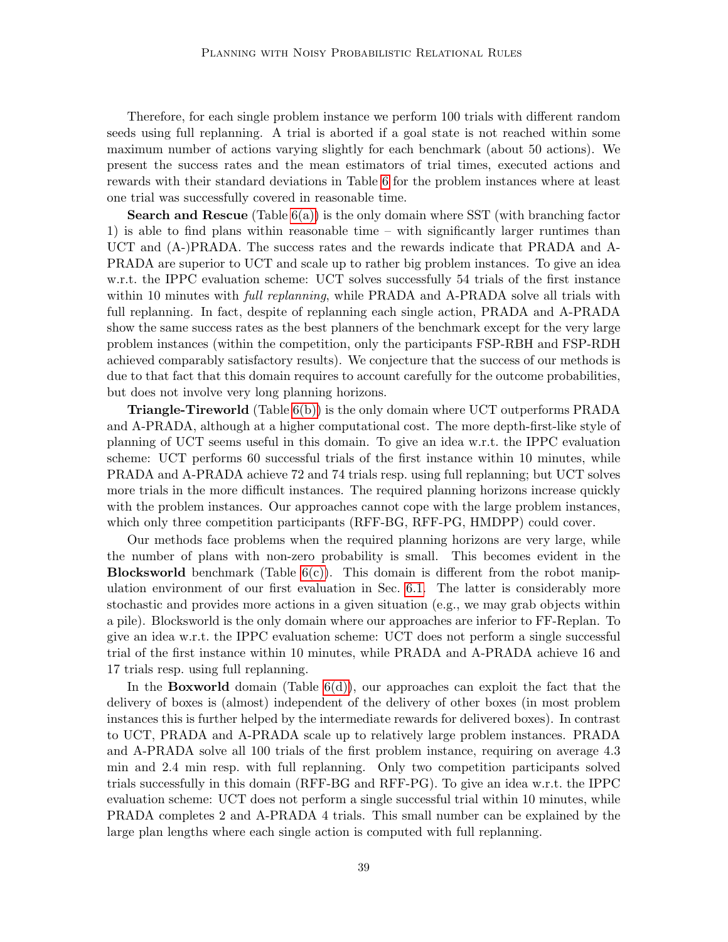Therefore, for each single problem instance we perform 100 trials with different random seeds using full replanning. A trial is aborted if a goal state is not reached within some maximum number of actions varying slightly for each benchmark (about 50 actions). We present the success rates and the mean estimators of trial times, executed actions and rewards with their standard deviations in Table [6](#page-37-0) for the problem instances where at least one trial was successfully covered in reasonable time.

**Search and Rescue** (Table  $6(a)$ ) is the only domain where SST (with branching factor 1) is able to find plans within reasonable time – with significantly larger runtimes than UCT and (A-)PRADA. The success rates and the rewards indicate that PRADA and A-PRADA are superior to UCT and scale up to rather big problem instances. To give an idea w.r.t. the IPPC evaluation scheme: UCT solves successfully 54 trials of the first instance within 10 minutes with *full replanning*, while PRADA and A-PRADA solve all trials with full replanning. In fact, despite of replanning each single action, PRADA and A-PRADA show the same success rates as the best planners of the benchmark except for the very large problem instances (within the competition, only the participants FSP-RBH and FSP-RDH achieved comparably satisfactory results). We conjecture that the success of our methods is due to that fact that this domain requires to account carefully for the outcome probabilities, but does not involve very long planning horizons.

Triangle-Tireworld (Table [6\(b\)\)](#page-37-2) is the only domain where UCT outperforms PRADA and A-PRADA, although at a higher computational cost. The more depth-first-like style of planning of UCT seems useful in this domain. To give an idea w.r.t. the IPPC evaluation scheme: UCT performs 60 successful trials of the first instance within 10 minutes, while PRADA and A-PRADA achieve 72 and 74 trials resp. using full replanning; but UCT solves more trials in the more difficult instances. The required planning horizons increase quickly with the problem instances. Our approaches cannot cope with the large problem instances, which only three competition participants (RFF-BG, RFF-PG, HMDPP) could cover.

Our methods face problems when the required planning horizons are very large, while the number of plans with non-zero probability is small. This becomes evident in the **Blocksworld** benchmark (Table  $6(c)$ ). This domain is different from the robot manipulation environment of our first evaluation in Sec. [6.1.](#page-26-1) The latter is considerably more stochastic and provides more actions in a given situation (e.g., we may grab objects within a pile). Blocksworld is the only domain where our approaches are inferior to FF-Replan. To give an idea w.r.t. the IPPC evaluation scheme: UCT does not perform a single successful trial of the first instance within 10 minutes, while PRADA and A-PRADA achieve 16 and 17 trials resp. using full replanning.

In the **Boxworld** domain (Table  $6(d)$ ), our approaches can exploit the fact that the delivery of boxes is (almost) independent of the delivery of other boxes (in most problem instances this is further helped by the intermediate rewards for delivered boxes). In contrast to UCT, PRADA and A-PRADA scale up to relatively large problem instances. PRADA and A-PRADA solve all 100 trials of the first problem instance, requiring on average 4.3 min and 2.4 min resp. with full replanning. Only two competition participants solved trials successfully in this domain (RFF-BG and RFF-PG). To give an idea w.r.t. the IPPC evaluation scheme: UCT does not perform a single successful trial within 10 minutes, while PRADA completes 2 and A-PRADA 4 trials. This small number can be explained by the large plan lengths where each single action is computed with full replanning.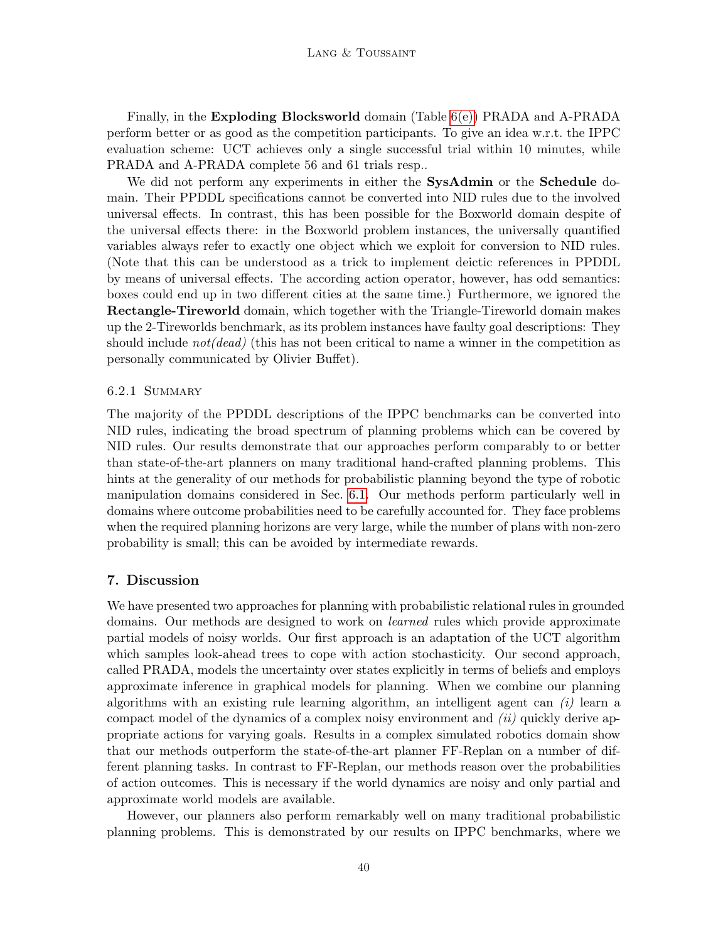Finally, in the Exploding Blocksworld domain (Table [6\(e\)\)](#page-37-5) PRADA and A-PRADA perform better or as good as the competition participants. To give an idea w.r.t. the IPPC evaluation scheme: UCT achieves only a single successful trial within 10 minutes, while PRADA and A-PRADA complete 56 and 61 trials resp..

We did not perform any experiments in either the SysAdmin or the Schedule domain. Their PPDDL specifications cannot be converted into NID rules due to the involved universal effects. In contrast, this has been possible for the Boxworld domain despite of the universal effects there: in the Boxworld problem instances, the universally quantified variables always refer to exactly one object which we exploit for conversion to NID rules. (Note that this can be understood as a trick to implement deictic references in PPDDL by means of universal effects. The according action operator, however, has odd semantics: boxes could end up in two different cities at the same time.) Furthermore, we ignored the Rectangle-Tireworld domain, which together with the Triangle-Tireworld domain makes up the 2-Tireworlds benchmark, as its problem instances have faulty goal descriptions: They should include  $not(dead)$  (this has not been critical to name a winner in the competition as personally communicated by Olivier Buffet).

## 6.2.1 Summary

The majority of the PPDDL descriptions of the IPPC benchmarks can be converted into NID rules, indicating the broad spectrum of planning problems which can be covered by NID rules. Our results demonstrate that our approaches perform comparably to or better than state-of-the-art planners on many traditional hand-crafted planning problems. This hints at the generality of our methods for probabilistic planning beyond the type of robotic manipulation domains considered in Sec. [6.1.](#page-26-1) Our methods perform particularly well in domains where outcome probabilities need to be carefully accounted for. They face problems when the required planning horizons are very large, while the number of plans with non-zero probability is small; this can be avoided by intermediate rewards.

## 7. Discussion

We have presented two approaches for planning with probabilistic relational rules in grounded domains. Our methods are designed to work on learned rules which provide approximate partial models of noisy worlds. Our first approach is an adaptation of the UCT algorithm which samples look-ahead trees to cope with action stochasticity. Our second approach, called PRADA, models the uncertainty over states explicitly in terms of beliefs and employs approximate inference in graphical models for planning. When we combine our planning algorithms with an existing rule learning algorithm, an intelligent agent can  $(i)$  learn a compact model of the dynamics of a complex noisy environment and  $(ii)$  quickly derive appropriate actions for varying goals. Results in a complex simulated robotics domain show that our methods outperform the state-of-the-art planner FF-Replan on a number of different planning tasks. In contrast to FF-Replan, our methods reason over the probabilities of action outcomes. This is necessary if the world dynamics are noisy and only partial and approximate world models are available.

However, our planners also perform remarkably well on many traditional probabilistic planning problems. This is demonstrated by our results on IPPC benchmarks, where we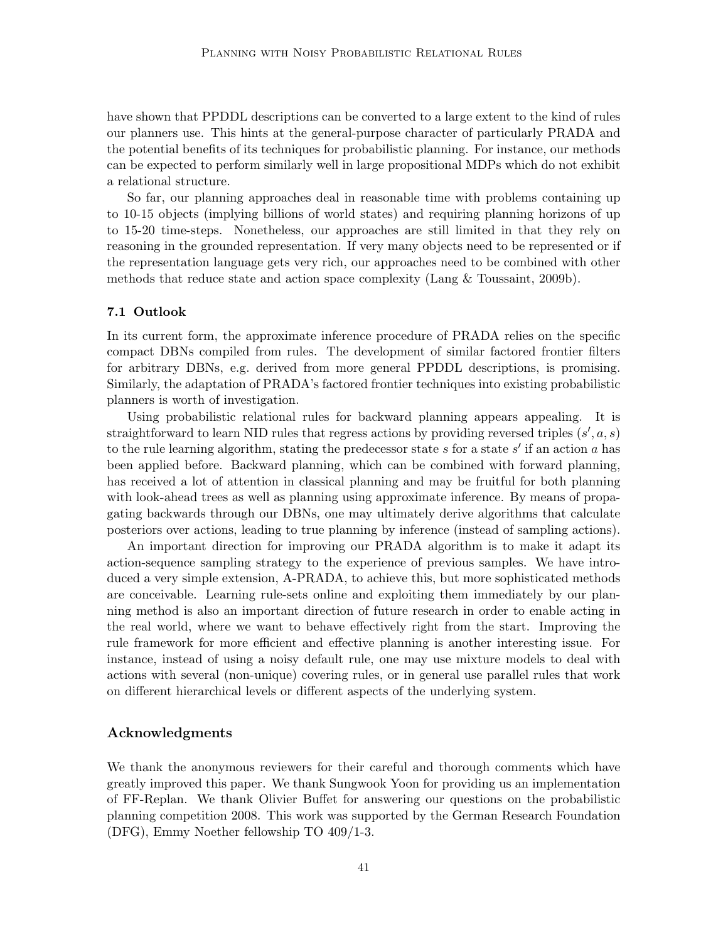have shown that PPDDL descriptions can be converted to a large extent to the kind of rules our planners use. This hints at the general-purpose character of particularly PRADA and the potential benefits of its techniques for probabilistic planning. For instance, our methods can be expected to perform similarly well in large propositional MDPs which do not exhibit a relational structure.

So far, our planning approaches deal in reasonable time with problems containing up to 10-15 objects (implying billions of world states) and requiring planning horizons of up to 15-20 time-steps. Nonetheless, our approaches are still limited in that they rely on reasoning in the grounded representation. If very many objects need to be represented or if the representation language gets very rich, our approaches need to be combined with other methods that reduce state and action space complexity (Lang & Toussaint, 2009b).

# 7.1 Outlook

In its current form, the approximate inference procedure of PRADA relies on the specific compact DBNs compiled from rules. The development of similar factored frontier filters for arbitrary DBNs, e.g. derived from more general PPDDL descriptions, is promising. Similarly, the adaptation of PRADA's factored frontier techniques into existing probabilistic planners is worth of investigation.

Using probabilistic relational rules for backward planning appears appealing. It is straightforward to learn NID rules that regress actions by providing reversed triples  $(s', a, s)$ to the rule learning algorithm, stating the predecessor state  $s$  for a state  $s'$  if an action  $a$  has been applied before. Backward planning, which can be combined with forward planning, has received a lot of attention in classical planning and may be fruitful for both planning with look-ahead trees as well as planning using approximate inference. By means of propagating backwards through our DBNs, one may ultimately derive algorithms that calculate posteriors over actions, leading to true planning by inference (instead of sampling actions).

An important direction for improving our PRADA algorithm is to make it adapt its action-sequence sampling strategy to the experience of previous samples. We have introduced a very simple extension, A-PRADA, to achieve this, but more sophisticated methods are conceivable. Learning rule-sets online and exploiting them immediately by our planning method is also an important direction of future research in order to enable acting in the real world, where we want to behave effectively right from the start. Improving the rule framework for more efficient and effective planning is another interesting issue. For instance, instead of using a noisy default rule, one may use mixture models to deal with actions with several (non-unique) covering rules, or in general use parallel rules that work on different hierarchical levels or different aspects of the underlying system.

# Acknowledgments

We thank the anonymous reviewers for their careful and thorough comments which have greatly improved this paper. We thank Sungwook Yoon for providing us an implementation of FF-Replan. We thank Olivier Buffet for answering our questions on the probabilistic planning competition 2008. This work was supported by the German Research Foundation (DFG), Emmy Noether fellowship TO 409/1-3.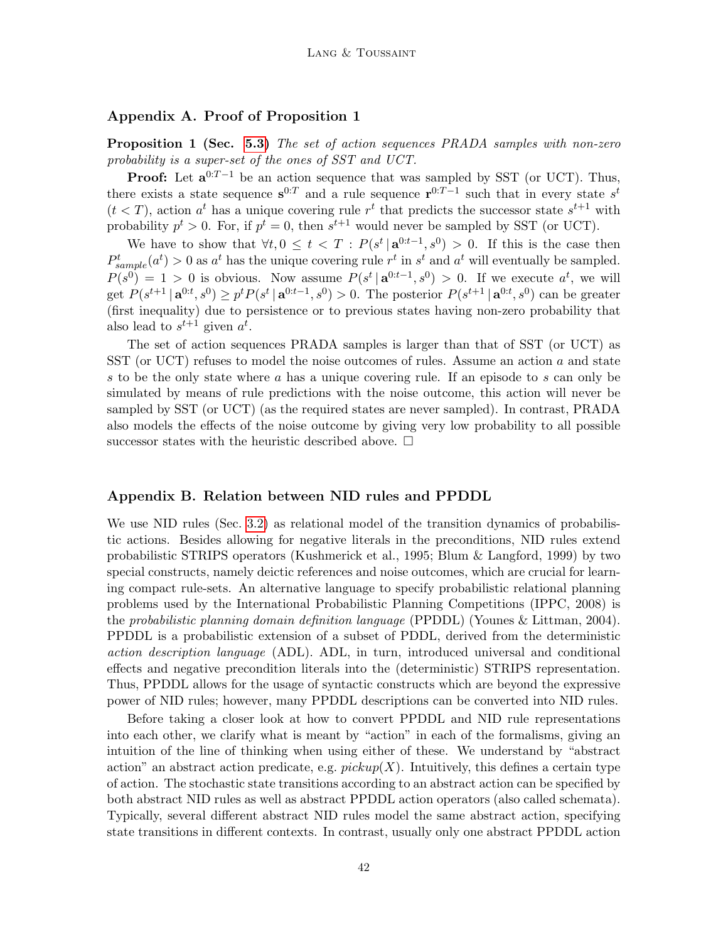## <span id="page-41-1"></span>Appendix A. Proof of Proposition 1

**Proposition 1 (Sec. [5.3\)](#page-19-0)** The set of action sequences PRADA samples with non-zero probability is a super-set of the ones of SST and UCT.

**Proof:** Let  $\mathbf{a}^{0:T-1}$  be an action sequence that was sampled by SST (or UCT). Thus, there exists a state sequence  $s^{0:T}$  and a rule sequence  $r^{0:T-1}$  such that in every state  $s^t$  $(t < T)$ , action  $a^t$  has a unique covering rule  $r^t$  that predicts the successor state  $s^{t+1}$  with probability  $p^t > 0$ . For, if  $p^t = 0$ , then  $s^{t+1}$  would never be sampled by SST (or UCT).

We have to show that  $\forall t, 0 \leq t < T : P(s^t | \mathbf{a}^{0:t-1}, s^0) > 0$ . If this is the case then  $P_{sample}^{t}(a^{t}) > 0$  as  $a^{t}$  has the unique covering rule  $r^{t}$  in  $s^{t}$  and  $a^{t}$  will eventually be sampled.  $P(s^0) = 1 > 0$  is obvious. Now assume  $P(s^t | a^{0:t-1}, s^0) > 0$ . If we execute  $a^t$ , we will get  $P(s^{t+1} | \mathbf{a}^{0:t}, s^0) \ge p^t P(s^t | \mathbf{a}^{0:t-1}, s^0) > 0$ . The posterior  $P(s^{t+1} | \mathbf{a}^{0:t}, s^0)$  can be greater (first inequality) due to persistence or to previous states having non-zero probability that also lead to  $s^{t+1}$  given  $a^t$ .

The set of action sequences PRADA samples is larger than that of SST (or UCT) as SST (or UCT) refuses to model the noise outcomes of rules. Assume an action a and state s to be the only state where a has a unique covering rule. If an episode to s can only be simulated by means of rule predictions with the noise outcome, this action will never be sampled by SST (or UCT) (as the required states are never sampled). In contrast, PRADA also models the effects of the noise outcome by giving very low probability to all possible successor states with the heuristic described above.  $\Box$ 

## <span id="page-41-0"></span>Appendix B. Relation between NID rules and PPDDL

We use NID rules (Sec. [3.2\)](#page-5-1) as relational model of the transition dynamics of probabilistic actions. Besides allowing for negative literals in the preconditions, NID rules extend probabilistic STRIPS operators (Kushmerick et al., 1995; Blum & Langford, 1999) by two special constructs, namely deictic references and noise outcomes, which are crucial for learning compact rule-sets. An alternative language to specify probabilistic relational planning problems used by the International Probabilistic Planning Competitions (IPPC, 2008) is the probabilistic planning domain definition language (PPDDL) (Younes & Littman, 2004). PPDDL is a probabilistic extension of a subset of PDDL, derived from the deterministic action description language (ADL). ADL, in turn, introduced universal and conditional effects and negative precondition literals into the (deterministic) STRIPS representation. Thus, PPDDL allows for the usage of syntactic constructs which are beyond the expressive power of NID rules; however, many PPDDL descriptions can be converted into NID rules.

Before taking a closer look at how to convert PPDDL and NID rule representations into each other, we clarify what is meant by "action" in each of the formalisms, giving an intuition of the line of thinking when using either of these. We understand by "abstract action" an abstract action predicate, e.g.  $pickup(X)$ . Intuitively, this defines a certain type of action. The stochastic state transitions according to an abstract action can be specified by both abstract NID rules as well as abstract PPDDL action operators (also called schemata). Typically, several different abstract NID rules model the same abstract action, specifying state transitions in different contexts. In contrast, usually only one abstract PPDDL action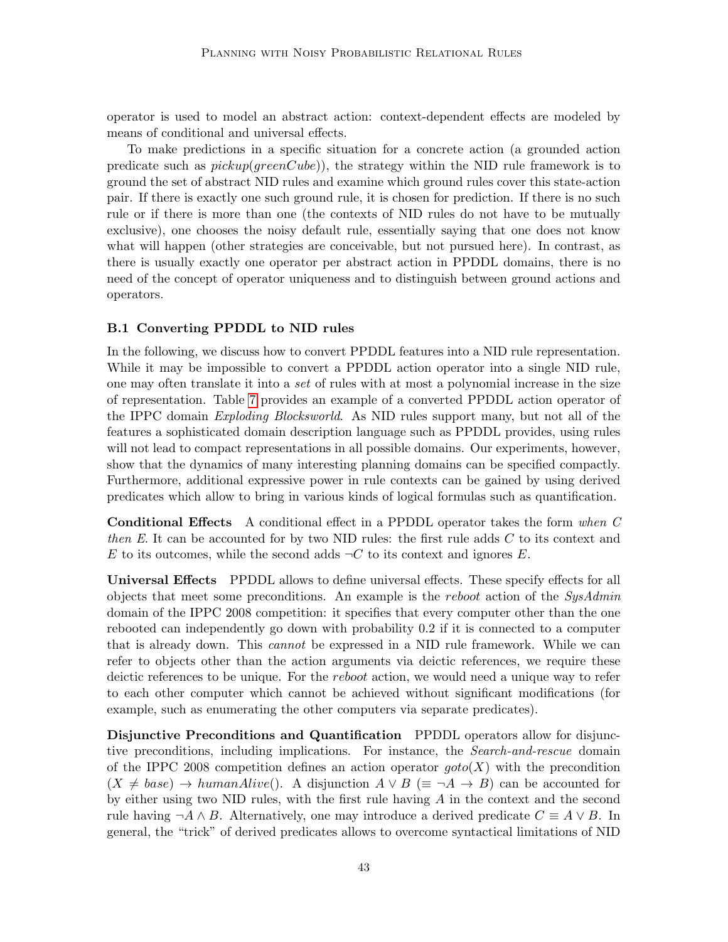operator is used to model an abstract action: context-dependent effects are modeled by means of conditional and universal effects.

To make predictions in a specific situation for a concrete action (a grounded action predicate such as  $picture(greenCube)$ , the strategy within the NID rule framework is to ground the set of abstract NID rules and examine which ground rules cover this state-action pair. If there is exactly one such ground rule, it is chosen for prediction. If there is no such rule or if there is more than one (the contexts of NID rules do not have to be mutually exclusive), one chooses the noisy default rule, essentially saying that one does not know what will happen (other strategies are conceivable, but not pursued here). In contrast, as there is usually exactly one operator per abstract action in PPDDL domains, there is no need of the concept of operator uniqueness and to distinguish between ground actions and operators.

## <span id="page-42-0"></span>B.1 Converting PPDDL to NID rules

In the following, we discuss how to convert PPDDL features into a NID rule representation. While it may be impossible to convert a PPDDL action operator into a single NID rule, one may often translate it into a set of rules with at most a polynomial increase in the size of representation. Table [7](#page-43-0) provides an example of a converted PPDDL action operator of the IPPC domain Exploding Blocksworld. As NID rules support many, but not all of the features a sophisticated domain description language such as PPDDL provides, using rules will not lead to compact representations in all possible domains. Our experiments, however, show that the dynamics of many interesting planning domains can be specified compactly. Furthermore, additional expressive power in rule contexts can be gained by using derived predicates which allow to bring in various kinds of logical formulas such as quantification.

Conditional Effects A conditional effect in a PPDDL operator takes the form when C then E. It can be accounted for by two NID rules: the first rule adds  $C$  to its context and E to its outcomes, while the second adds  $\neg C$  to its context and ignores E.

Universal Effects PPDDL allows to define universal effects. These specify effects for all objects that meet some preconditions. An example is the reboot action of the  $SysAdmin$ domain of the IPPC 2008 competition: it specifies that every computer other than the one rebooted can independently go down with probability 0.2 if it is connected to a computer that is already down. This cannot be expressed in a NID rule framework. While we can refer to objects other than the action arguments via deictic references, we require these deictic references to be unique. For the reboot action, we would need a unique way to refer to each other computer which cannot be achieved without significant modifications (for example, such as enumerating the other computers via separate predicates).

Disjunctive Preconditions and Quantification PPDDL operators allow for disjunctive preconditions, including implications. For instance, the Search-and-rescue domain of the IPPC 2008 competition defines an action operator  $qoto(X)$  with the precondition  $(X \neq base) \rightarrow humanAlive).$  A disjunction  $A \vee B \equiv \neg A \rightarrow B$  can be accounted for by either using two NID rules, with the first rule having  $A$  in the context and the second rule having  $\neg A \wedge B$ . Alternatively, one may introduce a derived predicate  $C \equiv A \vee B$ . In general, the "trick" of derived predicates allows to overcome syntactical limitations of NID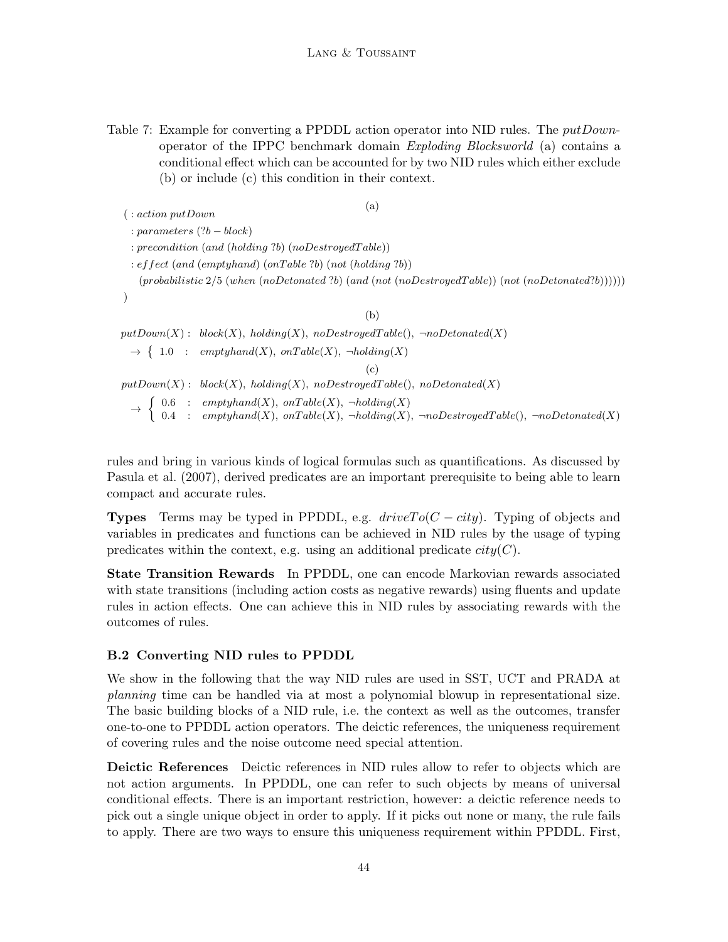<span id="page-43-0"></span>Table 7: Example for converting a PPDDL action operator into NID rules. The *putDown*operator of the IPPC benchmark domain Exploding Blocksworld (a) contains a conditional effect which can be accounted for by two NID rules which either exclude (b) or include (c) this condition in their context.

```
(a)
 ( : action putDown
  : parameters (?b - block): precondition (and (holding ?b) (noDestroyedT able))
  : effect (and (emptyhand) (onTable ?b) (not (holding ?b))
    (probabilistic 2/5 (when (noDetonated ?b) (and (not (noDestroyed Table)) (not (noDetonated ?b))))))
                                                      (b)
putDown(X): block(X), holding(X), noDestroyed Table(), \neg noDetonated(X)\rightarrow \{ 1.0 : emptyhand(X), onTable(X), \neg holding(X)(c)
putDown(X): block(X), holding(X), noDestroyed Table(), noDetonated(X)\rightarrow \begin{cases} 0.6 : emptyhand(X), onTable(X), \neg holding(X) \\ 0.4 : countthw(X), wTth(X), hdtdim(X) \end{cases}0.4 : empty hand(X), onTable(X), \neg holding(X), \neg no Destroyed Table(), \neg noDetonated(X)
```
rules and bring in various kinds of logical formulas such as quantifications. As discussed by Pasula et al. (2007), derived predicates are an important prerequisite to being able to learn compact and accurate rules.

**Types** Terms may be typed in PPDDL, e.g.  $driveTo(C - city)$ . Typing of objects and variables in predicates and functions can be achieved in NID rules by the usage of typing predicates within the context, e.g. using an additional predicate  $city(C)$ .

State Transition Rewards In PPDDL, one can encode Markovian rewards associated with state transitions (including action costs as negative rewards) using fluents and update rules in action effects. One can achieve this in NID rules by associating rewards with the outcomes of rules.

# B.2 Converting NID rules to PPDDL

We show in the following that the way NID rules are used in SST, UCT and PRADA at planning time can be handled via at most a polynomial blowup in representational size. The basic building blocks of a NID rule, i.e. the context as well as the outcomes, transfer one-to-one to PPDDL action operators. The deictic references, the uniqueness requirement of covering rules and the noise outcome need special attention.

Deictic References Deictic references in NID rules allow to refer to objects which are not action arguments. In PPDDL, one can refer to such objects by means of universal conditional effects. There is an important restriction, however: a deictic reference needs to pick out a single unique object in order to apply. If it picks out none or many, the rule fails to apply. There are two ways to ensure this uniqueness requirement within PPDDL. First,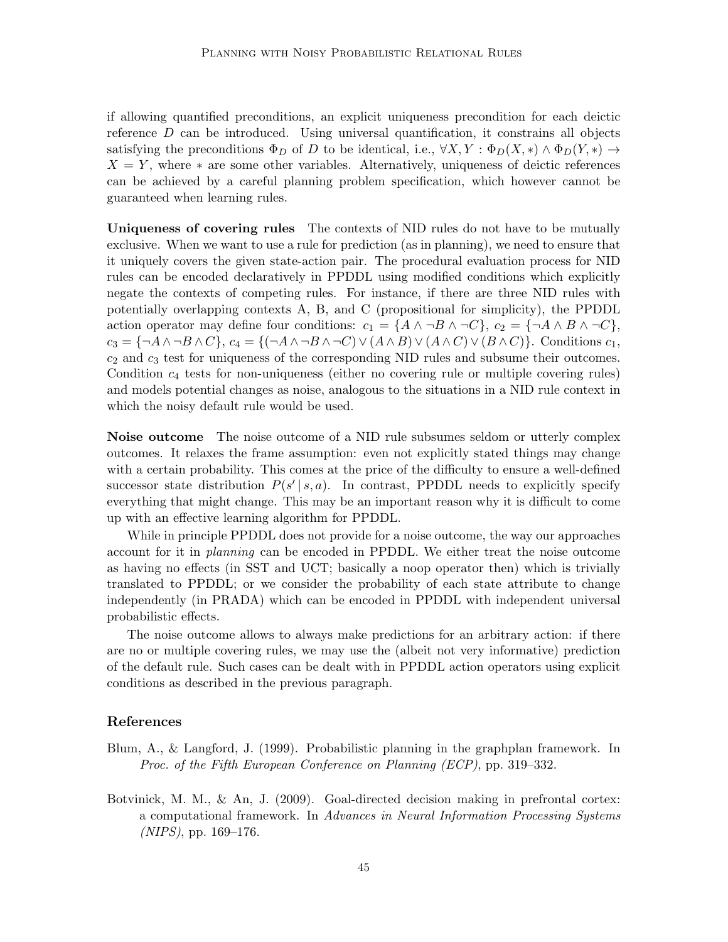if allowing quantified preconditions, an explicit uniqueness precondition for each deictic reference  $D$  can be introduced. Using universal quantification, it constrains all objects satisfying the preconditions  $\Phi_D$  of D to be identical, i.e.,  $\forall X, Y : \Phi_D(X, *) \land \Phi_D(Y, *) \rightarrow$  $X = Y$ , where  $*$  are some other variables. Alternatively, uniqueness of deictic references can be achieved by a careful planning problem specification, which however cannot be guaranteed when learning rules.

Uniqueness of covering rules The contexts of NID rules do not have to be mutually exclusive. When we want to use a rule for prediction (as in planning), we need to ensure that it uniquely covers the given state-action pair. The procedural evaluation process for NID rules can be encoded declaratively in PPDDL using modified conditions which explicitly negate the contexts of competing rules. For instance, if there are three NID rules with potentially overlapping contexts A, B, and C (propositional for simplicity), the PPDDL action operator may define four conditions:  $c_1 = \{A \land \neg B \land \neg C\}, c_2 = \{\neg A \land B \land \neg C\},\$  $c_3 = \{\neg A \land \neg B \land C\}, c_4 = \{(\neg A \land \neg B \land \neg C) \lor (A \land B) \lor (A \land C) \lor (B \land C)\}.$  Conditions  $c_1$ ,  $c_2$  and  $c_3$  test for uniqueness of the corresponding NID rules and subsume their outcomes. Condition  $c_4$  tests for non-uniqueness (either no covering rule or multiple covering rules) and models potential changes as noise, analogous to the situations in a NID rule context in which the noisy default rule would be used.

Noise outcome The noise outcome of a NID rule subsumes seldom or utterly complex outcomes. It relaxes the frame assumption: even not explicitly stated things may change with a certain probability. This comes at the price of the difficulty to ensure a well-defined successor state distribution  $P(s' | s, a)$ . In contrast, PPDDL needs to explicitly specify everything that might change. This may be an important reason why it is difficult to come up with an effective learning algorithm for PPDDL.

While in principle PPDDL does not provide for a noise outcome, the way our approaches account for it in planning can be encoded in PPDDL. We either treat the noise outcome as having no effects (in SST and UCT; basically a noop operator then) which is trivially translated to PPDDL; or we consider the probability of each state attribute to change independently (in PRADA) which can be encoded in PPDDL with independent universal probabilistic effects.

The noise outcome allows to always make predictions for an arbitrary action: if there are no or multiple covering rules, we may use the (albeit not very informative) prediction of the default rule. Such cases can be dealt with in PPDDL action operators using explicit conditions as described in the previous paragraph.

## References

- Blum, A., & Langford, J. (1999). Probabilistic planning in the graphplan framework. In Proc. of the Fifth European Conference on Planning (ECP), pp. 319–332.
- Botvinick, M. M., & An, J. (2009). Goal-directed decision making in prefrontal cortex: a computational framework. In Advances in Neural Information Processing Systems  $(NIPS)$ , pp. 169–176.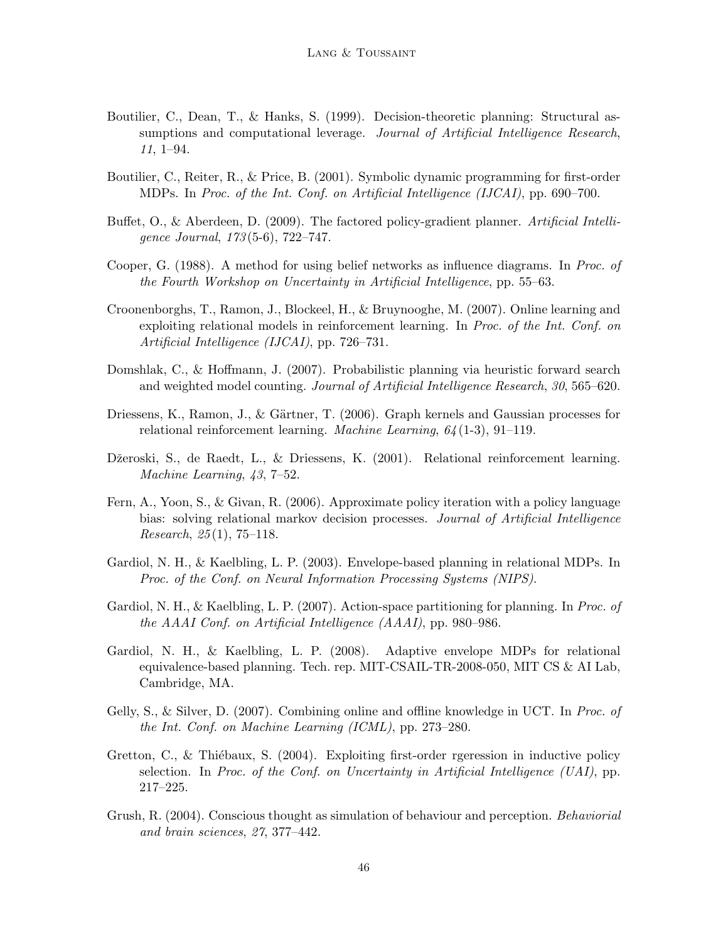- Boutilier, C., Dean, T., & Hanks, S. (1999). Decision-theoretic planning: Structural assumptions and computational leverage. Journal of Artificial Intelligence Research, 11, 1–94.
- Boutilier, C., Reiter, R., & Price, B. (2001). Symbolic dynamic programming for first-order MDPs. In Proc. of the Int. Conf. on Artificial Intelligence (IJCAI), pp. 690–700.
- Buffet, O., & Aberdeen, D. (2009). The factored policy-gradient planner. Artificial Intelligence Journal, 173 (5-6), 722–747.
- Cooper, G. (1988). A method for using belief networks as influence diagrams. In Proc. of the Fourth Workshop on Uncertainty in Artificial Intelligence, pp. 55–63.
- Croonenborghs, T., Ramon, J., Blockeel, H., & Bruynooghe, M. (2007). Online learning and exploiting relational models in reinforcement learning. In Proc. of the Int. Conf. on Artificial Intelligence (IJCAI), pp. 726–731.
- Domshlak, C., & Hoffmann, J. (2007). Probabilistic planning via heuristic forward search and weighted model counting. Journal of Artificial Intelligence Research, 30, 565–620.
- Driessens, K., Ramon, J., & Gärtner, T. (2006). Graph kernels and Gaussian processes for relational reinforcement learning. Machine Learning, 64 (1-3), 91–119.
- Džeroski, S., de Raedt, L., & Driessens, K. (2001). Relational reinforcement learning. Machine Learning, 43, 7–52.
- Fern, A., Yoon, S., & Givan, R. (2006). Approximate policy iteration with a policy language bias: solving relational markov decision processes. *Journal of Artificial Intelligence Research*,  $25(1)$ , 75–118.
- Gardiol, N. H., & Kaelbling, L. P. (2003). Envelope-based planning in relational MDPs. In Proc. of the Conf. on Neural Information Processing Systems (NIPS).
- Gardiol, N. H., & Kaelbling, L. P. (2007). Action-space partitioning for planning. In Proc. of the AAAI Conf. on Artificial Intelligence (AAAI), pp. 980–986.
- Gardiol, N. H., & Kaelbling, L. P. (2008). Adaptive envelope MDPs for relational equivalence-based planning. Tech. rep. MIT-CSAIL-TR-2008-050, MIT CS & AI Lab, Cambridge, MA.
- Gelly, S., & Silver, D. (2007). Combining online and offline knowledge in UCT. In Proc. of the Int. Conf. on Machine Learning (ICML), pp. 273–280.
- Gretton, C., & Thiébaux, S.  $(2004)$ . Exploiting first-order rgeression in inductive policy selection. In Proc. of the Conf. on Uncertainty in Artificial Intelligence (UAI), pp. 217–225.
- Grush, R. (2004). Conscious thought as simulation of behaviour and perception. Behaviorial and brain sciences, 27, 377–442.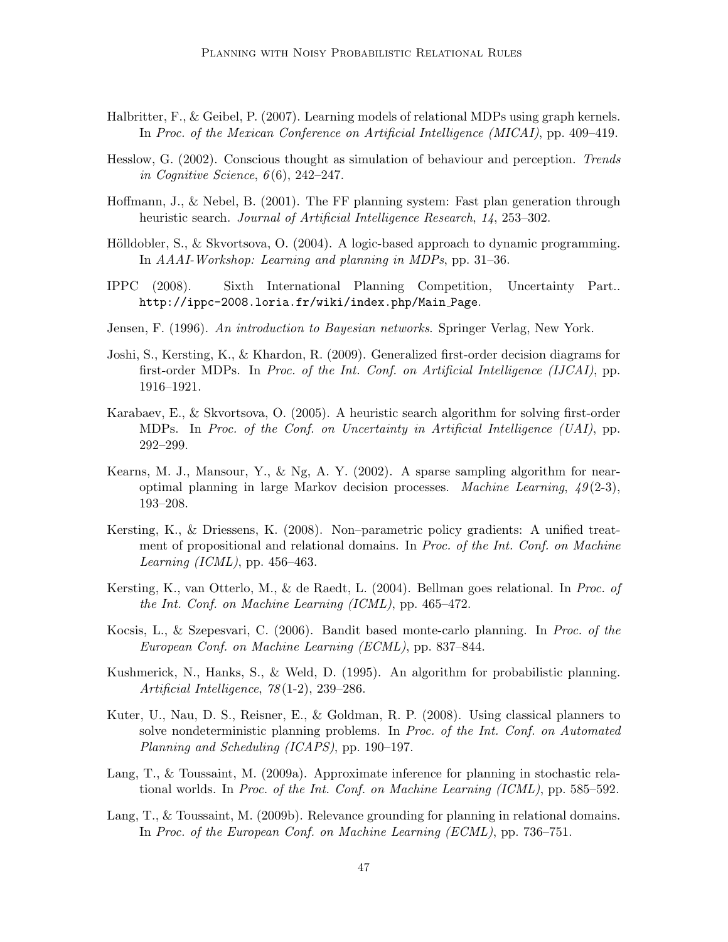- Halbritter, F., & Geibel, P. (2007). Learning models of relational MDPs using graph kernels. In Proc. of the Mexican Conference on Artificial Intelligence (MICAI), pp. 409–419.
- Hesslow, G. (2002). Conscious thought as simulation of behaviour and perception. Trends in Cognitive Science,  $6(6)$ , 242–247.
- Hoffmann, J., & Nebel, B. (2001). The FF planning system: Fast plan generation through heuristic search. *Journal of Artificial Intelligence Research*, 14, 253–302.
- Hölldobler, S., & Skvortsova, O.  $(2004)$ . A logic-based approach to dynamic programming. In AAAI-Workshop: Learning and planning in MDPs, pp. 31–36.
- IPPC (2008). Sixth International Planning Competition, Uncertainty Part.. http://ippc-2008.loria.fr/wiki/index.php/Main Page.
- Jensen, F. (1996). An introduction to Bayesian networks. Springer Verlag, New York.
- Joshi, S., Kersting, K., & Khardon, R. (2009). Generalized first-order decision diagrams for first-order MDPs. In Proc. of the Int. Conf. on Artificial Intelligence (IJCAI), pp. 1916–1921.
- Karabaev, E., & Skvortsova, O. (2005). A heuristic search algorithm for solving first-order MDPs. In Proc. of the Conf. on Uncertainty in Artificial Intelligence (UAI), pp. 292–299.
- Kearns, M. J., Mansour, Y., & Ng, A. Y. (2002). A sparse sampling algorithm for nearoptimal planning in large Markov decision processes. *Machine Learning*,  $49(2-3)$ , 193–208.
- Kersting, K., & Driessens, K. (2008). Non–parametric policy gradients: A unified treatment of propositional and relational domains. In Proc. of the Int. Conf. on Machine Learning (ICML), pp.  $456-463$ .
- Kersting, K., van Otterlo, M., & de Raedt, L. (2004). Bellman goes relational. In Proc. of the Int. Conf. on Machine Learning (ICML), pp. 465–472.
- Kocsis, L., & Szepesvari, C. (2006). Bandit based monte-carlo planning. In Proc. of the European Conf. on Machine Learning (ECML), pp. 837–844.
- Kushmerick, N., Hanks, S., & Weld, D. (1995). An algorithm for probabilistic planning. Artificial Intelligence, 78 (1-2), 239–286.
- Kuter, U., Nau, D. S., Reisner, E., & Goldman, R. P. (2008). Using classical planners to solve nondeterministic planning problems. In Proc. of the Int. Conf. on Automated Planning and Scheduling (ICAPS), pp. 190–197.
- Lang, T., & Toussaint, M. (2009a). Approximate inference for planning in stochastic relational worlds. In Proc. of the Int. Conf. on Machine Learning (ICML), pp. 585–592.
- Lang, T., & Toussaint, M. (2009b). Relevance grounding for planning in relational domains. In Proc. of the European Conf. on Machine Learning (ECML), pp. 736–751.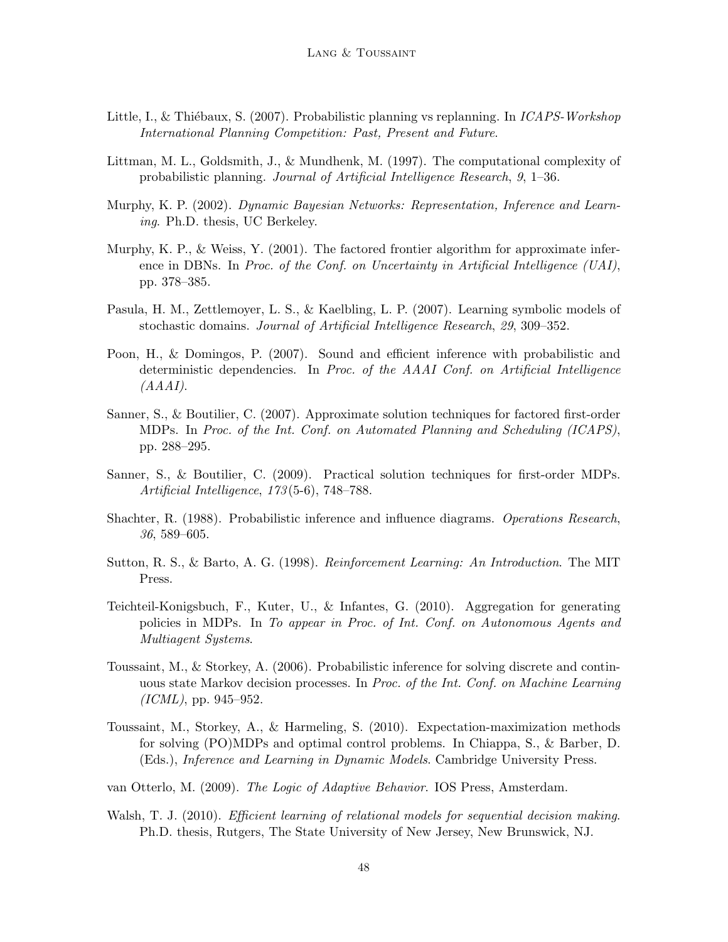- Little, I., & Thiébaux, S. (2007). Probabilistic planning vs replanning. In *ICAPS-Workshop* International Planning Competition: Past, Present and Future.
- Littman, M. L., Goldsmith, J., & Mundhenk, M. (1997). The computational complexity of probabilistic planning. Journal of Artificial Intelligence Research, 9, 1–36.
- Murphy, K. P. (2002). Dynamic Bayesian Networks: Representation, Inference and Learning. Ph.D. thesis, UC Berkeley.
- Murphy, K. P., & Weiss, Y. (2001). The factored frontier algorithm for approximate inference in DBNs. In Proc. of the Conf. on Uncertainty in Artificial Intelligence  $(UAI)$ , pp. 378–385.
- Pasula, H. M., Zettlemoyer, L. S., & Kaelbling, L. P. (2007). Learning symbolic models of stochastic domains. Journal of Artificial Intelligence Research, 29, 309–352.
- Poon, H., & Domingos, P. (2007). Sound and efficient inference with probabilistic and deterministic dependencies. In Proc. of the AAAI Conf. on Artificial Intelligence  $(AAAI).$
- Sanner, S., & Boutilier, C. (2007). Approximate solution techniques for factored first-order MDPs. In Proc. of the Int. Conf. on Automated Planning and Scheduling (ICAPS), pp. 288–295.
- Sanner, S., & Boutilier, C. (2009). Practical solution techniques for first-order MDPs. Artificial Intelligence, 173 (5-6), 748–788.
- Shachter, R. (1988). Probabilistic inference and influence diagrams. Operations Research, 36, 589–605.
- Sutton, R. S., & Barto, A. G. (1998). Reinforcement Learning: An Introduction. The MIT Press.
- Teichteil-Konigsbuch, F., Kuter, U., & Infantes, G. (2010). Aggregation for generating policies in MDPs. In To appear in Proc. of Int. Conf. on Autonomous Agents and Multiagent Systems.
- Toussaint, M., & Storkey, A. (2006). Probabilistic inference for solving discrete and continuous state Markov decision processes. In Proc. of the Int. Conf. on Machine Learning  $(ICML)$ , pp. 945–952.
- Toussaint, M., Storkey, A., & Harmeling, S. (2010). Expectation-maximization methods for solving (PO)MDPs and optimal control problems. In Chiappa, S., & Barber, D. (Eds.), Inference and Learning in Dynamic Models. Cambridge University Press.
- van Otterlo, M. (2009). The Logic of Adaptive Behavior. IOS Press, Amsterdam.
- Walsh, T. J. (2010). *Efficient learning of relational models for sequential decision making.* Ph.D. thesis, Rutgers, The State University of New Jersey, New Brunswick, NJ.